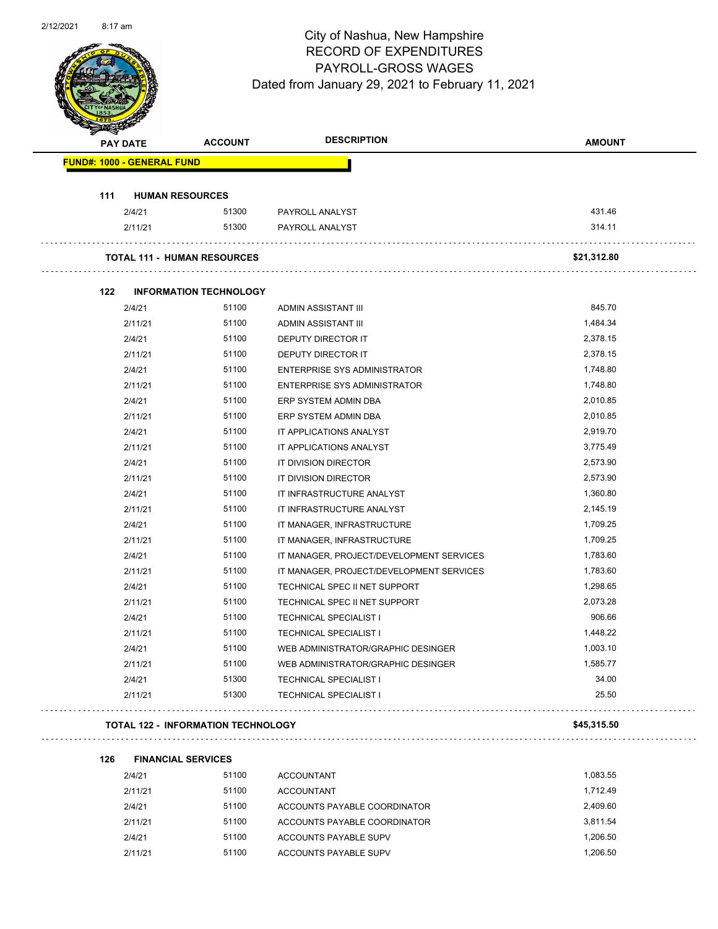

Page 41 of 96

|     | <b>PAY DATE</b>                           | <b>ACCOUNT</b> | <b>DESCRIPTION</b>                       | <b>AMOUNT</b> |
|-----|-------------------------------------------|----------------|------------------------------------------|---------------|
|     | <b>FUND#: 1000 - GENERAL FUND</b>         |                |                                          |               |
| 111 | <b>HUMAN RESOURCES</b>                    |                |                                          |               |
|     | 2/4/21                                    | 51300          | PAYROLL ANALYST                          | 431.46        |
|     | 2/11/21                                   | 51300          | PAYROLL ANALYST                          | 314.11        |
|     | <b>TOTAL 111 - HUMAN RESOURCES</b>        |                |                                          | \$21,312.80   |
| 122 | <b>INFORMATION TECHNOLOGY</b>             |                |                                          |               |
|     | 2/4/21                                    | 51100          | ADMIN ASSISTANT III                      | 845.70        |
|     | 2/11/21                                   | 51100          | ADMIN ASSISTANT III                      | 1,484.34      |
|     | 2/4/21                                    | 51100          | DEPUTY DIRECTOR IT                       | 2,378.15      |
|     | 2/11/21                                   | 51100          | DEPUTY DIRECTOR IT                       | 2,378.15      |
|     | 2/4/21                                    | 51100          | <b>ENTERPRISE SYS ADMINISTRATOR</b>      | 1,748.80      |
|     | 2/11/21                                   | 51100          | ENTERPRISE SYS ADMINISTRATOR             | 1,748.80      |
|     | 2/4/21                                    | 51100          | ERP SYSTEM ADMIN DBA                     | 2,010.85      |
|     | 2/11/21                                   | 51100          | ERP SYSTEM ADMIN DBA                     | 2,010.85      |
|     | 2/4/21                                    | 51100          | IT APPLICATIONS ANALYST                  | 2,919.70      |
|     | 2/11/21                                   | 51100          | IT APPLICATIONS ANALYST                  | 3,775.49      |
|     | 2/4/21                                    | 51100          | IT DIVISION DIRECTOR                     | 2,573.90      |
|     | 2/11/21                                   | 51100          | IT DIVISION DIRECTOR                     | 2,573.90      |
|     | 2/4/21                                    | 51100          | IT INFRASTRUCTURE ANALYST                | 1,360.80      |
|     | 2/11/21                                   | 51100          | IT INFRASTRUCTURE ANALYST                | 2,145.19      |
|     | 2/4/21                                    | 51100          | IT MANAGER, INFRASTRUCTURE               | 1,709.25      |
|     | 2/11/21                                   | 51100          | IT MANAGER, INFRASTRUCTURE               | 1,709.25      |
|     | 2/4/21                                    | 51100          | IT MANAGER, PROJECT/DEVELOPMENT SERVICES | 1,783.60      |
|     | 2/11/21                                   | 51100          | IT MANAGER, PROJECT/DEVELOPMENT SERVICES | 1,783.60      |
|     | 2/4/21                                    | 51100          | TECHNICAL SPEC II NET SUPPORT            | 1,298.65      |
|     | 2/11/21                                   | 51100          | TECHNICAL SPEC II NET SUPPORT            | 2,073.28      |
|     | 2/4/21                                    | 51100          | <b>TECHNICAL SPECIALIST I</b>            | 906.66        |
|     | 2/11/21                                   | 51100          | <b>TECHNICAL SPECIALIST I</b>            | 1,448.22      |
|     | 2/4/21                                    | 51100          | WEB ADMINISTRATOR/GRAPHIC DESINGER       | 1,003.10      |
|     | 2/11/21                                   | 51100          | WEB ADMINISTRATOR/GRAPHIC DESINGER       | 1,585.77      |
|     | 2/4/21                                    | 51300          | <b>TECHNICAL SPECIALIST I</b>            | 34.00         |
|     | 2/11/21                                   | 51300          | <b>TECHNICAL SPECIALIST I</b>            | 25.50         |
|     | <b>TOTAL 122 - INFORMATION TECHNOLOGY</b> |                |                                          | \$45,315.50   |
| 126 | <b>FINANCIAL SERVICES</b>                 |                |                                          |               |
|     | 2/4/21                                    | 51100          | <b>ACCOUNTANT</b>                        | 1,083.55      |
|     | 2/11/21                                   | 51100          | <b>ACCOUNTANT</b>                        | 1,712.49      |
|     |                                           |                |                                          |               |

2/4/21 51100 ACCOUNTS PAYABLE COORDINATOR 2,409.60 2/11/21 51100 ACCOUNTS PAYABLE COORDINATOR 3,811.54 2/4/21 51100 ACCOUNTS PAYABLE SUPV 1,206.50 2/11/21 51100 ACCOUNTS PAYABLE SUPV 1,206.50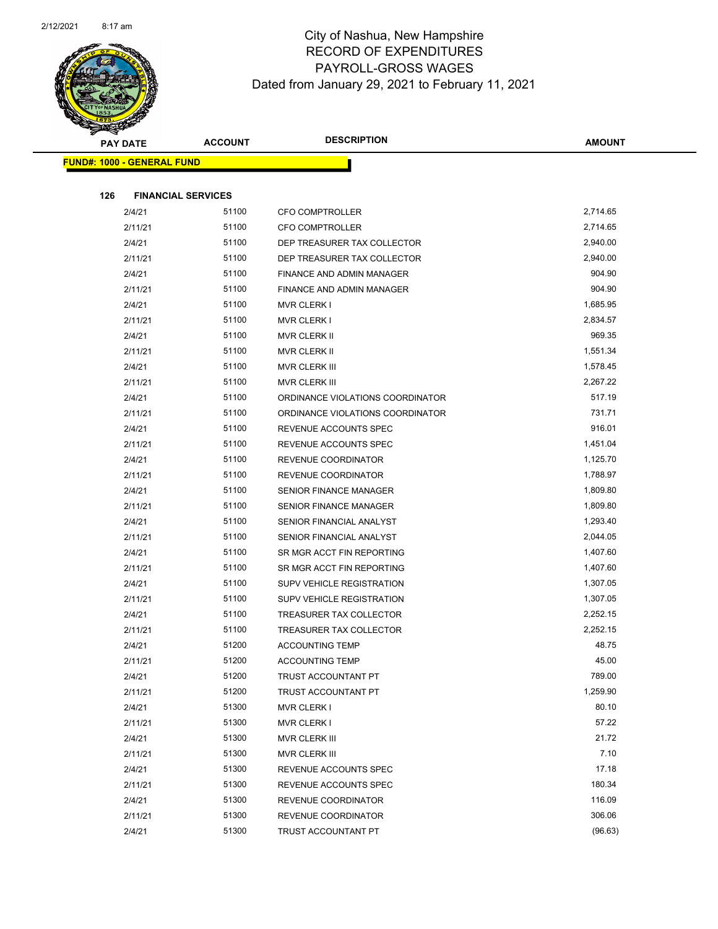

|     | <b>PAY DATE</b>                   | <b>ACCOUNT</b> | <b>DESCRIPTION</b>               | <b>AMOUNT</b> |
|-----|-----------------------------------|----------------|----------------------------------|---------------|
|     | <b>FUND#: 1000 - GENERAL FUND</b> |                |                                  |               |
|     |                                   |                |                                  |               |
| 126 | <b>FINANCIAL SERVICES</b>         |                |                                  |               |
|     | 2/4/21                            | 51100          | <b>CFO COMPTROLLER</b>           | 2,714.65      |
|     | 2/11/21                           | 51100          | <b>CFO COMPTROLLER</b>           | 2,714.65      |
|     | 2/4/21                            | 51100          | DEP TREASURER TAX COLLECTOR      | 2,940.00      |
|     | 2/11/21                           | 51100          | DEP TREASURER TAX COLLECTOR      | 2,940.00      |
|     | 2/4/21                            | 51100          | FINANCE AND ADMIN MANAGER        | 904.90        |
|     | 2/11/21                           | 51100          | FINANCE AND ADMIN MANAGER        | 904.90        |
|     | 2/4/21                            | 51100          | <b>MVR CLERK I</b>               | 1,685.95      |
|     | 2/11/21                           | 51100          | <b>MVR CLERK I</b>               | 2,834.57      |
|     | 2/4/21                            | 51100          | MVR CLERK II                     | 969.35        |
|     | 2/11/21                           | 51100          | MVR CLERK II                     | 1,551.34      |
|     | 2/4/21                            | 51100          | MVR CLERK III                    | 1,578.45      |
|     | 2/11/21                           | 51100          | MVR CLERK III                    | 2,267.22      |
|     | 2/4/21                            | 51100          | ORDINANCE VIOLATIONS COORDINATOR | 517.19        |
|     | 2/11/21                           | 51100          | ORDINANCE VIOLATIONS COORDINATOR | 731.71        |
|     | 2/4/21                            | 51100          | REVENUE ACCOUNTS SPEC            | 916.01        |
|     | 2/11/21                           | 51100          | REVENUE ACCOUNTS SPEC            | 1,451.04      |
|     | 2/4/21                            | 51100          | REVENUE COORDINATOR              | 1,125.70      |
|     | 2/11/21                           | 51100          | REVENUE COORDINATOR              | 1,788.97      |
|     | 2/4/21                            | 51100          | SENIOR FINANCE MANAGER           | 1,809.80      |
|     | 2/11/21                           | 51100          | SENIOR FINANCE MANAGER           | 1,809.80      |
|     | 2/4/21                            | 51100          | SENIOR FINANCIAL ANALYST         | 1,293.40      |
|     | 2/11/21                           | 51100          | SENIOR FINANCIAL ANALYST         | 2,044.05      |
|     | 2/4/21                            | 51100          | SR MGR ACCT FIN REPORTING        | 1,407.60      |
|     | 2/11/21                           | 51100          | SR MGR ACCT FIN REPORTING        | 1,407.60      |
|     | 2/4/21                            | 51100          | SUPV VEHICLE REGISTRATION        | 1,307.05      |
|     | 2/11/21                           | 51100          | SUPV VEHICLE REGISTRATION        | 1,307.05      |
|     | 2/4/21                            | 51100          | TREASURER TAX COLLECTOR          | 2,252.15      |
|     | 2/11/21                           | 51100          | TREASURER TAX COLLECTOR          | 2,252.15      |
|     | 2/4/21                            | 51200          | <b>ACCOUNTING TEMP</b>           | 48.75         |
|     | 2/11/21                           | 51200          | <b>ACCOUNTING TEMP</b>           | 45.00         |
|     | 2/4/21                            | 51200          | TRUST ACCOUNTANT PT              | 789.00        |
|     | 2/11/21                           | 51200          | TRUST ACCOUNTANT PT              | 1,259.90      |
|     | 2/4/21                            | 51300          | <b>MVR CLERK I</b>               | 80.10         |
|     | 2/11/21                           | 51300          | <b>MVR CLERK I</b>               | 57.22         |
|     | 2/4/21                            | 51300          | MVR CLERK III                    | 21.72         |
|     | 2/11/21                           | 51300          | MVR CLERK III                    | 7.10          |
|     | 2/4/21                            | 51300          | REVENUE ACCOUNTS SPEC            | 17.18         |
|     | 2/11/21                           | 51300          | REVENUE ACCOUNTS SPEC            | 180.34        |
|     | 2/4/21                            | 51300          | REVENUE COORDINATOR              | 116.09        |
|     | 2/11/21                           | 51300          | REVENUE COORDINATOR              | 306.06        |
|     | 2/4/21                            | 51300          | TRUST ACCOUNTANT PT              | (96.63)       |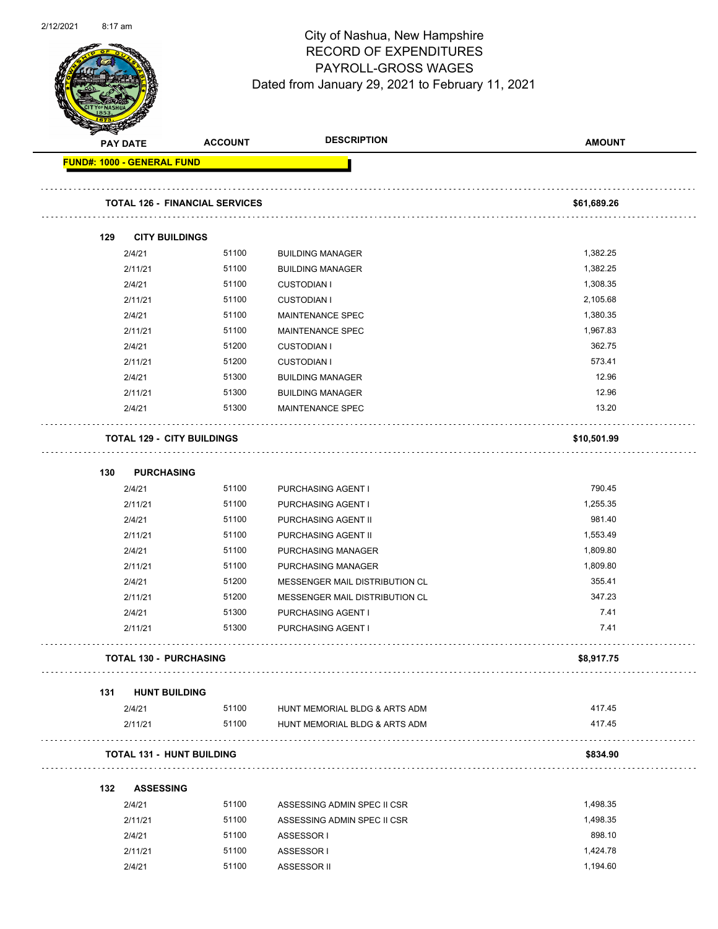

Page 43 of 96

|                                   | <b>PAY DATE</b>               | <b>ACCOUNT</b>                        | <b>DESCRIPTION</b>                 | <b>AMOUNT</b> |
|-----------------------------------|-------------------------------|---------------------------------------|------------------------------------|---------------|
| <b>FUND#: 1000 - GENERAL FUND</b> |                               |                                       |                                    |               |
|                                   |                               | <b>TOTAL 126 - FINANCIAL SERVICES</b> |                                    | \$61,689.26   |
| 129                               | <b>CITY BUILDINGS</b>         |                                       |                                    |               |
|                                   | 2/4/21                        | 51100                                 | <b>BUILDING MANAGER</b>            | 1,382.25      |
|                                   | 2/11/21                       | 51100                                 | <b>BUILDING MANAGER</b>            | 1,382.25      |
|                                   | 2/4/21                        | 51100                                 | <b>CUSTODIAN I</b>                 | 1,308.35      |
|                                   | 2/11/21                       | 51100                                 | <b>CUSTODIAN I</b>                 | 2,105.68      |
|                                   | 2/4/21                        | 51100                                 | MAINTENANCE SPEC                   | 1,380.35      |
|                                   | 2/11/21                       | 51100                                 | MAINTENANCE SPEC                   | 1,967.83      |
|                                   | 2/4/21                        | 51200                                 | <b>CUSTODIAN I</b>                 | 362.75        |
|                                   | 2/11/21                       | 51200                                 | <b>CUSTODIAN I</b>                 | 573.41        |
|                                   | 2/4/21                        | 51300                                 | <b>BUILDING MANAGER</b>            | 12.96         |
|                                   | 2/11/21                       | 51300                                 | <b>BUILDING MANAGER</b>            | 12.96         |
|                                   | 2/4/21                        | 51300                                 | <b>MAINTENANCE SPEC</b>            | 13.20         |
|                                   |                               | <b>TOTAL 129 - CITY BUILDINGS</b>     |                                    | \$10,501.99   |
| 130                               | <b>PURCHASING</b>             |                                       |                                    |               |
|                                   | 2/4/21                        | 51100                                 | PURCHASING AGENT I                 | 790.45        |
|                                   | 2/11/21                       | 51100                                 | PURCHASING AGENT I                 | 1,255.35      |
|                                   | 2/4/21                        | 51100                                 | PURCHASING AGENT II                | 981.40        |
|                                   | 2/11/21                       | 51100                                 | PURCHASING AGENT II                | 1,553.49      |
|                                   | 2/4/21                        | 51100                                 | PURCHASING MANAGER                 | 1,809.80      |
|                                   | 2/11/21                       | 51100                                 | PURCHASING MANAGER                 | 1,809.80      |
|                                   | 2/4/21                        | 51200                                 | MESSENGER MAIL DISTRIBUTION CL     | 355.41        |
|                                   | 2/11/21                       | 51200                                 | MESSENGER MAIL DISTRIBUTION CL     | 347.23        |
|                                   | 2/4/21                        | 51300                                 | PURCHASING AGENT I                 | 7.41          |
|                                   | 2/11/21                       | 51300                                 | PURCHASING AGENT I                 | 7.41          |
|                                   | <b>TOTAL 130 - PURCHASING</b> |                                       |                                    | \$8,917.75    |
| 131                               | <b>HUNT BUILDING</b>          |                                       |                                    |               |
|                                   | 2/4/21                        | 51100                                 | HUNT MEMORIAL BLDG & ARTS ADM      | 417.45        |
|                                   | 2/11/21                       | 51100                                 | HUNT MEMORIAL BLDG & ARTS ADM<br>. | 417.45        |
|                                   |                               | <b>TOTAL 131 - HUNT BUILDING</b>      |                                    | \$834.90      |
| 132                               | <b>ASSESSING</b>              |                                       |                                    |               |
|                                   | 2/4/21                        | 51100                                 | ASSESSING ADMIN SPEC II CSR        | 1,498.35      |
|                                   | 2/11/21                       | 51100                                 | ASSESSING ADMIN SPEC II CSR        | 1,498.35      |
|                                   | 2/4/21                        | 51100                                 | ASSESSOR I                         | 898.10        |
|                                   | 2/11/21                       | 51100                                 | ASSESSOR I                         | 1,424.78      |
|                                   | 2/4/21                        | 51100                                 | ASSESSOR II                        | 1,194.60      |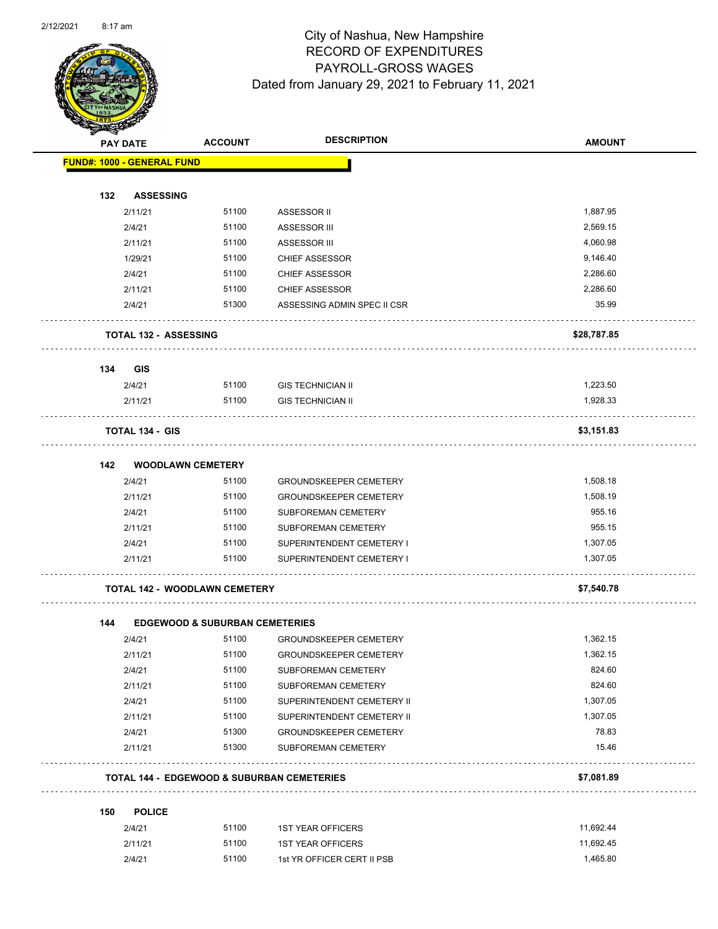

Page 44 of 96

| <b>STATERS</b> |                                      |                                           |                                                       |               |
|----------------|--------------------------------------|-------------------------------------------|-------------------------------------------------------|---------------|
|                | <b>PAY DATE</b>                      | <b>ACCOUNT</b>                            | <b>DESCRIPTION</b>                                    | <b>AMOUNT</b> |
|                | <b>FUND#: 1000 - GENERAL FUND</b>    |                                           |                                                       |               |
|                |                                      |                                           |                                                       |               |
| 132            | <b>ASSESSING</b>                     |                                           |                                                       |               |
|                | 2/11/21                              | 51100                                     | ASSESSOR II                                           | 1,887.95      |
|                | 2/4/21                               | 51100                                     | ASSESSOR III                                          | 2,569.15      |
|                | 2/11/21                              | 51100                                     | <b>ASSESSOR III</b>                                   | 4,060.98      |
|                | 1/29/21                              | 51100                                     | <b>CHIEF ASSESSOR</b>                                 | 9,146.40      |
|                | 2/4/21                               | 51100                                     | <b>CHIEF ASSESSOR</b>                                 | 2,286.60      |
|                | 2/11/21                              | 51100                                     | <b>CHIEF ASSESSOR</b>                                 | 2,286.60      |
|                | 2/4/21                               | 51300                                     | ASSESSING ADMIN SPEC II CSR                           | 35.99         |
|                | <b>TOTAL 132 - ASSESSING</b>         |                                           |                                                       | \$28,787.85   |
| 134            | <b>GIS</b>                           |                                           |                                                       |               |
|                | 2/4/21                               | 51100                                     | <b>GIS TECHNICIAN II</b>                              | 1,223.50      |
|                | 2/11/21                              | 51100                                     | <b>GIS TECHNICIAN II</b>                              | 1,928.33      |
|                | <b>TOTAL 134 - GIS</b>               |                                           |                                                       | \$3,151.83    |
| 142            | <b>WOODLAWN CEMETERY</b>             |                                           |                                                       |               |
|                | 2/4/21                               | 51100                                     | <b>GROUNDSKEEPER CEMETERY</b>                         | 1,508.18      |
|                | 2/11/21                              | 51100                                     | <b>GROUNDSKEEPER CEMETERY</b>                         | 1,508.19      |
|                | 2/4/21                               | 51100                                     | SUBFOREMAN CEMETERY                                   | 955.16        |
|                | 2/11/21                              | 51100                                     | <b>SUBFOREMAN CEMETERY</b>                            | 955.15        |
|                | 2/4/21                               | 51100                                     | SUPERINTENDENT CEMETERY I                             | 1,307.05      |
|                | 2/11/21                              | 51100                                     | SUPERINTENDENT CEMETERY I                             | 1,307.05      |
|                |                                      |                                           |                                                       |               |
|                | <b>TOTAL 142 - WOODLAWN CEMETERY</b> |                                           |                                                       | \$7,540.78    |
|                |                                      |                                           |                                                       |               |
| 144            |                                      | <b>EDGEWOOD &amp; SUBURBAN CEMETERIES</b> |                                                       |               |
|                | 2/4/21                               | 51100                                     | <b>GROUNDSKEEPER CEMETERY</b>                         | 1,362.15      |
|                | 2/11/21                              | 51100                                     | GROUNDSKEEPER CEMETERY                                | 1,362.15      |
|                | 2/4/21                               | 51100                                     | SUBFOREMAN CEMETERY                                   | 824.60        |
|                | 2/11/21                              | 51100                                     | SUBFOREMAN CEMETERY                                   | 824.60        |
|                | 2/4/21                               | 51100                                     | SUPERINTENDENT CEMETERY II                            | 1,307.05      |
|                | 2/11/21                              | 51100                                     | SUPERINTENDENT CEMETERY II                            | 1,307.05      |
|                | 2/4/21                               | 51300                                     | <b>GROUNDSKEEPER CEMETERY</b>                         | 78.83         |
|                | 2/11/21                              | 51300                                     | SUBFOREMAN CEMETERY                                   | 15.46         |
|                |                                      |                                           | <b>TOTAL 144 - EDGEWOOD &amp; SUBURBAN CEMETERIES</b> | \$7,081.89    |
| 150            | <b>POLICE</b>                        |                                           |                                                       |               |
|                | 2/4/21                               | 51100                                     | <b>1ST YEAR OFFICERS</b>                              | 11,692.44     |
|                | 2/11/21                              | 51100                                     | <b>1ST YEAR OFFICERS</b>                              | 11,692.45     |
|                | 2/4/21                               | 51100                                     | 1st YR OFFICER CERT II PSB                            | 1,465.80      |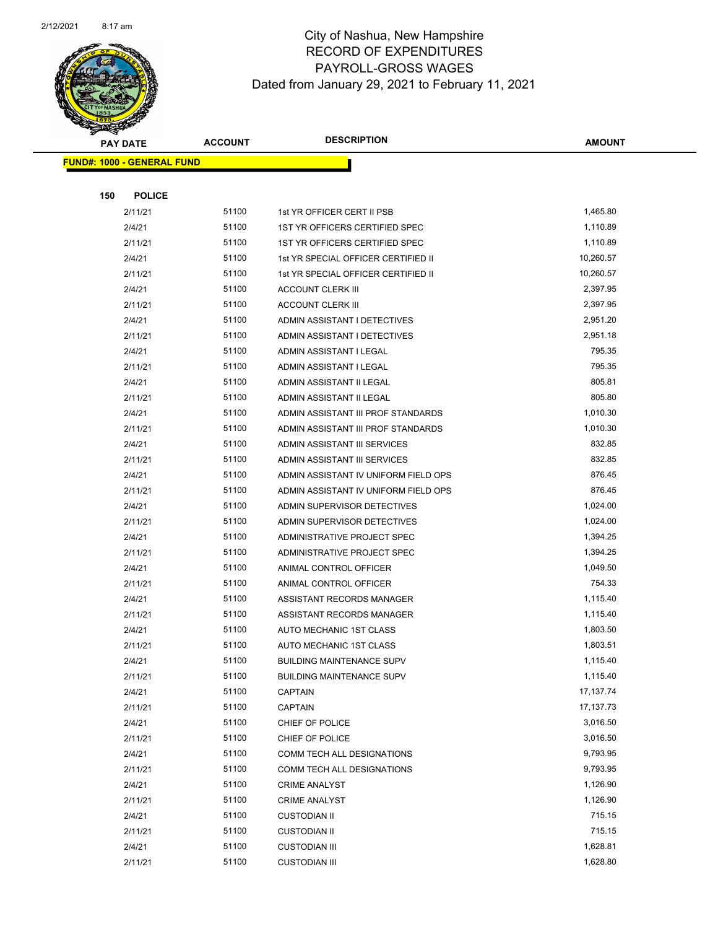

|     | <b>PAY DATE</b>                    | <b>ACCOUNT</b> | <b>DESCRIPTION</b>                                   | <b>AMOUNT</b>        |
|-----|------------------------------------|----------------|------------------------------------------------------|----------------------|
|     | <u> FUND#: 1000 - GENERAL FUND</u> |                |                                                      |                      |
|     |                                    |                |                                                      |                      |
| 150 | <b>POLICE</b>                      |                |                                                      |                      |
|     | 2/11/21                            | 51100          | 1st YR OFFICER CERT II PSB                           | 1,465.80             |
|     | 2/4/21                             | 51100          | 1ST YR OFFICERS CERTIFIED SPEC                       | 1,110.89             |
|     | 2/11/21                            | 51100          | 1ST YR OFFICERS CERTIFIED SPEC                       | 1,110.89             |
|     | 2/4/21                             | 51100          | 1st YR SPECIAL OFFICER CERTIFIED II                  | 10,260.57            |
|     | 2/11/21                            | 51100          | 1st YR SPECIAL OFFICER CERTIFIED II                  | 10,260.57            |
|     | 2/4/21                             | 51100          | <b>ACCOUNT CLERK III</b>                             | 2,397.95             |
|     | 2/11/21                            | 51100          | <b>ACCOUNT CLERK III</b>                             | 2,397.95             |
|     | 2/4/21                             | 51100          | ADMIN ASSISTANT I DETECTIVES                         | 2,951.20             |
|     | 2/11/21                            | 51100          | ADMIN ASSISTANT I DETECTIVES                         | 2,951.18             |
|     | 2/4/21                             | 51100          | ADMIN ASSISTANT I LEGAL                              | 795.35               |
|     | 2/11/21                            | 51100          | ADMIN ASSISTANT I LEGAL                              | 795.35               |
|     | 2/4/21                             | 51100          | ADMIN ASSISTANT II LEGAL                             | 805.81               |
|     | 2/11/21                            | 51100          | ADMIN ASSISTANT II LEGAL                             | 805.80               |
|     | 2/4/21                             | 51100          | ADMIN ASSISTANT III PROF STANDARDS                   | 1,010.30             |
|     | 2/11/21                            | 51100          | ADMIN ASSISTANT III PROF STANDARDS                   | 1,010.30             |
|     | 2/4/21                             | 51100          | ADMIN ASSISTANT III SERVICES                         | 832.85               |
|     | 2/11/21                            | 51100          | ADMIN ASSISTANT III SERVICES                         | 832.85               |
|     | 2/4/21                             | 51100          | ADMIN ASSISTANT IV UNIFORM FIELD OPS                 | 876.45               |
|     | 2/11/21                            | 51100          | ADMIN ASSISTANT IV UNIFORM FIELD OPS                 | 876.45               |
|     | 2/4/21                             | 51100          | ADMIN SUPERVISOR DETECTIVES                          | 1,024.00             |
|     | 2/11/21                            | 51100          | ADMIN SUPERVISOR DETECTIVES                          | 1,024.00             |
|     | 2/4/21                             | 51100          | ADMINISTRATIVE PROJECT SPEC                          | 1,394.25             |
|     | 2/11/21                            | 51100          | ADMINISTRATIVE PROJECT SPEC                          | 1,394.25             |
|     | 2/4/21                             | 51100          | ANIMAL CONTROL OFFICER                               | 1,049.50             |
|     | 2/11/21                            | 51100          | ANIMAL CONTROL OFFICER                               | 754.33               |
|     | 2/4/21                             | 51100<br>51100 | ASSISTANT RECORDS MANAGER                            | 1,115.40<br>1,115.40 |
|     | 2/11/21<br>2/4/21                  | 51100          | ASSISTANT RECORDS MANAGER<br>AUTO MECHANIC 1ST CLASS | 1,803.50             |
|     | 2/11/21                            | 51100          | AUTO MECHANIC 1ST CLASS                              | 1,803.51             |
|     | 2/4/21                             | 51100          | <b>BUILDING MAINTENANCE SUPV</b>                     | 1,115.40             |
|     | 2/11/21                            | 51100          | <b>BUILDING MAINTENANCE SUPV</b>                     | 1,115.40             |
|     | 2/4/21                             | 51100          | <b>CAPTAIN</b>                                       | 17,137.74            |
|     | 2/11/21                            | 51100          | <b>CAPTAIN</b>                                       | 17,137.73            |
|     | 2/4/21                             | 51100          | CHIEF OF POLICE                                      | 3,016.50             |
|     | 2/11/21                            | 51100          | CHIEF OF POLICE                                      | 3,016.50             |
|     | 2/4/21                             | 51100          | COMM TECH ALL DESIGNATIONS                           | 9,793.95             |
|     | 2/11/21                            | 51100          | COMM TECH ALL DESIGNATIONS                           | 9,793.95             |
|     | 2/4/21                             | 51100          | <b>CRIME ANALYST</b>                                 | 1,126.90             |
|     | 2/11/21                            | 51100          | <b>CRIME ANALYST</b>                                 | 1,126.90             |
|     | 2/4/21                             | 51100          | <b>CUSTODIAN II</b>                                  | 715.15               |
|     | 2/11/21                            | 51100          | <b>CUSTODIAN II</b>                                  | 715.15               |
|     | 2/4/21                             | 51100          | <b>CUSTODIAN III</b>                                 | 1,628.81             |
|     | 2/11/21                            | 51100          | <b>CUSTODIAN III</b>                                 | 1,628.80             |
|     |                                    |                |                                                      |                      |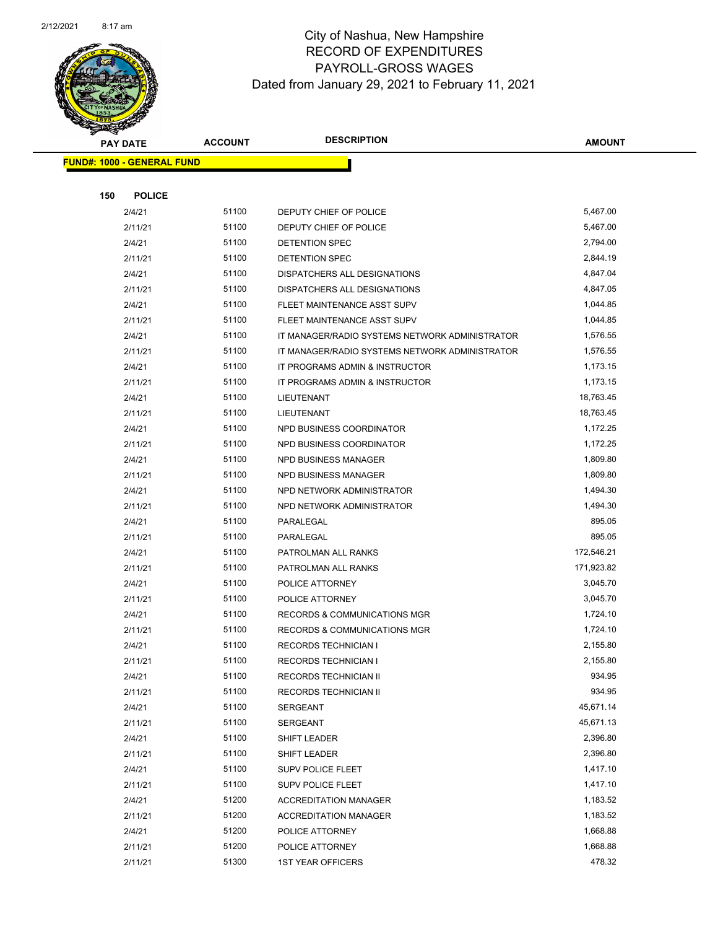

|     | <b>PAY DATE</b>                   | <b>ACCOUNT</b> | <b>DESCRIPTION</b>                             | <b>AMOUNT</b>      |  |
|-----|-----------------------------------|----------------|------------------------------------------------|--------------------|--|
|     | <b>FUND#: 1000 - GENERAL FUND</b> |                |                                                |                    |  |
|     |                                   |                |                                                |                    |  |
| 150 | <b>POLICE</b>                     |                |                                                |                    |  |
|     | 2/4/21                            | 51100          | DEPUTY CHIEF OF POLICE                         | 5,467.00           |  |
|     | 2/11/21                           | 51100          | DEPUTY CHIEF OF POLICE                         | 5,467.00           |  |
|     | 2/4/21                            | 51100          | DETENTION SPEC                                 | 2,794.00           |  |
|     | 2/11/21                           | 51100          | DETENTION SPEC                                 | 2,844.19           |  |
|     | 2/4/21                            | 51100          | DISPATCHERS ALL DESIGNATIONS                   | 4,847.04           |  |
|     | 2/11/21                           | 51100          | DISPATCHERS ALL DESIGNATIONS                   | 4,847.05           |  |
|     | 2/4/21                            | 51100          | FLEET MAINTENANCE ASST SUPV                    | 1,044.85           |  |
|     | 2/11/21                           | 51100          | FLEET MAINTENANCE ASST SUPV                    | 1,044.85           |  |
|     | 2/4/21                            | 51100          | IT MANAGER/RADIO SYSTEMS NETWORK ADMINISTRATOR | 1,576.55           |  |
|     | 2/11/21                           | 51100          | IT MANAGER/RADIO SYSTEMS NETWORK ADMINISTRATOR | 1,576.55           |  |
|     | 2/4/21                            | 51100          | IT PROGRAMS ADMIN & INSTRUCTOR                 | 1,173.15           |  |
|     | 2/11/21                           | 51100          | IT PROGRAMS ADMIN & INSTRUCTOR                 | 1,173.15           |  |
|     | 2/4/21                            | 51100          | LIEUTENANT                                     | 18,763.45          |  |
|     | 2/11/21                           | 51100          | LIEUTENANT                                     | 18,763.45          |  |
|     | 2/4/21                            | 51100          | NPD BUSINESS COORDINATOR                       | 1,172.25           |  |
|     | 2/11/21                           | 51100          | NPD BUSINESS COORDINATOR                       | 1,172.25           |  |
|     | 2/4/21                            | 51100          | NPD BUSINESS MANAGER                           | 1,809.80           |  |
|     | 2/11/21                           | 51100          | <b>NPD BUSINESS MANAGER</b>                    | 1,809.80           |  |
|     | 2/4/21                            | 51100          | NPD NETWORK ADMINISTRATOR                      | 1,494.30           |  |
|     | 2/11/21                           | 51100          | NPD NETWORK ADMINISTRATOR                      | 1,494.30           |  |
|     | 2/4/21                            | 51100          | PARALEGAL                                      | 895.05             |  |
|     | 2/11/21                           | 51100          | PARALEGAL                                      | 895.05             |  |
|     | 2/4/21                            | 51100          | PATROLMAN ALL RANKS                            | 172,546.21         |  |
|     | 2/11/21                           | 51100          | PATROLMAN ALL RANKS                            | 171,923.82         |  |
|     | 2/4/21                            | 51100          | POLICE ATTORNEY                                | 3,045.70           |  |
|     | 2/11/21                           | 51100          | POLICE ATTORNEY                                | 3,045.70           |  |
|     | 2/4/21                            | 51100          | RECORDS & COMMUNICATIONS MGR                   | 1,724.10           |  |
|     | 2/11/21                           | 51100          | RECORDS & COMMUNICATIONS MGR                   | 1,724.10           |  |
|     | 2/4/21                            | 51100          | <b>RECORDS TECHNICIAN I</b>                    | 2,155.80           |  |
|     | 2/11/21                           | 51100          | <b>RECORDS TECHNICIAN I</b>                    | 2,155.80<br>934.95 |  |
|     | 2/4/21                            | 51100<br>51100 | RECORDS TECHNICIAN II                          | 934.95             |  |
|     | 2/11/21<br>2/4/21                 | 51100          | RECORDS TECHNICIAN II                          | 45,671.14          |  |
|     | 2/11/21                           | 51100          | SERGEANT<br>SERGEANT                           | 45,671.13          |  |
|     | 2/4/21                            | 51100          | <b>SHIFT LEADER</b>                            | 2,396.80           |  |
|     | 2/11/21                           | 51100          | SHIFT LEADER                                   | 2,396.80           |  |
|     | 2/4/21                            | 51100          | <b>SUPV POLICE FLEET</b>                       | 1,417.10           |  |
|     | 2/11/21                           | 51100          | SUPV POLICE FLEET                              | 1,417.10           |  |
|     | 2/4/21                            | 51200          | <b>ACCREDITATION MANAGER</b>                   | 1,183.52           |  |
|     | 2/11/21                           | 51200          | <b>ACCREDITATION MANAGER</b>                   | 1,183.52           |  |
|     | 2/4/21                            | 51200          | POLICE ATTORNEY                                | 1,668.88           |  |
|     | 2/11/21                           | 51200          | POLICE ATTORNEY                                | 1,668.88           |  |
|     | 2/11/21                           | 51300          | <b>1ST YEAR OFFICERS</b>                       | 478.32             |  |
|     |                                   |                |                                                |                    |  |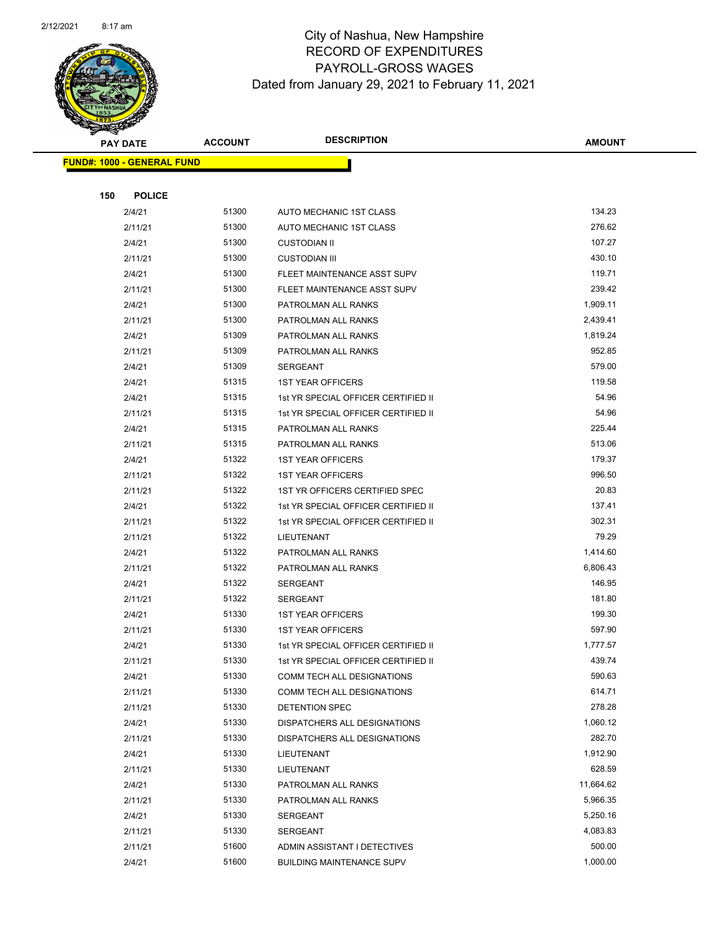

|     | <b>PAY DATE</b>                   | <b>ACCOUNT</b> | <b>DESCRIPTION</b>                                                | <b>AMOUNT</b>      |
|-----|-----------------------------------|----------------|-------------------------------------------------------------------|--------------------|
|     | <b>FUND#: 1000 - GENERAL FUND</b> |                |                                                                   |                    |
|     |                                   |                |                                                                   |                    |
| 150 | <b>POLICE</b>                     |                |                                                                   |                    |
|     | 2/4/21                            | 51300          | AUTO MECHANIC 1ST CLASS                                           | 134.23             |
|     | 2/11/21                           | 51300          | AUTO MECHANIC 1ST CLASS                                           | 276.62             |
|     | 2/4/21                            | 51300          | <b>CUSTODIAN II</b>                                               | 107.27             |
|     | 2/11/21                           | 51300          | <b>CUSTODIAN III</b>                                              | 430.10             |
|     | 2/4/21                            | 51300          | FLEET MAINTENANCE ASST SUPV                                       | 119.71             |
|     | 2/11/21                           | 51300          | FLEET MAINTENANCE ASST SUPV                                       | 239.42             |
|     | 2/4/21                            | 51300          | PATROLMAN ALL RANKS                                               | 1,909.11           |
|     | 2/11/21                           | 51300          | PATROLMAN ALL RANKS                                               | 2,439.41           |
|     | 2/4/21                            | 51309          | PATROLMAN ALL RANKS                                               | 1,819.24           |
|     | 2/11/21                           | 51309          | PATROLMAN ALL RANKS                                               | 952.85             |
|     | 2/4/21                            | 51309          | SERGEANT                                                          | 579.00             |
|     | 2/4/21                            | 51315          | <b>1ST YEAR OFFICERS</b>                                          | 119.58             |
|     | 2/4/21                            | 51315          | 1st YR SPECIAL OFFICER CERTIFIED II                               | 54.96              |
|     | 2/11/21                           | 51315          | 1st YR SPECIAL OFFICER CERTIFIED II                               | 54.96              |
|     | 2/4/21                            | 51315          | PATROLMAN ALL RANKS                                               | 225.44             |
|     | 2/11/21                           | 51315          | PATROLMAN ALL RANKS                                               | 513.06             |
|     | 2/4/21                            | 51322          | <b>1ST YEAR OFFICERS</b>                                          | 179.37             |
|     | 2/11/21                           | 51322          | <b>1ST YEAR OFFICERS</b>                                          | 996.50             |
|     | 2/11/21                           | 51322          | 1ST YR OFFICERS CERTIFIED SPEC                                    | 20.83              |
|     | 2/4/21                            | 51322          | 1st YR SPECIAL OFFICER CERTIFIED II                               | 137.41             |
|     | 2/11/21                           | 51322          | 1st YR SPECIAL OFFICER CERTIFIED II                               | 302.31             |
|     | 2/11/21                           | 51322          | LIEUTENANT                                                        | 79.29              |
|     | 2/4/21                            | 51322          | PATROLMAN ALL RANKS                                               | 1,414.60           |
|     | 2/11/21                           | 51322          | PATROLMAN ALL RANKS                                               | 6,806.43           |
|     | 2/4/21                            | 51322          | <b>SERGEANT</b>                                                   | 146.95             |
|     | 2/11/21                           | 51322          | SERGEANT                                                          | 181.80             |
|     | 2/4/21                            | 51330          | <b>1ST YEAR OFFICERS</b>                                          | 199.30             |
|     | 2/11/21                           | 51330<br>51330 | <b>1ST YEAR OFFICERS</b><br>1st YR SPECIAL OFFICER CERTIFIED II   | 597.90<br>1,777.57 |
|     | 2/4/21                            | 51330          |                                                                   | 439.74             |
|     | 2/11/21<br>2/4/21                 | 51330          | 1st YR SPECIAL OFFICER CERTIFIED II<br>COMM TECH ALL DESIGNATIONS | 590.63             |
|     | 2/11/21                           | 51330          | COMM TECH ALL DESIGNATIONS                                        | 614.71             |
|     | 2/11/21                           | 51330          | DETENTION SPEC                                                    | 278.28             |
|     | 2/4/21                            | 51330          | DISPATCHERS ALL DESIGNATIONS                                      | 1,060.12           |
|     | 2/11/21                           | 51330          | DISPATCHERS ALL DESIGNATIONS                                      | 282.70             |
|     | 2/4/21                            | 51330          | LIEUTENANT                                                        | 1,912.90           |
|     | 2/11/21                           | 51330          | LIEUTENANT                                                        | 628.59             |
|     | 2/4/21                            | 51330          | PATROLMAN ALL RANKS                                               | 11,664.62          |
|     | 2/11/21                           | 51330          | PATROLMAN ALL RANKS                                               | 5,966.35           |
|     | 2/4/21                            | 51330          | SERGEANT                                                          | 5,250.16           |
|     | 2/11/21                           | 51330          | SERGEANT                                                          | 4,083.83           |
|     | 2/11/21                           | 51600          | ADMIN ASSISTANT I DETECTIVES                                      | 500.00             |
|     | 2/4/21                            | 51600          | <b>BUILDING MAINTENANCE SUPV</b>                                  | 1,000.00           |
|     |                                   |                |                                                                   |                    |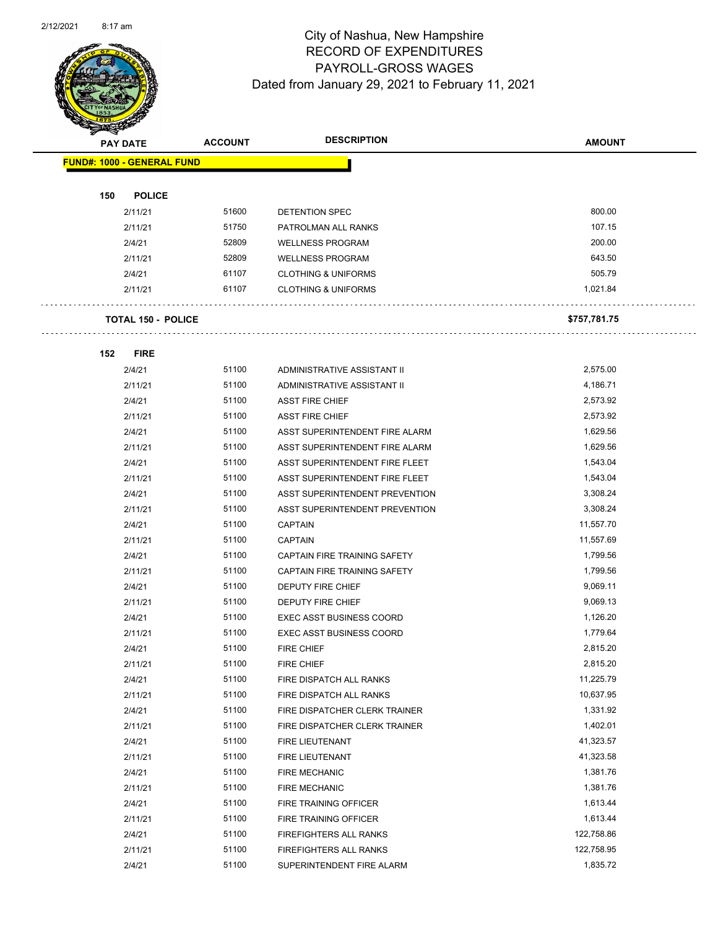

Page 48 of 96

|     | <b>PAY DATE</b>                   | <b>ACCOUNT</b> | <b>DESCRIPTION</b>              | <b>AMOUNT</b> |
|-----|-----------------------------------|----------------|---------------------------------|---------------|
|     | <b>FUND#: 1000 - GENERAL FUND</b> |                |                                 |               |
|     |                                   |                |                                 |               |
| 150 | <b>POLICE</b>                     |                |                                 |               |
|     | 2/11/21                           | 51600          | DETENTION SPEC                  | 800.00        |
|     | 2/11/21                           | 51750          | PATROLMAN ALL RANKS             | 107.15        |
|     | 2/4/21                            | 52809          | <b>WELLNESS PROGRAM</b>         | 200.00        |
|     | 2/11/21                           | 52809          | <b>WELLNESS PROGRAM</b>         | 643.50        |
|     | 2/4/21                            | 61107          | <b>CLOTHING &amp; UNIFORMS</b>  | 505.79        |
|     | 2/11/21                           | 61107          | <b>CLOTHING &amp; UNIFORMS</b>  | 1,021.84      |
|     | <b>TOTAL 150 - POLICE</b>         |                |                                 | \$757,781.75  |
|     |                                   |                |                                 |               |
| 152 | <b>FIRE</b>                       |                |                                 |               |
|     | 2/4/21                            | 51100          | ADMINISTRATIVE ASSISTANT II     | 2,575.00      |
|     | 2/11/21                           | 51100          | ADMINISTRATIVE ASSISTANT II     | 4,186.71      |
|     | 2/4/21                            | 51100          | <b>ASST FIRE CHIEF</b>          | 2,573.92      |
|     | 2/11/21                           | 51100          | <b>ASST FIRE CHIEF</b>          | 2,573.92      |
|     | 2/4/21                            | 51100          | ASST SUPERINTENDENT FIRE ALARM  | 1,629.56      |
|     | 2/11/21                           | 51100          | ASST SUPERINTENDENT FIRE ALARM  | 1,629.56      |
|     | 2/4/21                            | 51100          | ASST SUPERINTENDENT FIRE FLEET  | 1,543.04      |
|     | 2/11/21                           | 51100          | ASST SUPERINTENDENT FIRE FLEET  | 1,543.04      |
|     | 2/4/21                            | 51100          | ASST SUPERINTENDENT PREVENTION  | 3,308.24      |
|     | 2/11/21                           | 51100          | ASST SUPERINTENDENT PREVENTION  | 3,308.24      |
|     | 2/4/21                            | 51100          | <b>CAPTAIN</b>                  | 11,557.70     |
|     | 2/11/21                           | 51100          | <b>CAPTAIN</b>                  | 11,557.69     |
|     | 2/4/21                            | 51100          | CAPTAIN FIRE TRAINING SAFETY    | 1,799.56      |
|     | 2/11/21                           | 51100          | CAPTAIN FIRE TRAINING SAFETY    | 1,799.56      |
|     | 2/4/21                            | 51100          | DEPUTY FIRE CHIEF               | 9,069.11      |
|     | 2/11/21                           | 51100          | <b>DEPUTY FIRE CHIEF</b>        | 9,069.13      |
|     | 2/4/21                            | 51100          | <b>EXEC ASST BUSINESS COORD</b> | 1,126.20      |
|     | 2/11/21                           | 51100          | <b>EXEC ASST BUSINESS COORD</b> | 1,779.64      |
|     | 2/4/21                            | 51100          | FIRE CHIEF                      | 2,815.20      |
|     | 2/11/21                           | 51100          | FIRE CHIEF                      | 2,815.20      |
|     | 2/4/21                            | 51100          | FIRE DISPATCH ALL RANKS         | 11,225.79     |
|     | 2/11/21                           | 51100          | FIRE DISPATCH ALL RANKS         | 10,637.95     |
|     | 2/4/21                            | 51100          | FIRE DISPATCHER CLERK TRAINER   | 1,331.92      |
|     | 2/11/21                           | 51100          | FIRE DISPATCHER CLERK TRAINER   | 1,402.01      |
|     | 2/4/21                            | 51100          | FIRE LIEUTENANT                 | 41,323.57     |
|     | 2/11/21                           | 51100          | FIRE LIEUTENANT                 | 41,323.58     |
|     | 2/4/21                            | 51100          | <b>FIRE MECHANIC</b>            | 1,381.76      |
|     | 2/11/21                           | 51100          | <b>FIRE MECHANIC</b>            | 1,381.76      |
|     | 2/4/21                            | 51100          | FIRE TRAINING OFFICER           | 1,613.44      |
|     | 2/11/21                           | 51100          | FIRE TRAINING OFFICER           | 1,613.44      |
|     | 2/4/21                            | 51100          | <b>FIREFIGHTERS ALL RANKS</b>   | 122,758.86    |
|     | 2/11/21                           | 51100          | FIREFIGHTERS ALL RANKS          | 122,758.95    |
|     | 2/4/21                            | 51100          | SUPERINTENDENT FIRE ALARM       | 1,835.72      |
|     |                                   |                |                                 |               |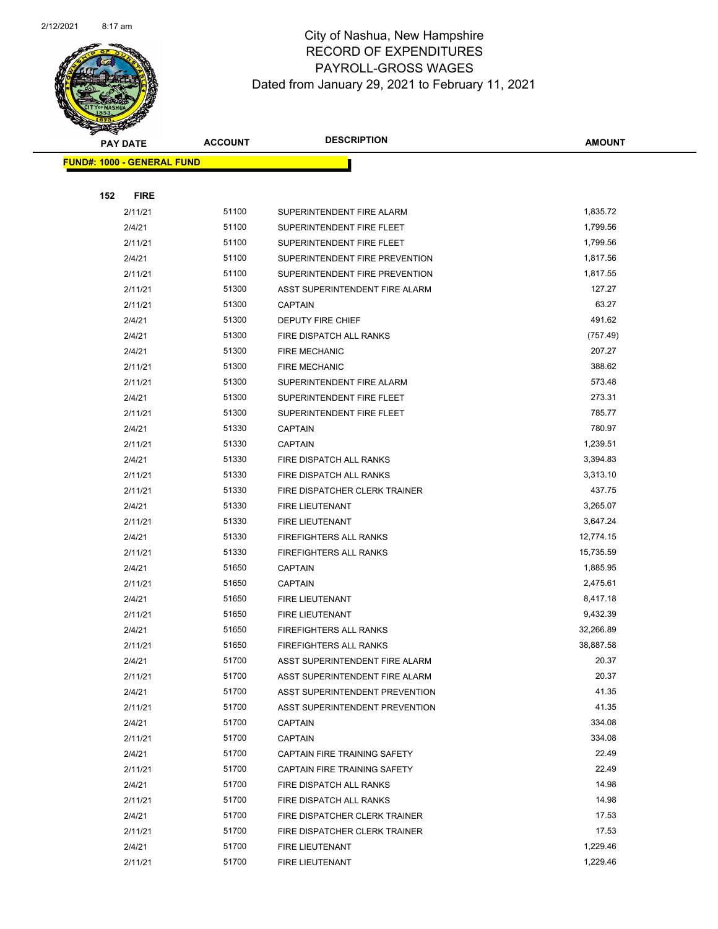

|     | <b>PAY DATE</b>                    | <b>ACCOUNT</b> | <b>DESCRIPTION</b>                                      | <b>AMOUNT</b>         |
|-----|------------------------------------|----------------|---------------------------------------------------------|-----------------------|
|     | <u> FUND#: 1000 - GENERAL FUND</u> |                |                                                         |                       |
|     |                                    |                |                                                         |                       |
| 152 | <b>FIRE</b>                        |                |                                                         |                       |
|     | 2/11/21                            | 51100          | SUPERINTENDENT FIRE ALARM                               | 1,835.72              |
|     | 2/4/21                             | 51100          | SUPERINTENDENT FIRE FLEET                               | 1,799.56              |
|     | 2/11/21                            | 51100          | SUPERINTENDENT FIRE FLEET                               | 1,799.56              |
|     | 2/4/21                             | 51100          | SUPERINTENDENT FIRE PREVENTION                          | 1,817.56              |
|     | 2/11/21                            | 51100          | SUPERINTENDENT FIRE PREVENTION                          | 1,817.55              |
|     | 2/11/21                            | 51300          | ASST SUPERINTENDENT FIRE ALARM                          | 127.27                |
|     | 2/11/21                            | 51300          | <b>CAPTAIN</b>                                          | 63.27                 |
|     | 2/4/21                             | 51300          | DEPUTY FIRE CHIEF                                       | 491.62                |
|     | 2/4/21                             | 51300          | FIRE DISPATCH ALL RANKS                                 | (757.49)              |
|     | 2/4/21                             | 51300          | <b>FIRE MECHANIC</b>                                    | 207.27                |
|     | 2/11/21                            | 51300          | <b>FIRE MECHANIC</b>                                    | 388.62                |
|     | 2/11/21                            | 51300          | SUPERINTENDENT FIRE ALARM                               | 573.48                |
|     | 2/4/21                             | 51300          | SUPERINTENDENT FIRE FLEET                               | 273.31                |
|     | 2/11/21                            | 51300          | SUPERINTENDENT FIRE FLEET                               | 785.77                |
|     | 2/4/21                             | 51330          | <b>CAPTAIN</b>                                          | 780.97                |
|     | 2/11/21                            | 51330          | <b>CAPTAIN</b>                                          | 1,239.51              |
|     | 2/4/21                             | 51330          | FIRE DISPATCH ALL RANKS                                 | 3,394.83              |
|     | 2/11/21                            | 51330          | FIRE DISPATCH ALL RANKS                                 | 3,313.10              |
|     | 2/11/21                            | 51330          | FIRE DISPATCHER CLERK TRAINER                           | 437.75                |
|     | 2/4/21                             | 51330          | FIRE LIEUTENANT                                         | 3,265.07              |
|     | 2/11/21                            | 51330          | FIRE LIEUTENANT                                         | 3,647.24              |
|     | 2/4/21                             | 51330          | <b>FIREFIGHTERS ALL RANKS</b>                           | 12,774.15             |
|     | 2/11/21                            | 51330          | <b>FIREFIGHTERS ALL RANKS</b>                           | 15,735.59             |
|     | 2/4/21                             | 51650          | <b>CAPTAIN</b>                                          | 1,885.95              |
|     | 2/11/21                            | 51650          | <b>CAPTAIN</b>                                          | 2,475.61              |
|     | 2/4/21                             | 51650          | FIRE LIEUTENANT                                         | 8,417.18              |
|     | 2/11/21                            | 51650<br>51650 | FIRE LIEUTENANT                                         | 9,432.39<br>32,266.89 |
|     | 2/4/21<br>2/11/21                  | 51650          | <b>FIREFIGHTERS ALL RANKS</b><br>FIREFIGHTERS ALL RANKS | 38,887.58             |
|     | 2/4/21                             | 51700          | ASST SUPERINTENDENT FIRE ALARM                          | 20.37                 |
|     | 2/11/21                            | 51700          | ASST SUPERINTENDENT FIRE ALARM                          | 20.37                 |
|     | 2/4/21                             | 51700          | <b>ASST SUPERINTENDENT PREVENTION</b>                   | 41.35                 |
|     | 2/11/21                            | 51700          | ASST SUPERINTENDENT PREVENTION                          | 41.35                 |
|     | 2/4/21                             | 51700          | <b>CAPTAIN</b>                                          | 334.08                |
|     | 2/11/21                            | 51700          | <b>CAPTAIN</b>                                          | 334.08                |
|     | 2/4/21                             | 51700          | CAPTAIN FIRE TRAINING SAFETY                            | 22.49                 |
|     | 2/11/21                            | 51700          | CAPTAIN FIRE TRAINING SAFETY                            | 22.49                 |
|     | 2/4/21                             | 51700          | FIRE DISPATCH ALL RANKS                                 | 14.98                 |
|     | 2/11/21                            | 51700          | FIRE DISPATCH ALL RANKS                                 | 14.98                 |
|     | 2/4/21                             | 51700          | FIRE DISPATCHER CLERK TRAINER                           | 17.53                 |
|     | 2/11/21                            | 51700          | FIRE DISPATCHER CLERK TRAINER                           | 17.53                 |
|     | 2/4/21                             | 51700          | FIRE LIEUTENANT                                         | 1,229.46              |
|     | 2/11/21                            | 51700          | FIRE LIEUTENANT                                         | 1,229.46              |
|     |                                    |                |                                                         |                       |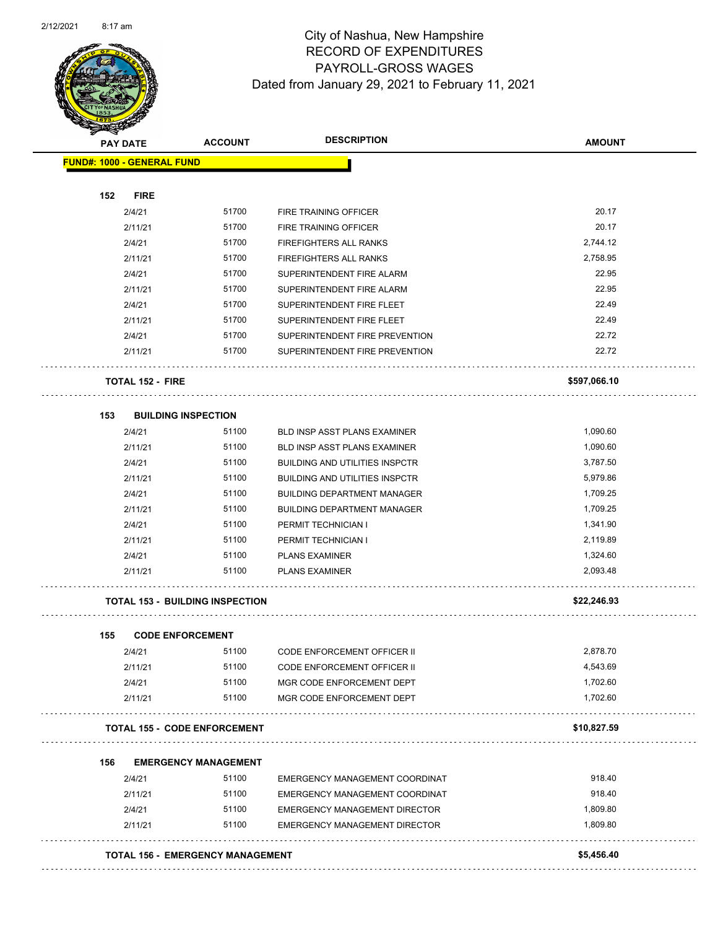

Page 50 of 96

| <b>PAY DATE</b>                   | <b>ACCOUNT</b>                          | <b>DESCRIPTION</b>                              | <b>AMOUNT</b> |
|-----------------------------------|-----------------------------------------|-------------------------------------------------|---------------|
| <b>FUND#: 1000 - GENERAL FUND</b> |                                         |                                                 |               |
|                                   |                                         |                                                 |               |
| 152<br><b>FIRE</b>                | 51700                                   |                                                 | 20.17         |
| 2/4/21                            | 51700                                   | FIRE TRAINING OFFICER                           | 20.17         |
| 2/11/21<br>2/4/21                 | 51700                                   | FIRE TRAINING OFFICER<br>FIREFIGHTERS ALL RANKS | 2,744.12      |
| 2/11/21                           | 51700                                   | FIREFIGHTERS ALL RANKS                          | 2,758.95      |
| 2/4/21                            | 51700                                   | SUPERINTENDENT FIRE ALARM                       | 22.95         |
| 2/11/21                           | 51700                                   | SUPERINTENDENT FIRE ALARM                       | 22.95         |
| 2/4/21                            | 51700                                   | SUPERINTENDENT FIRE FLEET                       | 22.49         |
| 2/11/21                           | 51700                                   | SUPERINTENDENT FIRE FLEET                       | 22.49         |
| 2/4/21                            | 51700                                   | SUPERINTENDENT FIRE PREVENTION                  | 22.72         |
| 2/11/21                           | 51700                                   | SUPERINTENDENT FIRE PREVENTION                  | 22.72         |
| <b>TOTAL 152 - FIRE</b>           |                                         |                                                 | \$597,066.10  |
| 153                               | <b>BUILDING INSPECTION</b>              |                                                 |               |
| 2/4/21                            | 51100                                   | <b>BLD INSP ASST PLANS EXAMINER</b>             | 1,090.60      |
| 2/11/21                           | 51100                                   | <b>BLD INSP ASST PLANS EXAMINER</b>             | 1,090.60      |
| 2/4/21                            | 51100                                   | <b>BUILDING AND UTILITIES INSPCTR</b>           | 3,787.50      |
| 2/11/21                           | 51100                                   | <b>BUILDING AND UTILITIES INSPCTR</b>           | 5,979.86      |
| 2/4/21                            | 51100                                   | <b>BUILDING DEPARTMENT MANAGER</b>              | 1,709.25      |
| 2/11/21                           | 51100                                   | <b>BUILDING DEPARTMENT MANAGER</b>              | 1,709.25      |
| 2/4/21                            | 51100                                   | PERMIT TECHNICIAN I                             | 1,341.90      |
| 2/11/21                           | 51100                                   | PERMIT TECHNICIAN I                             | 2,119.89      |
| 2/4/21                            | 51100                                   | <b>PLANS EXAMINER</b>                           | 1,324.60      |
| 2/11/21                           | 51100                                   | <b>PLANS EXAMINER</b>                           | 2,093.48      |
|                                   | <b>TOTAL 153 - BUILDING INSPECTION</b>  |                                                 | \$22,246.93   |
| 155                               | <b>CODE ENFORCEMENT</b>                 |                                                 |               |
| 2/4/21                            | 51100                                   | CODE ENFORCEMENT OFFICER II                     | 2,878.70      |
| 2/11/21                           | 51100                                   | <b>CODE ENFORCEMENT OFFICER II</b>              | 4,543.69      |
| 2/4/21                            | 51100                                   | MGR CODE ENFORCEMENT DEPT                       | 1,702.60      |
| 2/11/21                           | 51100                                   | MGR CODE ENFORCEMENT DEPT                       | 1,702.60      |
|                                   | <b>TOTAL 155 - CODE ENFORCEMENT</b>     |                                                 | \$10,827.59   |
| 156                               | <b>EMERGENCY MANAGEMENT</b>             |                                                 |               |
| 2/4/21                            | 51100                                   | EMERGENCY MANAGEMENT COORDINAT                  | 918.40        |
| 2/11/21                           | 51100                                   | EMERGENCY MANAGEMENT COORDINAT                  | 918.40        |
| 2/4/21                            | 51100                                   | <b>EMERGENCY MANAGEMENT DIRECTOR</b>            | 1,809.80      |
| 2/11/21                           | 51100                                   | <b>EMERGENCY MANAGEMENT DIRECTOR</b>            | 1,809.80      |
|                                   | <b>TOTAL 156 - EMERGENCY MANAGEMENT</b> |                                                 | \$5,456.40    |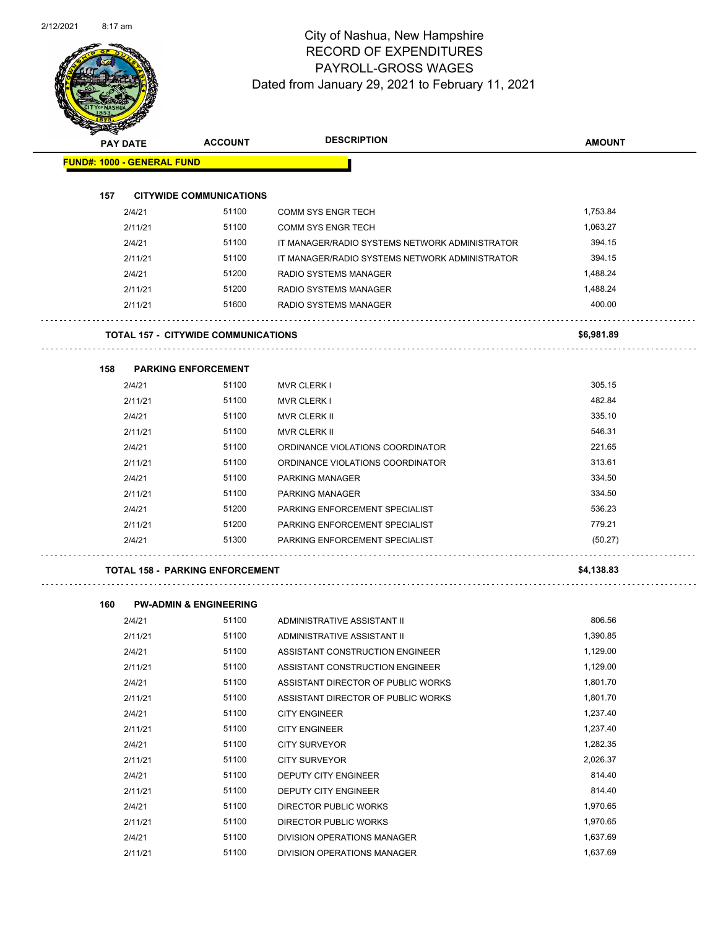

Page 51 of 96

| <b>PAY DATE</b>                   | <b>ACCOUNT</b>                             | <b>DESCRIPTION</b>                             | <b>AMOUNT</b> |
|-----------------------------------|--------------------------------------------|------------------------------------------------|---------------|
| <b>FUND#: 1000 - GENERAL FUND</b> |                                            |                                                |               |
|                                   |                                            |                                                |               |
| 157<br>2/4/21                     | <b>CITYWIDE COMMUNICATIONS</b><br>51100    | <b>COMM SYS ENGR TECH</b>                      | 1,753.84      |
| 2/11/21                           | 51100                                      | <b>COMM SYS ENGR TECH</b>                      | 1,063.27      |
| 2/4/21                            | 51100                                      | IT MANAGER/RADIO SYSTEMS NETWORK ADMINISTRATOR | 394.15        |
| 2/11/21                           | 51100                                      | IT MANAGER/RADIO SYSTEMS NETWORK ADMINISTRATOR | 394.15        |
| 2/4/21                            | 51200                                      | <b>RADIO SYSTEMS MANAGER</b>                   | 1,488.24      |
| 2/11/21                           | 51200                                      | RADIO SYSTEMS MANAGER                          | 1,488.24      |
| 2/11/21                           | 51600                                      | RADIO SYSTEMS MANAGER                          | 400.00        |
|                                   |                                            |                                                |               |
|                                   | <b>TOTAL 157 - CITYWIDE COMMUNICATIONS</b> |                                                | \$6,981.89    |
| 158                               | <b>PARKING ENFORCEMENT</b>                 |                                                |               |
| 2/4/21                            | 51100                                      | <b>MVR CLERK I</b>                             | 305.15        |
| 2/11/21                           | 51100                                      | <b>MVR CLERK I</b>                             | 482.84        |
| 2/4/21                            | 51100                                      | <b>MVR CLERK II</b>                            | 335.10        |
| 2/11/21                           | 51100                                      | <b>MVR CLERK II</b>                            | 546.31        |
| 2/4/21                            | 51100                                      | ORDINANCE VIOLATIONS COORDINATOR               | 221.65        |
| 2/11/21                           | 51100                                      | ORDINANCE VIOLATIONS COORDINATOR               | 313.61        |
| 2/4/21                            | 51100                                      | <b>PARKING MANAGER</b>                         | 334.50        |
| 2/11/21                           | 51100                                      | <b>PARKING MANAGER</b>                         | 334.50        |
| 2/4/21                            | 51200                                      | PARKING ENFORCEMENT SPECIALIST                 | 536.23        |
| 2/11/21                           | 51200                                      | PARKING ENFORCEMENT SPECIALIST                 | 779.21        |
| 2/4/21                            | 51300                                      | PARKING ENFORCEMENT SPECIALIST                 | (50.27)       |
|                                   | <b>TOTAL 158 - PARKING ENFORCEMENT</b>     |                                                | \$4,138.83    |
|                                   |                                            |                                                |               |
| 160                               | <b>PW-ADMIN &amp; ENGINEERING</b>          |                                                |               |
| 2/4/21                            | 51100                                      | ADMINISTRATIVE ASSISTANT II                    | 806.56        |
| 2/11/21                           | 51100                                      | ADMINISTRATIVE ASSISTANT II                    | 1,390.85      |
| 2/4/21                            | 51100                                      | ASSISTANT CONSTRUCTION ENGINEER                | 1,129.00      |
| 2/11/21                           | 51100                                      | ASSISTANT CONSTRUCTION ENGINEER                | 1,129.00      |
| 2/4/21                            | 51100                                      | ASSISTANT DIRECTOR OF PUBLIC WORKS             | 1,801.70      |
| 2/11/21                           | 51100                                      | ASSISTANT DIRECTOR OF PUBLIC WORKS             | 1,801.70      |
| 2/4/21                            | 51100                                      | <b>CITY ENGINEER</b>                           | 1,237.40      |
| 2/11/21                           | 51100                                      | <b>CITY ENGINEER</b>                           | 1,237.40      |
| 2/4/21                            | 51100                                      | <b>CITY SURVEYOR</b>                           | 1,282.35      |
| 2/11/21                           | 51100                                      | <b>CITY SURVEYOR</b>                           | 2,026.37      |
| 2/4/21                            | 51100                                      | DEPUTY CITY ENGINEER                           | 814.40        |
| 2/11/21                           | 51100                                      | DEPUTY CITY ENGINEER                           | 814.40        |
| 2/4/21                            | 51100                                      | <b>DIRECTOR PUBLIC WORKS</b>                   | 1,970.65      |

2/11/21 51100 DIRECTOR PUBLIC WORKS 1,970.65 2/4/21 51100 DIVISION OPERATIONS MANAGER 1,637.69 2/11/21 51100 DIVISION OPERATIONS MANAGER 1,637.69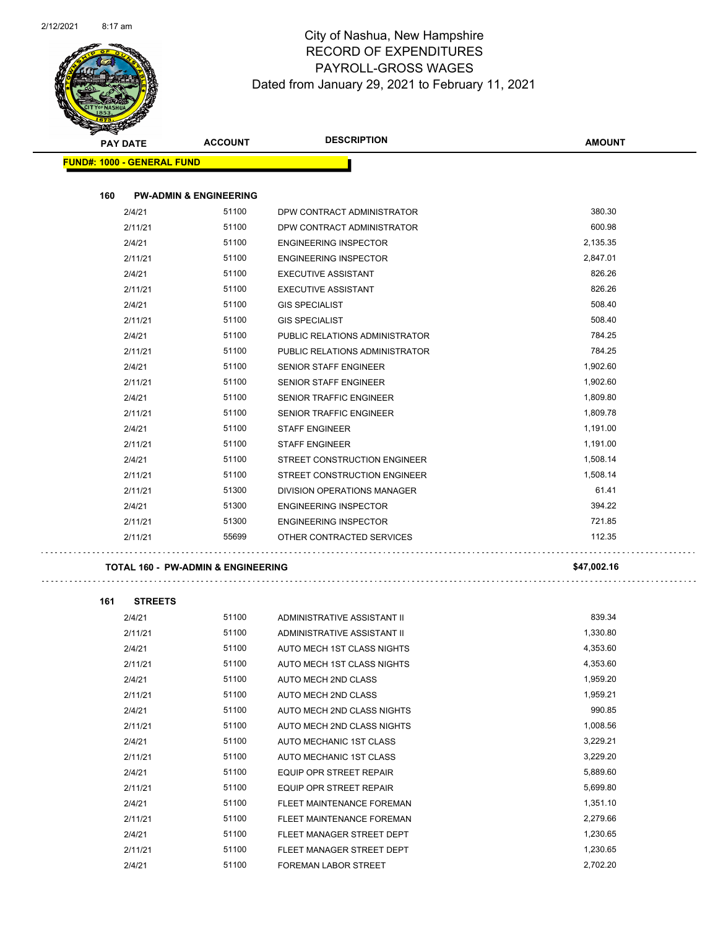

| <b>PAY DATE</b>                   | <b>ACCOUNT</b>                    | <b>DESCRIPTION</b>             | <b>AMOUNT</b> |
|-----------------------------------|-----------------------------------|--------------------------------|---------------|
| <b>FUND#: 1000 - GENERAL FUND</b> |                                   |                                |               |
| 160                               | <b>PW-ADMIN &amp; ENGINEERING</b> |                                |               |
| 2/4/21                            | 51100                             | DPW CONTRACT ADMINISTRATOR     | 380.30        |
| 2/11/21                           | 51100                             | DPW CONTRACT ADMINISTRATOR     | 600.98        |
| 2/4/21                            | 51100                             | <b>ENGINEERING INSPECTOR</b>   | 2,135.35      |
| 2/11/21                           | 51100                             | <b>ENGINEERING INSPECTOR</b>   | 2,847.01      |
| 2/4/21                            | 51100                             | <b>EXECUTIVE ASSISTANT</b>     | 826.26        |
| 2/11/21                           | 51100                             | <b>EXECUTIVE ASSISTANT</b>     | 826.26        |
| 2/4/21                            | 51100                             | <b>GIS SPECIALIST</b>          | 508.40        |
| 2/11/21                           | 51100                             | <b>GIS SPECIALIST</b>          | 508.40        |
| 2/4/21                            | 51100                             | PUBLIC RELATIONS ADMINISTRATOR | 784.25        |
| 2/11/21                           | 51100                             | PUBLIC RELATIONS ADMINISTRATOR | 784.25        |
| 2/4/21                            | 51100                             | <b>SENIOR STAFF ENGINEER</b>   | 1,902.60      |
| 2/11/21                           | 51100                             | SENIOR STAFF ENGINEER          | 1,902.60      |
| 2/4/21                            | 51100                             | SENIOR TRAFFIC ENGINEER        | 1,809.80      |
| 2/11/21                           | 51100                             | <b>SENIOR TRAFFIC ENGINEER</b> | 1,809.78      |
| 2/4/21                            | 51100                             | <b>STAFF ENGINEER</b>          | 1,191.00      |
| 2/11/21                           | 51100                             | <b>STAFF ENGINEER</b>          | 1,191.00      |
| 2/4/21                            | 51100                             | STREET CONSTRUCTION ENGINEER   | 1,508.14      |
| 2/11/21                           | 51100                             | STREET CONSTRUCTION ENGINEER   | 1,508.14      |
| 2/11/21                           | 51300                             | DIVISION OPERATIONS MANAGER    | 61.41         |
| 2/4/21                            | 51300                             | <b>ENGINEERING INSPECTOR</b>   | 394.22        |
| 2/11/21                           | 51300                             | <b>ENGINEERING INSPECTOR</b>   | 721.85        |
| 2/11/21                           | 55699                             | OTHER CONTRACTED SERVICES      | 112.35        |

| 161 | <b>STREETS</b> |       |                                |          |
|-----|----------------|-------|--------------------------------|----------|
|     | 2/4/21         | 51100 | ADMINISTRATIVE ASSISTANT II    | 839.34   |
|     | 2/11/21        | 51100 | ADMINISTRATIVE ASSISTANT II    | 1,330.80 |
|     | 2/4/21         | 51100 | AUTO MECH 1ST CLASS NIGHTS     | 4,353.60 |
|     | 2/11/21        | 51100 | AUTO MECH 1ST CLASS NIGHTS     | 4,353.60 |
|     | 2/4/21         | 51100 | AUTO MECH 2ND CLASS            | 1,959.20 |
|     | 2/11/21        | 51100 | AUTO MECH 2ND CLASS            | 1,959.21 |
|     | 2/4/21         | 51100 | AUTO MECH 2ND CLASS NIGHTS     | 990.85   |
|     | 2/11/21        | 51100 | AUTO MECH 2ND CLASS NIGHTS     | 1,008.56 |
|     | 2/4/21         | 51100 | AUTO MECHANIC 1ST CLASS        | 3,229.21 |
|     | 2/11/21        | 51100 | AUTO MECHANIC 1ST CLASS        | 3,229.20 |
|     | 2/4/21         | 51100 | <b>EQUIP OPR STREET REPAIR</b> | 5,889.60 |
|     | 2/11/21        | 51100 | <b>EQUIP OPR STREET REPAIR</b> | 5,699.80 |
|     | 2/4/21         | 51100 | FLEET MAINTENANCE FOREMAN      | 1,351.10 |
|     | 2/11/21        | 51100 | FLEET MAINTENANCE FOREMAN      | 2,279.66 |
|     | 2/4/21         | 51100 | FLEET MANAGER STREET DEPT      | 1,230.65 |
|     | 2/11/21        | 51100 | FLEET MANAGER STREET DEPT      | 1,230.65 |
|     | 2/4/21         | 51100 | <b>FOREMAN LABOR STREET</b>    | 2,702.20 |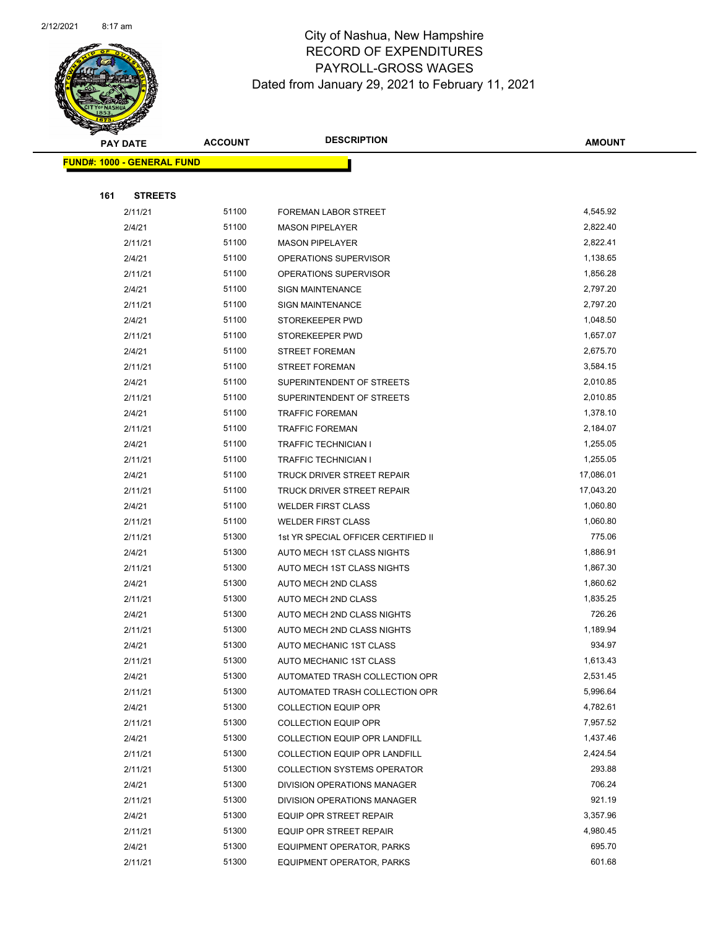

Page 53 of 96

|     | <b>PAY DATE</b>                   | <b>ACCOUNT</b> | <b>DESCRIPTION</b>                                       | <b>AMOUNT</b>        |  |
|-----|-----------------------------------|----------------|----------------------------------------------------------|----------------------|--|
|     | <b>FUND#: 1000 - GENERAL FUND</b> |                |                                                          |                      |  |
|     |                                   |                |                                                          |                      |  |
| 161 | <b>STREETS</b>                    |                |                                                          |                      |  |
|     | 2/11/21                           | 51100          | FOREMAN LABOR STREET                                     | 4,545.92             |  |
|     | 2/4/21                            | 51100          | <b>MASON PIPELAYER</b>                                   | 2,822.40             |  |
|     | 2/11/21                           | 51100          | <b>MASON PIPELAYER</b>                                   | 2,822.41             |  |
|     | 2/4/21                            | 51100          | OPERATIONS SUPERVISOR                                    | 1,138.65             |  |
|     | 2/11/21                           | 51100          | OPERATIONS SUPERVISOR                                    | 1,856.28             |  |
|     | 2/4/21                            | 51100          | <b>SIGN MAINTENANCE</b>                                  | 2,797.20             |  |
|     | 2/11/21                           | 51100          | <b>SIGN MAINTENANCE</b>                                  | 2,797.20             |  |
|     | 2/4/21                            | 51100          | STOREKEEPER PWD                                          | 1,048.50             |  |
|     | 2/11/21                           | 51100          | STOREKEEPER PWD                                          | 1,657.07             |  |
|     | 2/4/21                            | 51100          | <b>STREET FOREMAN</b>                                    | 2,675.70             |  |
|     | 2/11/21                           | 51100          | <b>STREET FOREMAN</b>                                    | 3,584.15             |  |
|     | 2/4/21                            | 51100          | SUPERINTENDENT OF STREETS                                | 2,010.85             |  |
|     | 2/11/21                           | 51100          | SUPERINTENDENT OF STREETS                                | 2,010.85             |  |
|     | 2/4/21                            | 51100          | <b>TRAFFIC FOREMAN</b>                                   | 1,378.10             |  |
|     | 2/11/21                           | 51100          | <b>TRAFFIC FOREMAN</b>                                   | 2,184.07             |  |
|     | 2/4/21                            | 51100          | <b>TRAFFIC TECHNICIAN I</b>                              | 1,255.05             |  |
|     | 2/11/21                           | 51100          | <b>TRAFFIC TECHNICIAN I</b>                              | 1,255.05             |  |
|     | 2/4/21                            | 51100          | TRUCK DRIVER STREET REPAIR                               | 17,086.01            |  |
|     | 2/11/21                           | 51100          | TRUCK DRIVER STREET REPAIR                               | 17,043.20            |  |
|     | 2/4/21                            | 51100          | <b>WELDER FIRST CLASS</b>                                | 1,060.80             |  |
|     | 2/11/21                           | 51100          | <b>WELDER FIRST CLASS</b>                                | 1,060.80             |  |
|     | 2/11/21                           | 51300          | 1st YR SPECIAL OFFICER CERTIFIED II                      | 775.06               |  |
|     | 2/4/21                            | 51300          | AUTO MECH 1ST CLASS NIGHTS                               | 1,886.91             |  |
|     | 2/11/21                           | 51300          | AUTO MECH 1ST CLASS NIGHTS                               | 1,867.30             |  |
|     | 2/4/21                            | 51300<br>51300 | AUTO MECH 2ND CLASS                                      | 1,860.62<br>1,835.25 |  |
|     | 2/11/21                           | 51300          | AUTO MECH 2ND CLASS                                      | 726.26               |  |
|     | 2/4/21<br>2/11/21                 | 51300          | AUTO MECH 2ND CLASS NIGHTS<br>AUTO MECH 2ND CLASS NIGHTS | 1,189.94             |  |
|     | 2/4/21                            | 51300          | AUTO MECHANIC 1ST CLASS                                  | 934.97               |  |
|     | 2/11/21                           | 51300          | AUTO MECHANIC 1ST CLASS                                  | 1,613.43             |  |
|     | 2/4/21                            | 51300          | AUTOMATED TRASH COLLECTION OPR                           | 2,531.45             |  |
|     | 2/11/21                           | 51300          | AUTOMATED TRASH COLLECTION OPR                           | 5,996.64             |  |
|     | 2/4/21                            | 51300          | <b>COLLECTION EQUIP OPR</b>                              | 4,782.61             |  |
|     | 2/11/21                           | 51300          | <b>COLLECTION EQUIP OPR</b>                              | 7,957.52             |  |
|     | 2/4/21                            | 51300          | COLLECTION EQUIP OPR LANDFILL                            | 1,437.46             |  |
|     | 2/11/21                           | 51300          | COLLECTION EQUIP OPR LANDFILL                            | 2,424.54             |  |
|     | 2/11/21                           | 51300          | <b>COLLECTION SYSTEMS OPERATOR</b>                       | 293.88               |  |
|     | 2/4/21                            | 51300          | DIVISION OPERATIONS MANAGER                              | 706.24               |  |
|     | 2/11/21                           | 51300          | DIVISION OPERATIONS MANAGER                              | 921.19               |  |
|     | 2/4/21                            | 51300          | EQUIP OPR STREET REPAIR                                  | 3,357.96             |  |
|     | 2/11/21                           | 51300          | EQUIP OPR STREET REPAIR                                  | 4,980.45             |  |
|     | 2/4/21                            | 51300          | EQUIPMENT OPERATOR, PARKS                                | 695.70               |  |
|     | 2/11/21                           | 51300          | EQUIPMENT OPERATOR, PARKS                                | 601.68               |  |
|     |                                   |                |                                                          |                      |  |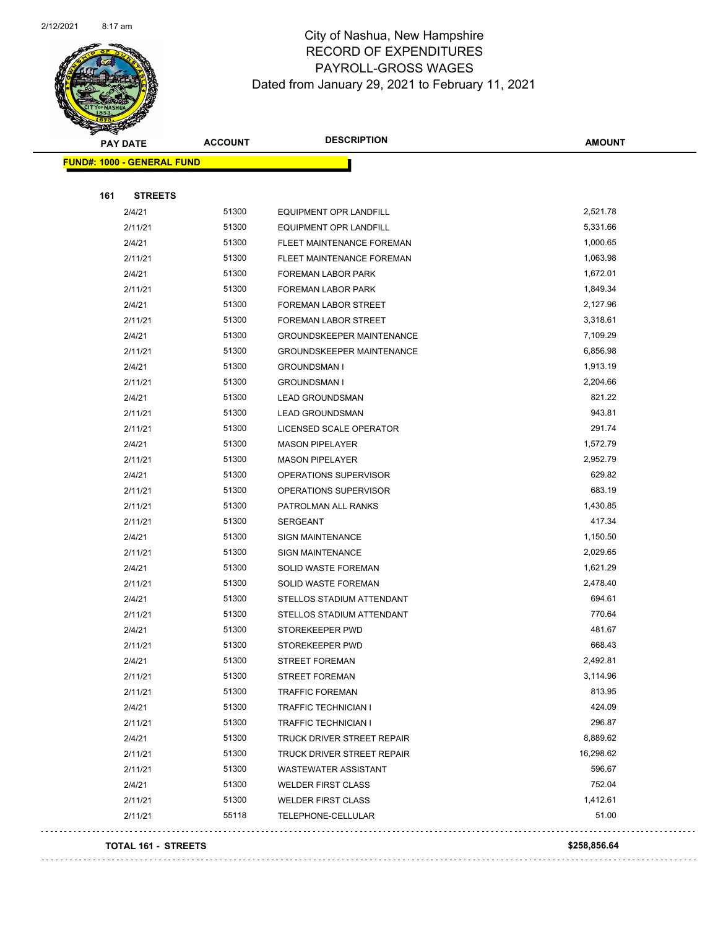

Page 54 of 96

| <b>FUND#: 1000 - GENERAL FUND</b><br>161<br><b>STREETS</b><br>51300<br>2,521.78<br>2/4/21<br>EQUIPMENT OPR LANDFILL<br>51300<br>5,331.66<br>2/11/21<br>EQUIPMENT OPR LANDFILL<br>2/4/21<br>1,000.65<br>51300<br>FLEET MAINTENANCE FOREMAN<br>51300<br>1,063.98<br>2/11/21<br>FLEET MAINTENANCE FOREMAN<br>51300<br>1,672.01<br>2/4/21<br>FOREMAN LABOR PARK<br>51300<br>1,849.34<br>2/11/21<br>FOREMAN LABOR PARK<br>51300<br>2,127.96<br>2/4/21<br>FOREMAN LABOR STREET<br>51300<br>3,318.61<br>2/11/21<br>FOREMAN LABOR STREET<br>2/4/21<br>51300<br>7,109.29<br><b>GROUNDSKEEPER MAINTENANCE</b><br>51300<br>6,856.98<br>2/11/21<br><b>GROUNDSKEEPER MAINTENANCE</b><br>51300<br>1,913.19<br>2/4/21<br><b>GROUNDSMAN I</b><br>51300<br>2,204.66<br>2/11/21<br><b>GROUNDSMAN I</b><br>821.22<br>51300<br>2/4/21<br><b>LEAD GROUNDSMAN</b><br>943.81<br>51300<br>2/11/21<br><b>LEAD GROUNDSMAN</b><br>291.74<br>51300<br>2/11/21<br>LICENSED SCALE OPERATOR<br>51300<br>1,572.79<br>2/4/21<br><b>MASON PIPELAYER</b><br>51300<br>2,952.79<br>2/11/21<br><b>MASON PIPELAYER</b><br>629.82<br>51300<br>2/4/21<br>OPERATIONS SUPERVISOR<br>683.19<br>51300<br>2/11/21<br>OPERATIONS SUPERVISOR<br>51300<br>1,430.85<br>2/11/21<br>PATROLMAN ALL RANKS<br>417.34<br>51300<br>2/11/21<br><b>SERGEANT</b><br>51300<br>1,150.50<br>2/4/21<br><b>SIGN MAINTENANCE</b><br>2,029.65<br>2/11/21<br>51300<br><b>SIGN MAINTENANCE</b><br>2/4/21<br>51300<br>1,621.29<br>SOLID WASTE FOREMAN<br>51300<br>2,478.40<br>2/11/21<br>SOLID WASTE FOREMAN<br>51300<br>694.61<br>2/4/21<br>STELLOS STADIUM ATTENDANT<br>770.64<br>51300<br>2/11/21<br>STELLOS STADIUM ATTENDANT<br>481.67<br>2/4/21<br>51300<br>STOREKEEPER PWD<br>668.43<br>2/11/21<br>51300<br>STOREKEEPER PWD | <b>PAY DATE</b> | <b>ACCOUNT</b> | <b>DESCRIPTION</b> | <b>AMOUNT</b> |
|--------------------------------------------------------------------------------------------------------------------------------------------------------------------------------------------------------------------------------------------------------------------------------------------------------------------------------------------------------------------------------------------------------------------------------------------------------------------------------------------------------------------------------------------------------------------------------------------------------------------------------------------------------------------------------------------------------------------------------------------------------------------------------------------------------------------------------------------------------------------------------------------------------------------------------------------------------------------------------------------------------------------------------------------------------------------------------------------------------------------------------------------------------------------------------------------------------------------------------------------------------------------------------------------------------------------------------------------------------------------------------------------------------------------------------------------------------------------------------------------------------------------------------------------------------------------------------------------------------------------------------------------------------------------------------------------------------------------------------------------------------------|-----------------|----------------|--------------------|---------------|
|                                                                                                                                                                                                                                                                                                                                                                                                                                                                                                                                                                                                                                                                                                                                                                                                                                                                                                                                                                                                                                                                                                                                                                                                                                                                                                                                                                                                                                                                                                                                                                                                                                                                                                                                                              |                 |                |                    |               |
|                                                                                                                                                                                                                                                                                                                                                                                                                                                                                                                                                                                                                                                                                                                                                                                                                                                                                                                                                                                                                                                                                                                                                                                                                                                                                                                                                                                                                                                                                                                                                                                                                                                                                                                                                              |                 |                |                    |               |
|                                                                                                                                                                                                                                                                                                                                                                                                                                                                                                                                                                                                                                                                                                                                                                                                                                                                                                                                                                                                                                                                                                                                                                                                                                                                                                                                                                                                                                                                                                                                                                                                                                                                                                                                                              |                 |                |                    |               |
|                                                                                                                                                                                                                                                                                                                                                                                                                                                                                                                                                                                                                                                                                                                                                                                                                                                                                                                                                                                                                                                                                                                                                                                                                                                                                                                                                                                                                                                                                                                                                                                                                                                                                                                                                              |                 |                |                    |               |
|                                                                                                                                                                                                                                                                                                                                                                                                                                                                                                                                                                                                                                                                                                                                                                                                                                                                                                                                                                                                                                                                                                                                                                                                                                                                                                                                                                                                                                                                                                                                                                                                                                                                                                                                                              |                 |                |                    |               |
|                                                                                                                                                                                                                                                                                                                                                                                                                                                                                                                                                                                                                                                                                                                                                                                                                                                                                                                                                                                                                                                                                                                                                                                                                                                                                                                                                                                                                                                                                                                                                                                                                                                                                                                                                              |                 |                |                    |               |
|                                                                                                                                                                                                                                                                                                                                                                                                                                                                                                                                                                                                                                                                                                                                                                                                                                                                                                                                                                                                                                                                                                                                                                                                                                                                                                                                                                                                                                                                                                                                                                                                                                                                                                                                                              |                 |                |                    |               |
|                                                                                                                                                                                                                                                                                                                                                                                                                                                                                                                                                                                                                                                                                                                                                                                                                                                                                                                                                                                                                                                                                                                                                                                                                                                                                                                                                                                                                                                                                                                                                                                                                                                                                                                                                              |                 |                |                    |               |
|                                                                                                                                                                                                                                                                                                                                                                                                                                                                                                                                                                                                                                                                                                                                                                                                                                                                                                                                                                                                                                                                                                                                                                                                                                                                                                                                                                                                                                                                                                                                                                                                                                                                                                                                                              |                 |                |                    |               |
|                                                                                                                                                                                                                                                                                                                                                                                                                                                                                                                                                                                                                                                                                                                                                                                                                                                                                                                                                                                                                                                                                                                                                                                                                                                                                                                                                                                                                                                                                                                                                                                                                                                                                                                                                              |                 |                |                    |               |
|                                                                                                                                                                                                                                                                                                                                                                                                                                                                                                                                                                                                                                                                                                                                                                                                                                                                                                                                                                                                                                                                                                                                                                                                                                                                                                                                                                                                                                                                                                                                                                                                                                                                                                                                                              |                 |                |                    |               |
|                                                                                                                                                                                                                                                                                                                                                                                                                                                                                                                                                                                                                                                                                                                                                                                                                                                                                                                                                                                                                                                                                                                                                                                                                                                                                                                                                                                                                                                                                                                                                                                                                                                                                                                                                              |                 |                |                    |               |
|                                                                                                                                                                                                                                                                                                                                                                                                                                                                                                                                                                                                                                                                                                                                                                                                                                                                                                                                                                                                                                                                                                                                                                                                                                                                                                                                                                                                                                                                                                                                                                                                                                                                                                                                                              |                 |                |                    |               |
|                                                                                                                                                                                                                                                                                                                                                                                                                                                                                                                                                                                                                                                                                                                                                                                                                                                                                                                                                                                                                                                                                                                                                                                                                                                                                                                                                                                                                                                                                                                                                                                                                                                                                                                                                              |                 |                |                    |               |
|                                                                                                                                                                                                                                                                                                                                                                                                                                                                                                                                                                                                                                                                                                                                                                                                                                                                                                                                                                                                                                                                                                                                                                                                                                                                                                                                                                                                                                                                                                                                                                                                                                                                                                                                                              |                 |                |                    |               |
|                                                                                                                                                                                                                                                                                                                                                                                                                                                                                                                                                                                                                                                                                                                                                                                                                                                                                                                                                                                                                                                                                                                                                                                                                                                                                                                                                                                                                                                                                                                                                                                                                                                                                                                                                              |                 |                |                    |               |
|                                                                                                                                                                                                                                                                                                                                                                                                                                                                                                                                                                                                                                                                                                                                                                                                                                                                                                                                                                                                                                                                                                                                                                                                                                                                                                                                                                                                                                                                                                                                                                                                                                                                                                                                                              |                 |                |                    |               |
|                                                                                                                                                                                                                                                                                                                                                                                                                                                                                                                                                                                                                                                                                                                                                                                                                                                                                                                                                                                                                                                                                                                                                                                                                                                                                                                                                                                                                                                                                                                                                                                                                                                                                                                                                              |                 |                |                    |               |
|                                                                                                                                                                                                                                                                                                                                                                                                                                                                                                                                                                                                                                                                                                                                                                                                                                                                                                                                                                                                                                                                                                                                                                                                                                                                                                                                                                                                                                                                                                                                                                                                                                                                                                                                                              |                 |                |                    |               |
|                                                                                                                                                                                                                                                                                                                                                                                                                                                                                                                                                                                                                                                                                                                                                                                                                                                                                                                                                                                                                                                                                                                                                                                                                                                                                                                                                                                                                                                                                                                                                                                                                                                                                                                                                              |                 |                |                    |               |
|                                                                                                                                                                                                                                                                                                                                                                                                                                                                                                                                                                                                                                                                                                                                                                                                                                                                                                                                                                                                                                                                                                                                                                                                                                                                                                                                                                                                                                                                                                                                                                                                                                                                                                                                                              |                 |                |                    |               |
|                                                                                                                                                                                                                                                                                                                                                                                                                                                                                                                                                                                                                                                                                                                                                                                                                                                                                                                                                                                                                                                                                                                                                                                                                                                                                                                                                                                                                                                                                                                                                                                                                                                                                                                                                              |                 |                |                    |               |
|                                                                                                                                                                                                                                                                                                                                                                                                                                                                                                                                                                                                                                                                                                                                                                                                                                                                                                                                                                                                                                                                                                                                                                                                                                                                                                                                                                                                                                                                                                                                                                                                                                                                                                                                                              |                 |                |                    |               |
|                                                                                                                                                                                                                                                                                                                                                                                                                                                                                                                                                                                                                                                                                                                                                                                                                                                                                                                                                                                                                                                                                                                                                                                                                                                                                                                                                                                                                                                                                                                                                                                                                                                                                                                                                              |                 |                |                    |               |
|                                                                                                                                                                                                                                                                                                                                                                                                                                                                                                                                                                                                                                                                                                                                                                                                                                                                                                                                                                                                                                                                                                                                                                                                                                                                                                                                                                                                                                                                                                                                                                                                                                                                                                                                                              |                 |                |                    |               |
|                                                                                                                                                                                                                                                                                                                                                                                                                                                                                                                                                                                                                                                                                                                                                                                                                                                                                                                                                                                                                                                                                                                                                                                                                                                                                                                                                                                                                                                                                                                                                                                                                                                                                                                                                              |                 |                |                    |               |
|                                                                                                                                                                                                                                                                                                                                                                                                                                                                                                                                                                                                                                                                                                                                                                                                                                                                                                                                                                                                                                                                                                                                                                                                                                                                                                                                                                                                                                                                                                                                                                                                                                                                                                                                                              |                 |                |                    |               |
|                                                                                                                                                                                                                                                                                                                                                                                                                                                                                                                                                                                                                                                                                                                                                                                                                                                                                                                                                                                                                                                                                                                                                                                                                                                                                                                                                                                                                                                                                                                                                                                                                                                                                                                                                              |                 |                |                    |               |
|                                                                                                                                                                                                                                                                                                                                                                                                                                                                                                                                                                                                                                                                                                                                                                                                                                                                                                                                                                                                                                                                                                                                                                                                                                                                                                                                                                                                                                                                                                                                                                                                                                                                                                                                                              |                 |                |                    |               |
|                                                                                                                                                                                                                                                                                                                                                                                                                                                                                                                                                                                                                                                                                                                                                                                                                                                                                                                                                                                                                                                                                                                                                                                                                                                                                                                                                                                                                                                                                                                                                                                                                                                                                                                                                              |                 |                |                    |               |
|                                                                                                                                                                                                                                                                                                                                                                                                                                                                                                                                                                                                                                                                                                                                                                                                                                                                                                                                                                                                                                                                                                                                                                                                                                                                                                                                                                                                                                                                                                                                                                                                                                                                                                                                                              |                 |                |                    |               |
|                                                                                                                                                                                                                                                                                                                                                                                                                                                                                                                                                                                                                                                                                                                                                                                                                                                                                                                                                                                                                                                                                                                                                                                                                                                                                                                                                                                                                                                                                                                                                                                                                                                                                                                                                              |                 |                |                    |               |
| 51300<br>2,492.81<br>2/4/21<br>STREET FOREMAN                                                                                                                                                                                                                                                                                                                                                                                                                                                                                                                                                                                                                                                                                                                                                                                                                                                                                                                                                                                                                                                                                                                                                                                                                                                                                                                                                                                                                                                                                                                                                                                                                                                                                                                |                 |                |                    |               |
| 51300<br>3,114.96<br>2/11/21<br><b>STREET FOREMAN</b>                                                                                                                                                                                                                                                                                                                                                                                                                                                                                                                                                                                                                                                                                                                                                                                                                                                                                                                                                                                                                                                                                                                                                                                                                                                                                                                                                                                                                                                                                                                                                                                                                                                                                                        |                 |                |                    |               |
| 813.95<br>51300<br>2/11/21<br><b>TRAFFIC FOREMAN</b>                                                                                                                                                                                                                                                                                                                                                                                                                                                                                                                                                                                                                                                                                                                                                                                                                                                                                                                                                                                                                                                                                                                                                                                                                                                                                                                                                                                                                                                                                                                                                                                                                                                                                                         |                 |                |                    |               |
| 424.09<br>2/4/21<br>51300<br><b>TRAFFIC TECHNICIAN I</b>                                                                                                                                                                                                                                                                                                                                                                                                                                                                                                                                                                                                                                                                                                                                                                                                                                                                                                                                                                                                                                                                                                                                                                                                                                                                                                                                                                                                                                                                                                                                                                                                                                                                                                     |                 |                |                    |               |
| 51300<br>296.87<br>2/11/21<br><b>TRAFFIC TECHNICIAN I</b>                                                                                                                                                                                                                                                                                                                                                                                                                                                                                                                                                                                                                                                                                                                                                                                                                                                                                                                                                                                                                                                                                                                                                                                                                                                                                                                                                                                                                                                                                                                                                                                                                                                                                                    |                 |                |                    |               |
| 8,889.62<br>51300<br>2/4/21<br>TRUCK DRIVER STREET REPAIR                                                                                                                                                                                                                                                                                                                                                                                                                                                                                                                                                                                                                                                                                                                                                                                                                                                                                                                                                                                                                                                                                                                                                                                                                                                                                                                                                                                                                                                                                                                                                                                                                                                                                                    |                 |                |                    |               |
| 51300<br>16,298.62<br>2/11/21<br>TRUCK DRIVER STREET REPAIR                                                                                                                                                                                                                                                                                                                                                                                                                                                                                                                                                                                                                                                                                                                                                                                                                                                                                                                                                                                                                                                                                                                                                                                                                                                                                                                                                                                                                                                                                                                                                                                                                                                                                                  |                 |                |                    |               |
| 596.67<br>51300<br>2/11/21<br><b>WASTEWATER ASSISTANT</b>                                                                                                                                                                                                                                                                                                                                                                                                                                                                                                                                                                                                                                                                                                                                                                                                                                                                                                                                                                                                                                                                                                                                                                                                                                                                                                                                                                                                                                                                                                                                                                                                                                                                                                    |                 |                |                    |               |
| 752.04<br>2/4/21<br>51300<br><b>WELDER FIRST CLASS</b>                                                                                                                                                                                                                                                                                                                                                                                                                                                                                                                                                                                                                                                                                                                                                                                                                                                                                                                                                                                                                                                                                                                                                                                                                                                                                                                                                                                                                                                                                                                                                                                                                                                                                                       |                 |                |                    |               |
| 1,412.61<br>2/11/21<br>51300<br><b>WELDER FIRST CLASS</b>                                                                                                                                                                                                                                                                                                                                                                                                                                                                                                                                                                                                                                                                                                                                                                                                                                                                                                                                                                                                                                                                                                                                                                                                                                                                                                                                                                                                                                                                                                                                                                                                                                                                                                    |                 |                |                    |               |
| 51.00<br>55118<br>2/11/21<br>TELEPHONE-CELLULAR                                                                                                                                                                                                                                                                                                                                                                                                                                                                                                                                                                                                                                                                                                                                                                                                                                                                                                                                                                                                                                                                                                                                                                                                                                                                                                                                                                                                                                                                                                                                                                                                                                                                                                              |                 |                |                    |               |

#### **TOTAL 161 - STREETS \$258,856.64**

. . . . . . . . . . . . . .

 $\bar{z}$  ,  $\bar{z}$ 

. . . . . . . . . . . .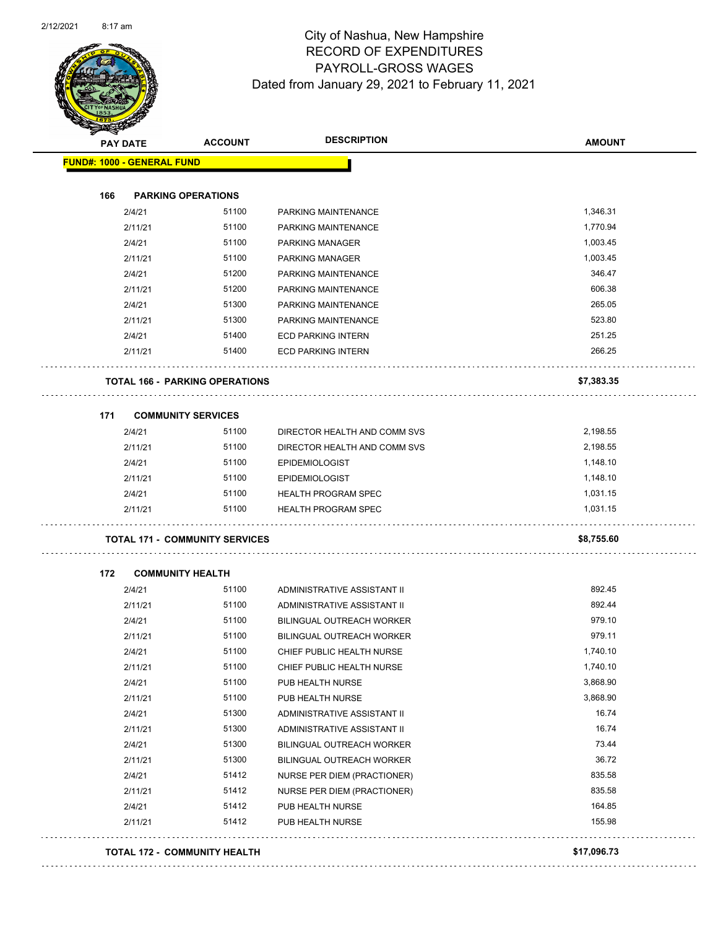

Page 55 of 96

| <b>FUND#: 1000 - GENERAL FUND</b> | <b>ACCOUNT</b>                        | <b>DESCRIPTION</b>               | <b>AMOUNT</b> |
|-----------------------------------|---------------------------------------|----------------------------------|---------------|
|                                   |                                       |                                  |               |
| 166                               | <b>PARKING OPERATIONS</b>             |                                  |               |
| 2/4/21                            | 51100                                 | PARKING MAINTENANCE              | 1,346.31      |
| 2/11/21                           | 51100                                 | PARKING MAINTENANCE              | 1,770.94      |
| 2/4/21                            | 51100                                 | <b>PARKING MANAGER</b>           | 1,003.45      |
| 2/11/21                           | 51100                                 | <b>PARKING MANAGER</b>           | 1,003.45      |
| 2/4/21                            | 51200                                 | PARKING MAINTENANCE              | 346.47        |
| 2/11/21                           | 51200                                 | PARKING MAINTENANCE              | 606.38        |
| 2/4/21                            | 51300                                 | PARKING MAINTENANCE              | 265.05        |
| 2/11/21                           | 51300                                 | PARKING MAINTENANCE              | 523.80        |
| 2/4/21                            | 51400                                 | <b>ECD PARKING INTERN</b>        | 251.25        |
| 2/11/21                           | 51400                                 | <b>ECD PARKING INTERN</b>        | 266.25        |
|                                   | <b>TOTAL 166 - PARKING OPERATIONS</b> |                                  | \$7,383.35    |
| 171                               | <b>COMMUNITY SERVICES</b>             |                                  |               |
| 2/4/21                            | 51100                                 | DIRECTOR HEALTH AND COMM SVS     | 2,198.55      |
| 2/11/21                           | 51100                                 | DIRECTOR HEALTH AND COMM SVS     | 2,198.55      |
| 2/4/21                            | 51100                                 | <b>EPIDEMIOLOGIST</b>            | 1,148.10      |
| 2/11/21                           | 51100                                 | <b>EPIDEMIOLOGIST</b>            | 1,148.10      |
| 2/4/21                            | 51100                                 | <b>HEALTH PROGRAM SPEC</b>       | 1,031.15      |
| 2/11/21                           | 51100                                 | <b>HEALTH PROGRAM SPEC</b>       | 1,031.15      |
|                                   | <b>TOTAL 171 - COMMUNITY SERVICES</b> |                                  | \$8,755.60    |
| 172                               | <b>COMMUNITY HEALTH</b>               |                                  |               |
| 2/4/21                            | 51100                                 | ADMINISTRATIVE ASSISTANT II      | 892.45        |
|                                   | 51100                                 | ADMINISTRATIVE ASSISTANT II      | 892.44        |
| 2/11/21                           |                                       | <b>BILINGUAL OUTREACH WORKER</b> |               |
| 2/4/21                            | 51100                                 |                                  | 979.10        |
| 2/11/21                           | 51100                                 | <b>BILINGUAL OUTREACH WORKER</b> | 979.11        |
| 2/4/21                            | 51100                                 | CHIEF PUBLIC HEALTH NURSE        | 1,740.10      |
| 2/11/21                           | 51100                                 | CHIEF PUBLIC HEALTH NURSE        | 1,740.10      |
| 2/4/21                            | 51100                                 | PUB HEALTH NURSE                 | 3,868.90      |
| 2/11/21                           | 51100                                 | PUB HEALTH NURSE                 | 3,868.90      |
| 2/4/21                            | 51300                                 | ADMINISTRATIVE ASSISTANT II      | 16.74         |
| 2/11/21                           | 51300                                 | ADMINISTRATIVE ASSISTANT II      | 16.74         |
| 2/4/21                            | 51300                                 | BILINGUAL OUTREACH WORKER        | 73.44         |
| 2/11/21                           | 51300                                 | BILINGUAL OUTREACH WORKER        | 36.72         |
| 2/4/21                            | 51412                                 | NURSE PER DIEM (PRACTIONER)      | 835.58        |
| 2/11/21                           | 51412                                 | NURSE PER DIEM (PRACTIONER)      | 835.58        |
| 2/4/21                            | 51412                                 | PUB HEALTH NURSE                 | 164.85        |
| 2/11/21                           | 51412                                 | PUB HEALTH NURSE                 | 155.98        |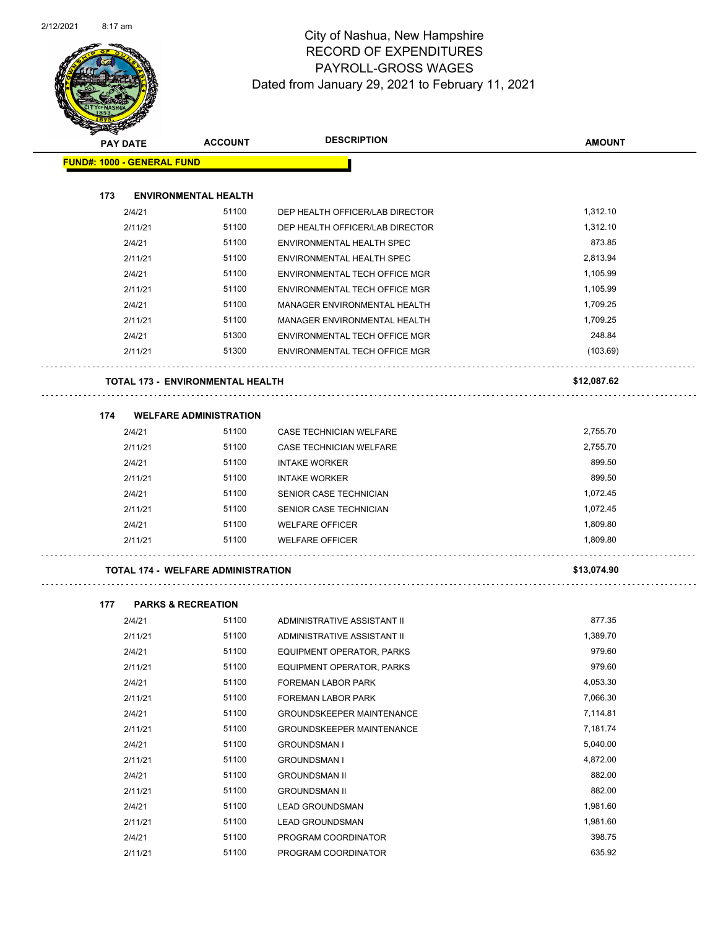

Page 56 of 96

| <b>SACTORISTS</b> |                                           |                | <b>DESCRIPTION</b>               |               |
|-------------------|-------------------------------------------|----------------|----------------------------------|---------------|
| <b>PAY DATE</b>   |                                           | <b>ACCOUNT</b> |                                  | <b>AMOUNT</b> |
|                   | <b>FUND#: 1000 - GENERAL FUND</b>         |                |                                  |               |
|                   |                                           |                |                                  |               |
| 173               | <b>ENVIRONMENTAL HEALTH</b>               |                |                                  |               |
|                   | 2/4/21                                    | 51100          | DEP HEALTH OFFICER/LAB DIRECTOR  | 1,312.10      |
|                   | 2/11/21                                   | 51100          | DEP HEALTH OFFICER/LAB DIRECTOR  | 1,312.10      |
|                   | 2/4/21                                    | 51100          | ENVIRONMENTAL HEALTH SPEC        | 873.85        |
|                   | 2/11/21                                   | 51100          | ENVIRONMENTAL HEALTH SPEC        | 2,813.94      |
|                   | 2/4/21                                    | 51100          | ENVIRONMENTAL TECH OFFICE MGR    | 1,105.99      |
|                   | 2/11/21                                   | 51100          | ENVIRONMENTAL TECH OFFICE MGR    | 1,105.99      |
|                   | 2/4/21                                    | 51100          | MANAGER ENVIRONMENTAL HEALTH     | 1,709.25      |
|                   | 2/11/21                                   | 51100          | MANAGER ENVIRONMENTAL HEALTH     | 1,709.25      |
|                   | 2/4/21                                    | 51300          | ENVIRONMENTAL TECH OFFICE MGR    | 248.84        |
|                   | 2/11/21                                   | 51300          | ENVIRONMENTAL TECH OFFICE MGR    | (103.69)      |
|                   | <b>TOTAL 173 - ENVIRONMENTAL HEALTH</b>   |                |                                  | \$12,087.62   |
| 174               | <b>WELFARE ADMINISTRATION</b>             |                |                                  |               |
|                   | 2/4/21                                    | 51100          | <b>CASE TECHNICIAN WELFARE</b>   | 2,755.70      |
|                   | 2/11/21                                   | 51100          | CASE TECHNICIAN WELFARE          | 2,755.70      |
|                   | 2/4/21                                    | 51100          | <b>INTAKE WORKER</b>             | 899.50        |
|                   | 2/11/21                                   | 51100          | <b>INTAKE WORKER</b>             | 899.50        |
|                   | 2/4/21                                    | 51100          | SENIOR CASE TECHNICIAN           | 1,072.45      |
|                   | 2/11/21                                   | 51100          | SENIOR CASE TECHNICIAN           | 1,072.45      |
|                   | 2/4/21                                    | 51100          | <b>WELFARE OFFICER</b>           | 1,809.80      |
|                   | 2/11/21                                   | 51100          | <b>WELFARE OFFICER</b>           | 1,809.80      |
|                   | <b>TOTAL 174 - WELFARE ADMINISTRATION</b> |                |                                  | \$13,074.90   |
|                   |                                           |                |                                  |               |
| 177               | <b>PARKS &amp; RECREATION</b>             |                |                                  |               |
|                   | 2/4/21                                    | 51100          | ADMINISTRATIVE ASSISTANT II      | 877.35        |
|                   | 2/11/21                                   | 51100          | ADMINISTRATIVE ASSISTANT II      | 1,389.70      |
|                   | 2/4/21                                    | 51100          | EQUIPMENT OPERATOR, PARKS        | 979.60        |
|                   | 2/11/21                                   | 51100          | EQUIPMENT OPERATOR, PARKS        | 979.60        |
|                   | 2/4/21                                    | 51100          | FOREMAN LABOR PARK               | 4,053.30      |
|                   | 2/11/21                                   | 51100          | FOREMAN LABOR PARK               | 7,066.30      |
|                   | 2/4/21                                    | 51100          | GROUNDSKEEPER MAINTENANCE        | 7,114.81      |
|                   | 2/11/21                                   | 51100          | <b>GROUNDSKEEPER MAINTENANCE</b> | 7,181.74      |
|                   | 2/4/21                                    | 51100          | <b>GROUNDSMAN I</b>              | 5,040.00      |
|                   | 2/11/21                                   | 51100          | <b>GROUNDSMAN I</b>              | 4,872.00      |
|                   | 2/4/21                                    | 51100          | <b>GROUNDSMAN II</b>             | 882.00        |
|                   | 2/11/21                                   | 51100          | <b>GROUNDSMAN II</b>             | 882.00        |
|                   | 2/4/21                                    | 51100          | <b>LEAD GROUNDSMAN</b>           | 1,981.60      |

2/11/21 51100 LEAD GROUNDSMAN 1,981.60 2/4/21 51100 PROGRAM COORDINATOR 398.75 2/11/21 51100 PROGRAM COORDINATOR 635.92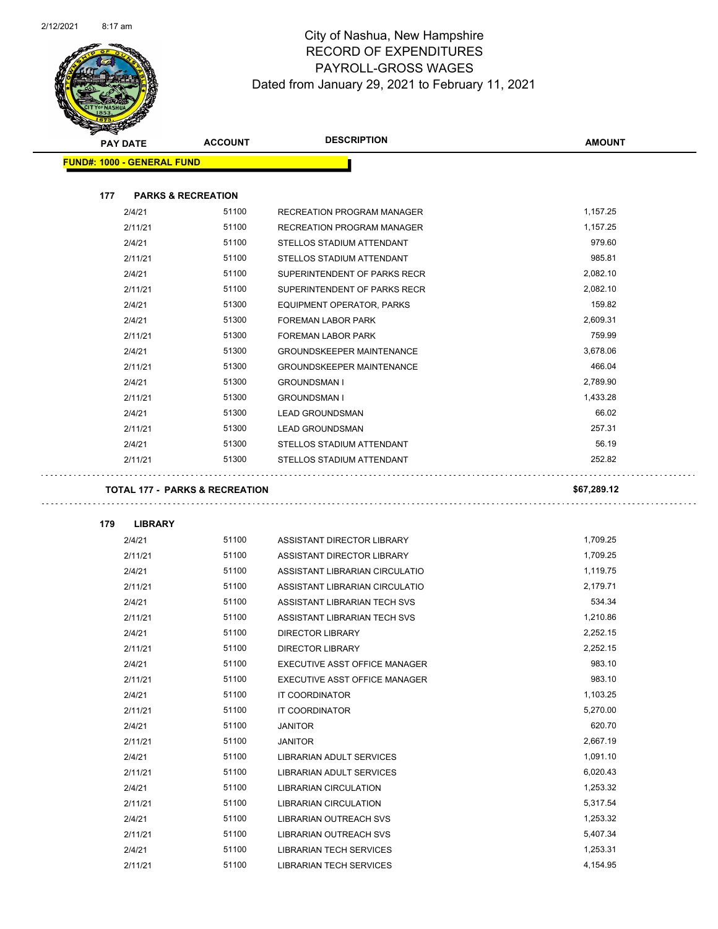

| <b>SANGRAD</b>                    |                               |                                           |                                   |               |
|-----------------------------------|-------------------------------|-------------------------------------------|-----------------------------------|---------------|
| <b>PAY DATE</b>                   |                               | <b>ACCOUNT</b>                            | <b>DESCRIPTION</b>                | <b>AMOUNT</b> |
| <b>FUND#: 1000 - GENERAL FUND</b> |                               |                                           |                                   |               |
|                                   |                               |                                           |                                   |               |
| 177                               | <b>PARKS &amp; RECREATION</b> |                                           |                                   |               |
|                                   | 2/4/21                        | 51100                                     | <b>RECREATION PROGRAM MANAGER</b> | 1,157.25      |
|                                   | 2/11/21                       | 51100                                     | RECREATION PROGRAM MANAGER        | 1,157.25      |
|                                   | 2/4/21                        | 51100                                     | STELLOS STADIUM ATTENDANT         | 979.60        |
|                                   | 2/11/21                       | 51100                                     | STELLOS STADIUM ATTENDANT         | 985.81        |
|                                   | 2/4/21                        | 51100                                     | SUPERINTENDENT OF PARKS RECR      | 2,082.10      |
|                                   | 2/11/21                       | 51100                                     | SUPERINTENDENT OF PARKS RECR      | 2,082.10      |
|                                   | 2/4/21                        | 51300                                     | EQUIPMENT OPERATOR, PARKS         | 159.82        |
|                                   | 2/4/21                        | 51300                                     | FOREMAN LABOR PARK                | 2,609.31      |
|                                   | 2/11/21                       | 51300                                     | FOREMAN LABOR PARK                | 759.99        |
|                                   | 2/4/21                        | 51300                                     | <b>GROUNDSKEEPER MAINTENANCE</b>  | 3,678.06      |
|                                   | 2/11/21                       | 51300                                     | <b>GROUNDSKEEPER MAINTENANCE</b>  | 466.04        |
|                                   | 2/4/21                        | 51300                                     | <b>GROUNDSMAN I</b>               | 2,789.90      |
|                                   | 2/11/21                       | 51300                                     | <b>GROUNDSMAN I</b>               | 1,433.28      |
|                                   | 2/4/21                        | 51300                                     | <b>LEAD GROUNDSMAN</b>            | 66.02         |
|                                   | 2/11/21                       | 51300                                     | <b>LEAD GROUNDSMAN</b>            | 257.31        |
|                                   | 2/4/21                        | 51300                                     | STELLOS STADIUM ATTENDANT         | 56.19         |
|                                   | 2/11/21                       | 51300                                     | STELLOS STADIUM ATTENDANT         | 252.82        |
|                                   |                               |                                           |                                   |               |
|                                   |                               | <b>TOTAL 177 - PARKS &amp; RECREATION</b> |                                   | \$67,289.12   |
|                                   |                               |                                           |                                   |               |
| 179                               | <b>LIBRARY</b>                |                                           |                                   |               |
|                                   | 2/4/21                        | 51100                                     | ASSISTANT DIRECTOR LIBRARY        | 1,709.25      |
|                                   | 2/11/21                       | 51100                                     | ASSISTANT DIRECTOR LIBRARY        | 1,709.25      |
|                                   | 2/4/21                        | 51100                                     | ASSISTANT LIBRARIAN CIRCULATIO    | 1,119.75      |
|                                   | 2/11/21                       | 51100                                     | ASSISTANT LIBRARIAN CIRCULATIO    | 2,179.71      |
|                                   | 2/4/21                        | 51100                                     | ASSISTANT LIBRARIAN TECH SVS      | 534.34        |
|                                   | 2/11/21                       | 51100                                     | ASSISTANT LIBRARIAN TECH SVS      | 1,210.86      |
|                                   | 2/4/21                        | 51100                                     | <b>DIRECTOR LIBRARY</b>           | 2,252.15      |
|                                   | 2/11/21                       | 51100                                     | <b>DIRECTOR LIBRARY</b>           | 2.252.15      |
|                                   | 2/4/21                        | 51100                                     | EXECUTIVE ASST OFFICE MANAGER     | 983.10        |
|                                   | 2/11/21                       | 51100                                     | EXECUTIVE ASST OFFICE MANAGER     | 983.10        |
|                                   | 2/4/21                        | 51100                                     | IT COORDINATOR                    | 1,103.25      |
|                                   | 2/11/21                       | 51100                                     | IT COORDINATOR                    | 5,270.00      |
|                                   | 2/4/21                        | 51100                                     | <b>JANITOR</b>                    | 620.70        |
|                                   | 2/11/21                       | 51100                                     | <b>JANITOR</b>                    | 2,667.19      |
|                                   | 2/4/21                        | 51100                                     | LIBRARIAN ADULT SERVICES          | 1,091.10      |
|                                   | 2/11/21                       | 51100                                     | LIBRARIAN ADULT SERVICES          | 6,020.43      |
|                                   | 2/4/21                        | 51100                                     | <b>LIBRARIAN CIRCULATION</b>      | 1,253.32      |
|                                   | 2/11/21                       | 51100                                     | LIBRARIAN CIRCULATION             | 5,317.54      |
|                                   | 2/4/21                        | 51100                                     | LIBRARIAN OUTREACH SVS            | 1,253.32      |
|                                   | 2/11/21                       | 51100                                     | LIBRARIAN OUTREACH SVS            | 5,407.34      |
|                                   | 2/4/21                        | 51100                                     | <b>LIBRARIAN TECH SERVICES</b>    | 1,253.31      |

2/11/21 51100 LIBRARIAN TECH SERVICES 4,154.95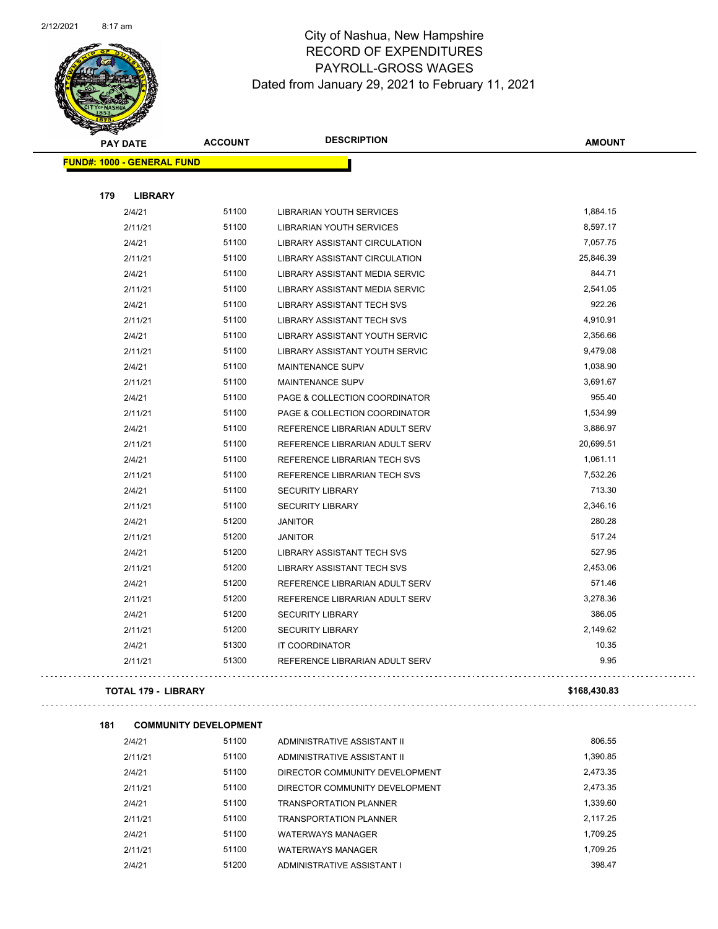

Page 58 of 96

|     | <b>PAY DATE</b>                   | <b>ACCOUNT</b> | <b>DESCRIPTION</b>                    | <b>AMOUNT</b> |
|-----|-----------------------------------|----------------|---------------------------------------|---------------|
|     | <b>FUND#: 1000 - GENERAL FUND</b> |                |                                       |               |
|     |                                   |                |                                       |               |
| 179 | <b>LIBRARY</b>                    |                |                                       |               |
|     | 2/4/21                            | 51100          | <b>LIBRARIAN YOUTH SERVICES</b>       | 1,884.15      |
|     | 2/11/21                           | 51100          | LIBRARIAN YOUTH SERVICES              | 8,597.17      |
|     | 2/4/21                            | 51100          | <b>LIBRARY ASSISTANT CIRCULATION</b>  | 7,057.75      |
|     | 2/11/21                           | 51100          | <b>LIBRARY ASSISTANT CIRCULATION</b>  | 25,846.39     |
|     | 2/4/21                            | 51100          | LIBRARY ASSISTANT MEDIA SERVIC        | 844.71        |
|     | 2/11/21                           | 51100          | <b>LIBRARY ASSISTANT MEDIA SERVIC</b> | 2,541.05      |
|     | 2/4/21                            | 51100          | <b>LIBRARY ASSISTANT TECH SVS</b>     | 922.26        |
|     | 2/11/21                           | 51100          | <b>LIBRARY ASSISTANT TECH SVS</b>     | 4,910.91      |
|     | 2/4/21                            | 51100          | LIBRARY ASSISTANT YOUTH SERVIC        | 2,356.66      |
|     | 2/11/21                           | 51100          | LIBRARY ASSISTANT YOUTH SERVIC        | 9,479.08      |
|     | 2/4/21                            | 51100          | MAINTENANCE SUPV                      | 1,038.90      |
|     | 2/11/21                           | 51100          | <b>MAINTENANCE SUPV</b>               | 3,691.67      |
|     | 2/4/21                            | 51100          | PAGE & COLLECTION COORDINATOR         | 955.40        |
|     | 2/11/21                           | 51100          | PAGE & COLLECTION COORDINATOR         | 1,534.99      |
|     | 2/4/21                            | 51100          | REFERENCE LIBRARIAN ADULT SERV        | 3,886.97      |
|     | 2/11/21                           | 51100          | REFERENCE LIBRARIAN ADULT SERV        | 20,699.51     |
|     | 2/4/21                            | 51100          | REFERENCE LIBRARIAN TECH SVS          | 1,061.11      |
|     | 2/11/21                           | 51100          | REFERENCE LIBRARIAN TECH SVS          | 7,532.26      |
|     | 2/4/21                            | 51100          | <b>SECURITY LIBRARY</b>               | 713.30        |
|     | 2/11/21                           | 51100          | <b>SECURITY LIBRARY</b>               | 2,346.16      |
|     | 2/4/21                            | 51200          | <b>JANITOR</b>                        | 280.28        |
|     | 2/11/21                           | 51200          | <b>JANITOR</b>                        | 517.24        |
|     | 2/4/21                            | 51200          | LIBRARY ASSISTANT TECH SVS            | 527.95        |
|     | 2/11/21                           | 51200          | <b>LIBRARY ASSISTANT TECH SVS</b>     | 2,453.06      |
|     | 2/4/21                            | 51200          | REFERENCE LIBRARIAN ADULT SERV        | 571.46        |
|     | 2/11/21                           | 51200          | REFERENCE LIBRARIAN ADULT SERV        | 3,278.36      |
|     | 2/4/21                            | 51200          | <b>SECURITY LIBRARY</b>               | 386.05        |
|     | 2/11/21                           | 51200          | <b>SECURITY LIBRARY</b>               | 2,149.62      |
|     | 2/4/21                            | 51300          | IT COORDINATOR                        | 10.35         |
|     | 2/11/21                           | 51300          | REFERENCE LIBRARIAN ADULT SERV        | 9.95          |
|     |                                   |                |                                       |               |

#### **TOTAL 179 - LIBRARY \$168,430.83**

 $\bar{z}$  ,  $\bar{z}$ 

| 181 | <b>COMMUNITY DEVELOPMENT</b> |       |                                |          |
|-----|------------------------------|-------|--------------------------------|----------|
|     | 2/4/21                       | 51100 | ADMINISTRATIVE ASSISTANT II    | 806.55   |
|     | 2/11/21                      | 51100 | ADMINISTRATIVE ASSISTANT II    | 1.390.85 |
|     | 2/4/21                       | 51100 | DIRECTOR COMMUNITY DEVELOPMENT | 2.473.35 |
|     | 2/11/21                      | 51100 | DIRECTOR COMMUNITY DEVELOPMENT | 2.473.35 |
|     | 2/4/21                       | 51100 | <b>TRANSPORTATION PLANNER</b>  | 1.339.60 |
|     | 2/11/21                      | 51100 | <b>TRANSPORTATION PLANNER</b>  | 2.117.25 |
|     | 2/4/21                       | 51100 | <b>WATERWAYS MANAGER</b>       | 1.709.25 |
|     | 2/11/21                      | 51100 | <b>WATERWAYS MANAGER</b>       | 1.709.25 |
|     | 2/4/21                       | 51200 | ADMINISTRATIVE ASSISTANT I     | 398.47   |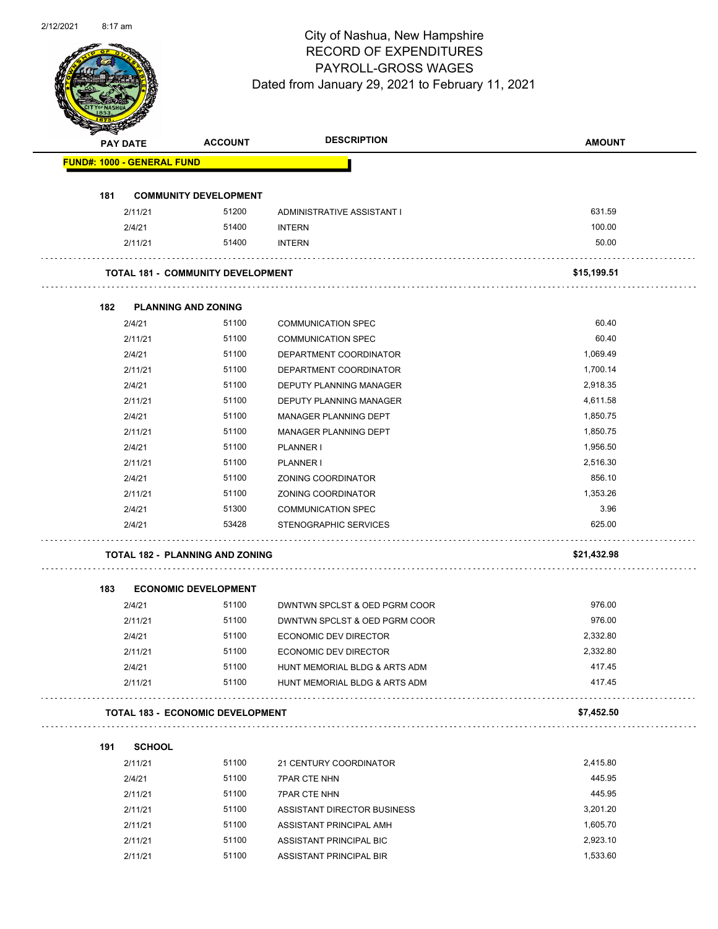

Page 59 of 96

|     | <b>PAY DATE</b>                   | <b>ACCOUNT</b>                           | <b>DESCRIPTION</b>            | <b>AMOUNT</b> |
|-----|-----------------------------------|------------------------------------------|-------------------------------|---------------|
|     | <b>FUND#: 1000 - GENERAL FUND</b> |                                          |                               |               |
| 181 |                                   | <b>COMMUNITY DEVELOPMENT</b>             |                               |               |
|     | 2/11/21                           | 51200                                    | ADMINISTRATIVE ASSISTANT I    | 631.59        |
|     | 2/4/21                            | 51400                                    | <b>INTERN</b>                 | 100.00        |
|     | 2/11/21                           | 51400                                    | <b>INTERN</b>                 | 50.00         |
|     |                                   |                                          |                               |               |
|     |                                   | <b>TOTAL 181 - COMMUNITY DEVELOPMENT</b> |                               | \$15,199.51   |
| 182 | <b>PLANNING AND ZONING</b>        |                                          |                               |               |
|     | 2/4/21                            | 51100                                    | <b>COMMUNICATION SPEC</b>     | 60.40         |
|     | 2/11/21                           | 51100                                    | <b>COMMUNICATION SPEC</b>     | 60.40         |
|     | 2/4/21                            | 51100                                    | DEPARTMENT COORDINATOR        | 1,069.49      |
|     | 2/11/21                           | 51100                                    | DEPARTMENT COORDINATOR        | 1,700.14      |
|     | 2/4/21                            | 51100                                    | DEPUTY PLANNING MANAGER       | 2,918.35      |
|     | 2/11/21                           | 51100                                    | DEPUTY PLANNING MANAGER       | 4,611.58      |
|     | 2/4/21                            | 51100                                    | MANAGER PLANNING DEPT         | 1,850.75      |
|     | 2/11/21                           | 51100                                    | <b>MANAGER PLANNING DEPT</b>  | 1,850.75      |
|     | 2/4/21                            | 51100                                    | <b>PLANNER I</b>              | 1,956.50      |
|     | 2/11/21                           | 51100                                    | <b>PLANNER I</b>              | 2,516.30      |
|     | 2/4/21                            | 51100                                    | ZONING COORDINATOR            | 856.10        |
|     | 2/11/21                           | 51100                                    | ZONING COORDINATOR            | 1,353.26      |
|     | 2/4/21                            | 51300                                    | <b>COMMUNICATION SPEC</b>     | 3.96          |
|     | 2/4/21                            | 53428                                    | STENOGRAPHIC SERVICES         | 625.00        |
|     |                                   | <b>TOTAL 182 - PLANNING AND ZONING</b>   |                               | \$21,432.98   |
| 183 |                                   | <b>ECONOMIC DEVELOPMENT</b>              |                               |               |
|     | 2/4/21                            | 51100                                    | DWNTWN SPCLST & OED PGRM COOR | 976.00        |
|     | 2/11/21                           | 51100                                    | DWNTWN SPCLST & OED PGRM COOR | 976.00        |
|     | 2/4/21                            | 51100                                    | ECONOMIC DEV DIRECTOR         | 2,332.80      |
|     | 2/11/21                           | 51100                                    | ECONOMIC DEV DIRECTOR         | 2,332.80      |
|     | 2/4/21                            | 51100                                    | HUNT MEMORIAL BLDG & ARTS ADM | 417.45        |
|     | 2/11/21                           | 51100                                    | HUNT MEMORIAL BLDG & ARTS ADM | 417.45        |
|     |                                   | <b>TOTAL 183 - ECONOMIC DEVELOPMENT</b>  | did did did did did d         | \$7,452.50    |
| 191 | <b>SCHOOL</b>                     |                                          |                               |               |
|     | 2/11/21                           | 51100                                    | 21 CENTURY COORDINATOR        | 2,415.80      |
|     | 2/4/21                            | 51100                                    | <b>7PAR CTE NHN</b>           | 445.95        |
|     | 2/11/21                           | 51100                                    | <b>7PAR CTE NHN</b>           | 445.95        |
|     | 2/11/21                           | 51100                                    | ASSISTANT DIRECTOR BUSINESS   | 3,201.20      |
|     | 2/11/21                           | 51100                                    | ASSISTANT PRINCIPAL AMH       | 1,605.70      |
|     | 2/11/21                           | 51100                                    | ASSISTANT PRINCIPAL BIC       | 2,923.10      |
|     | 2/11/21                           | 51100                                    | ASSISTANT PRINCIPAL BIR       | 1,533.60      |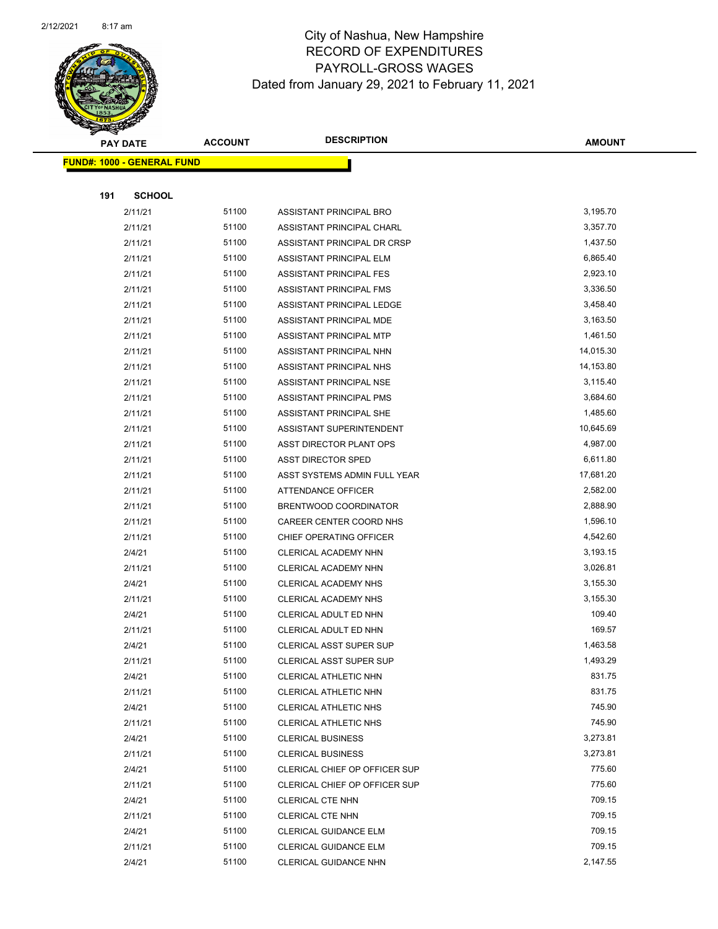

|     | <b>PAY DATE</b>                   | <b>ACCOUNT</b> | <b>DESCRIPTION</b>                                  | <b>AMOUNT</b>        |
|-----|-----------------------------------|----------------|-----------------------------------------------------|----------------------|
|     | <b>FUND#: 1000 - GENERAL FUND</b> |                |                                                     |                      |
|     |                                   |                |                                                     |                      |
| 191 | <b>SCHOOL</b>                     |                |                                                     |                      |
|     | 2/11/21                           | 51100          | ASSISTANT PRINCIPAL BRO                             | 3,195.70             |
|     | 2/11/21                           | 51100          | ASSISTANT PRINCIPAL CHARL                           | 3,357.70             |
|     | 2/11/21                           | 51100          | ASSISTANT PRINCIPAL DR CRSP                         | 1,437.50             |
|     | 2/11/21                           | 51100          | ASSISTANT PRINCIPAL ELM                             | 6,865.40             |
|     | 2/11/21                           | 51100          | ASSISTANT PRINCIPAL FES                             | 2,923.10             |
|     | 2/11/21                           | 51100          | ASSISTANT PRINCIPAL FMS                             | 3,336.50             |
|     | 2/11/21                           | 51100          | ASSISTANT PRINCIPAL LEDGE                           | 3,458.40             |
|     | 2/11/21                           | 51100          | ASSISTANT PRINCIPAL MDE                             | 3,163.50             |
|     | 2/11/21                           | 51100          | ASSISTANT PRINCIPAL MTP                             | 1,461.50             |
|     | 2/11/21                           | 51100          | ASSISTANT PRINCIPAL NHN                             | 14,015.30            |
|     | 2/11/21                           | 51100          | ASSISTANT PRINCIPAL NHS                             | 14,153.80            |
|     | 2/11/21                           | 51100          | <b>ASSISTANT PRINCIPAL NSE</b>                      | 3,115.40             |
|     | 2/11/21                           | 51100          | ASSISTANT PRINCIPAL PMS                             | 3,684.60             |
|     | 2/11/21                           | 51100          | ASSISTANT PRINCIPAL SHE                             | 1,485.60             |
|     | 2/11/21                           | 51100          | ASSISTANT SUPERINTENDENT                            | 10,645.69            |
|     | 2/11/21                           | 51100          | ASST DIRECTOR PLANT OPS                             | 4,987.00             |
|     | 2/11/21                           | 51100          | <b>ASST DIRECTOR SPED</b>                           | 6,611.80             |
|     | 2/11/21                           | 51100          | ASST SYSTEMS ADMIN FULL YEAR                        | 17,681.20            |
|     | 2/11/21                           | 51100          | <b>ATTENDANCE OFFICER</b>                           | 2,582.00             |
|     | 2/11/21                           | 51100          | BRENTWOOD COORDINATOR                               | 2,888.90             |
|     | 2/11/21                           | 51100          | CAREER CENTER COORD NHS                             | 1,596.10             |
|     | 2/11/21                           | 51100          | CHIEF OPERATING OFFICER                             | 4,542.60             |
|     | 2/4/21                            | 51100          | CLERICAL ACADEMY NHN                                | 3,193.15             |
|     | 2/11/21                           | 51100<br>51100 | CLERICAL ACADEMY NHN                                | 3,026.81<br>3,155.30 |
|     | 2/4/21<br>2/11/21                 | 51100          | CLERICAL ACADEMY NHS<br><b>CLERICAL ACADEMY NHS</b> | 3,155.30             |
|     | 2/4/21                            | 51100          | CLERICAL ADULT ED NHN                               | 109.40               |
|     | 2/11/21                           | 51100          | CLERICAL ADULT ED NHN                               | 169.57               |
|     | 2/4/21                            | 51100          | <b>CLERICAL ASST SUPER SUP</b>                      | 1,463.58             |
|     | 2/11/21                           | 51100          | <b>CLERICAL ASST SUPER SUP</b>                      | 1,493.29             |
|     | 2/4/21                            | 51100          | CLERICAL ATHLETIC NHN                               | 831.75               |
|     | 2/11/21                           | 51100          | CLERICAL ATHLETIC NHN                               | 831.75               |
|     | 2/4/21                            | 51100          | CLERICAL ATHLETIC NHS                               | 745.90               |
|     | 2/11/21                           | 51100          | CLERICAL ATHLETIC NHS                               | 745.90               |
|     | 2/4/21                            | 51100          | <b>CLERICAL BUSINESS</b>                            | 3,273.81             |
|     | 2/11/21                           | 51100          | <b>CLERICAL BUSINESS</b>                            | 3,273.81             |
|     | 2/4/21                            | 51100          | CLERICAL CHIEF OP OFFICER SUP                       | 775.60               |
|     | 2/11/21                           | 51100          | CLERICAL CHIEF OP OFFICER SUP                       | 775.60               |
|     | 2/4/21                            | 51100          | <b>CLERICAL CTE NHN</b>                             | 709.15               |
|     | 2/11/21                           | 51100          | <b>CLERICAL CTE NHN</b>                             | 709.15               |
|     | 2/4/21                            | 51100          | CLERICAL GUIDANCE ELM                               | 709.15               |
|     | 2/11/21                           | 51100          | CLERICAL GUIDANCE ELM                               | 709.15               |
|     | 2/4/21                            | 51100          | CLERICAL GUIDANCE NHN                               | 2,147.55             |
|     |                                   |                |                                                     |                      |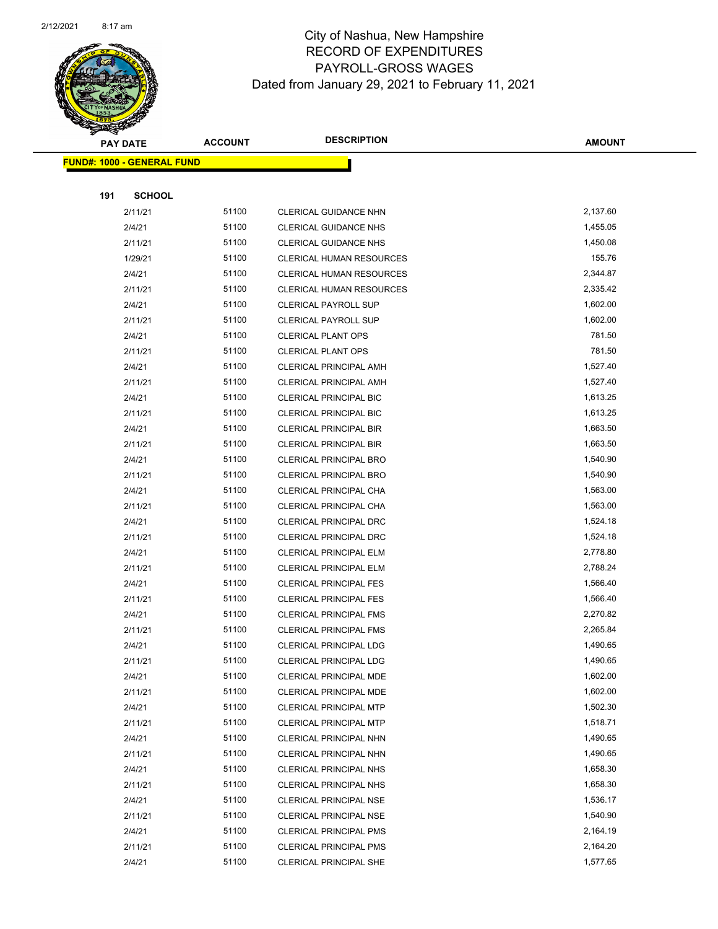

|     | <b>PAY DATE</b>                   | <b>ACCOUNT</b> | <b>DESCRIPTION</b>              | <b>AMOUNT</b> |
|-----|-----------------------------------|----------------|---------------------------------|---------------|
|     | <b>FUND#: 1000 - GENERAL FUND</b> |                |                                 |               |
|     |                                   |                |                                 |               |
| 191 | <b>SCHOOL</b>                     |                |                                 |               |
|     | 2/11/21                           | 51100          | CLERICAL GUIDANCE NHN           | 2,137.60      |
|     | 2/4/21                            | 51100          | <b>CLERICAL GUIDANCE NHS</b>    | 1,455.05      |
|     | 2/11/21                           | 51100          | <b>CLERICAL GUIDANCE NHS</b>    | 1,450.08      |
|     | 1/29/21                           | 51100          | <b>CLERICAL HUMAN RESOURCES</b> | 155.76        |
|     | 2/4/21                            | 51100          | CLERICAL HUMAN RESOURCES        | 2,344.87      |
|     | 2/11/21                           | 51100          | <b>CLERICAL HUMAN RESOURCES</b> | 2,335.42      |
|     | 2/4/21                            | 51100          | <b>CLERICAL PAYROLL SUP</b>     | 1,602.00      |
|     | 2/11/21                           | 51100          | <b>CLERICAL PAYROLL SUP</b>     | 1,602.00      |
|     | 2/4/21                            | 51100          | CLERICAL PLANT OPS              | 781.50        |
|     | 2/11/21                           | 51100          | <b>CLERICAL PLANT OPS</b>       | 781.50        |
|     | 2/4/21                            | 51100          | CLERICAL PRINCIPAL AMH          | 1,527.40      |
|     | 2/11/21                           | 51100          | <b>CLERICAL PRINCIPAL AMH</b>   | 1,527.40      |
|     | 2/4/21                            | 51100          | <b>CLERICAL PRINCIPAL BIC</b>   | 1,613.25      |
|     | 2/11/21                           | 51100          | CLERICAL PRINCIPAL BIC          | 1,613.25      |
|     | 2/4/21                            | 51100          | <b>CLERICAL PRINCIPAL BIR</b>   | 1,663.50      |
|     | 2/11/21                           | 51100          | <b>CLERICAL PRINCIPAL BIR</b>   | 1,663.50      |
|     | 2/4/21                            | 51100          | <b>CLERICAL PRINCIPAL BRO</b>   | 1,540.90      |
|     | 2/11/21                           | 51100          | <b>CLERICAL PRINCIPAL BRO</b>   | 1,540.90      |
|     | 2/4/21                            | 51100          | CLERICAL PRINCIPAL CHA          | 1,563.00      |
|     | 2/11/21                           | 51100          | CLERICAL PRINCIPAL CHA          | 1,563.00      |
|     | 2/4/21                            | 51100          | <b>CLERICAL PRINCIPAL DRC</b>   | 1,524.18      |
|     | 2/11/21                           | 51100          | <b>CLERICAL PRINCIPAL DRC</b>   | 1,524.18      |
|     | 2/4/21                            | 51100          | <b>CLERICAL PRINCIPAL ELM</b>   | 2,778.80      |
|     | 2/11/21                           | 51100          | CLERICAL PRINCIPAL ELM          | 2,788.24      |
|     | 2/4/21                            | 51100          | <b>CLERICAL PRINCIPAL FES</b>   | 1,566.40      |
|     | 2/11/21                           | 51100          | <b>CLERICAL PRINCIPAL FES</b>   | 1,566.40      |
|     | 2/4/21                            | 51100          | <b>CLERICAL PRINCIPAL FMS</b>   | 2,270.82      |
|     | 2/11/21                           | 51100          | <b>CLERICAL PRINCIPAL FMS</b>   | 2,265.84      |
|     | 2/4/21                            | 51100          | CLERICAL PRINCIPAL LDG          | 1,490.65      |
|     | 2/11/21                           | 51100          | <b>CLERICAL PRINCIPAL LDG</b>   | 1,490.65      |
|     | 2/4/21                            | 51100          | CLERICAL PRINCIPAL MDE          | 1,602.00      |
|     | 2/11/21                           | 51100          | CLERICAL PRINCIPAL MDE          | 1,602.00      |
|     | 2/4/21                            | 51100          | <b>CLERICAL PRINCIPAL MTP</b>   | 1,502.30      |
|     | 2/11/21                           | 51100          | CLERICAL PRINCIPAL MTP          | 1,518.71      |
|     | 2/4/21                            | 51100          | CLERICAL PRINCIPAL NHN          | 1,490.65      |
|     | 2/11/21                           | 51100          | CLERICAL PRINCIPAL NHN          | 1,490.65      |
|     | 2/4/21                            | 51100          | <b>CLERICAL PRINCIPAL NHS</b>   | 1,658.30      |
|     | 2/11/21                           | 51100          | CLERICAL PRINCIPAL NHS          | 1,658.30      |
|     | 2/4/21                            | 51100          | CLERICAL PRINCIPAL NSE          | 1,536.17      |
|     | 2/11/21                           | 51100          | <b>CLERICAL PRINCIPAL NSE</b>   | 1,540.90      |
|     | 2/4/21                            | 51100          | CLERICAL PRINCIPAL PMS          | 2,164.19      |
|     | 2/11/21                           | 51100          | <b>CLERICAL PRINCIPAL PMS</b>   | 2,164.20      |
|     | 2/4/21                            | 51100          | <b>CLERICAL PRINCIPAL SHE</b>   | 1,577.65      |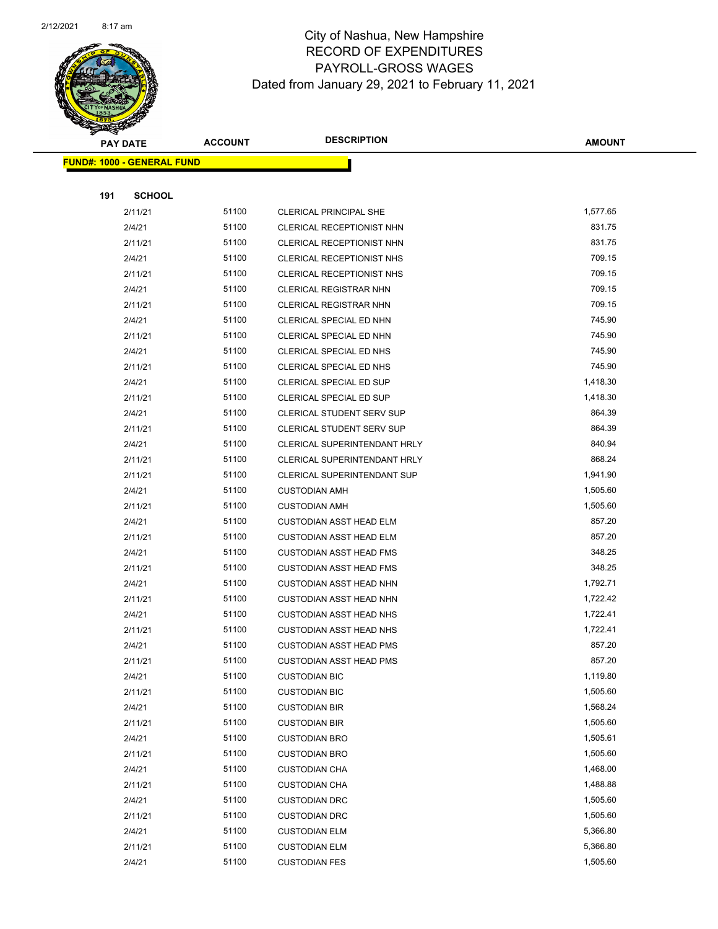

|     | <b>PAY DATE</b>                    | <b>ACCOUNT</b> | <b>DESCRIPTION</b>                                               | <b>AMOUNT</b>        |
|-----|------------------------------------|----------------|------------------------------------------------------------------|----------------------|
|     | <u> FUND#: 1000 - GENERAL FUND</u> |                |                                                                  |                      |
|     |                                    |                |                                                                  |                      |
| 191 | <b>SCHOOL</b>                      |                |                                                                  |                      |
|     | 2/11/21                            | 51100          | CLERICAL PRINCIPAL SHE                                           | 1,577.65             |
|     | 2/4/21                             | 51100          | CLERICAL RECEPTIONIST NHN                                        | 831.75               |
|     | 2/11/21                            | 51100          | CLERICAL RECEPTIONIST NHN                                        | 831.75               |
|     | 2/4/21                             | 51100          | CLERICAL RECEPTIONIST NHS                                        | 709.15               |
|     | 2/11/21                            | 51100          | CLERICAL RECEPTIONIST NHS                                        | 709.15               |
|     | 2/4/21                             | 51100          | CLERICAL REGISTRAR NHN                                           | 709.15               |
|     | 2/11/21                            | 51100          | <b>CLERICAL REGISTRAR NHN</b>                                    | 709.15               |
|     | 2/4/21                             | 51100          | CLERICAL SPECIAL ED NHN                                          | 745.90               |
|     | 2/11/21                            | 51100          | CLERICAL SPECIAL ED NHN                                          | 745.90               |
|     | 2/4/21                             | 51100          | CLERICAL SPECIAL ED NHS                                          | 745.90               |
|     | 2/11/21                            | 51100          | CLERICAL SPECIAL ED NHS                                          | 745.90               |
|     | 2/4/21                             | 51100          | <b>CLERICAL SPECIAL ED SUP</b>                                   | 1,418.30             |
|     | 2/11/21                            | 51100          | CLERICAL SPECIAL ED SUP                                          | 1,418.30             |
|     | 2/4/21                             | 51100          | CLERICAL STUDENT SERV SUP                                        | 864.39               |
|     | 2/11/21                            | 51100          | <b>CLERICAL STUDENT SERV SUP</b>                                 | 864.39               |
|     | 2/4/21                             | 51100          | <b>CLERICAL SUPERINTENDANT HRLY</b>                              | 840.94               |
|     | 2/11/21                            | 51100          | CLERICAL SUPERINTENDANT HRLY                                     | 868.24               |
|     | 2/11/21                            | 51100          | <b>CLERICAL SUPERINTENDANT SUP</b>                               | 1,941.90             |
|     | 2/4/21                             | 51100          | <b>CUSTODIAN AMH</b>                                             | 1,505.60             |
|     | 2/11/21                            | 51100          | <b>CUSTODIAN AMH</b>                                             | 1,505.60             |
|     | 2/4/21                             | 51100          | <b>CUSTODIAN ASST HEAD ELM</b>                                   | 857.20               |
|     | 2/11/21                            | 51100          | <b>CUSTODIAN ASST HEAD ELM</b>                                   | 857.20               |
|     | 2/4/21                             | 51100          | <b>CUSTODIAN ASST HEAD FMS</b>                                   | 348.25               |
|     | 2/11/21                            | 51100          | <b>CUSTODIAN ASST HEAD FMS</b>                                   | 348.25               |
|     | 2/4/21                             | 51100<br>51100 | <b>CUSTODIAN ASST HEAD NHN</b>                                   | 1,792.71<br>1,722.42 |
|     | 2/11/21<br>2/4/21                  | 51100          | <b>CUSTODIAN ASST HEAD NHN</b><br><b>CUSTODIAN ASST HEAD NHS</b> | 1,722.41             |
|     | 2/11/21                            | 51100          | <b>CUSTODIAN ASST HEAD NHS</b>                                   | 1,722.41             |
|     | 2/4/21                             | 51100          | <b>CUSTODIAN ASST HEAD PMS</b>                                   | 857.20               |
|     | 2/11/21                            | 51100          | <b>CUSTODIAN ASST HEAD PMS</b>                                   | 857.20               |
|     | 2/4/21                             | 51100          | <b>CUSTODIAN BIC</b>                                             | 1,119.80             |
|     | 2/11/21                            | 51100          | <b>CUSTODIAN BIC</b>                                             | 1,505.60             |
|     | 2/4/21                             | 51100          | <b>CUSTODIAN BIR</b>                                             | 1,568.24             |
|     | 2/11/21                            | 51100          | <b>CUSTODIAN BIR</b>                                             | 1,505.60             |
|     | 2/4/21                             | 51100          | <b>CUSTODIAN BRO</b>                                             | 1,505.61             |
|     | 2/11/21                            | 51100          | <b>CUSTODIAN BRO</b>                                             | 1,505.60             |
|     | 2/4/21                             | 51100          | <b>CUSTODIAN CHA</b>                                             | 1,468.00             |
|     | 2/11/21                            | 51100          | <b>CUSTODIAN CHA</b>                                             | 1,488.88             |
|     | 2/4/21                             | 51100          | <b>CUSTODIAN DRC</b>                                             | 1,505.60             |
|     | 2/11/21                            | 51100          | <b>CUSTODIAN DRC</b>                                             | 1,505.60             |
|     | 2/4/21                             | 51100          | <b>CUSTODIAN ELM</b>                                             | 5,366.80             |
|     | 2/11/21                            | 51100          | <b>CUSTODIAN ELM</b>                                             | 5,366.80             |
|     | 2/4/21                             | 51100          | <b>CUSTODIAN FES</b>                                             | 1,505.60             |
|     |                                    |                |                                                                  |                      |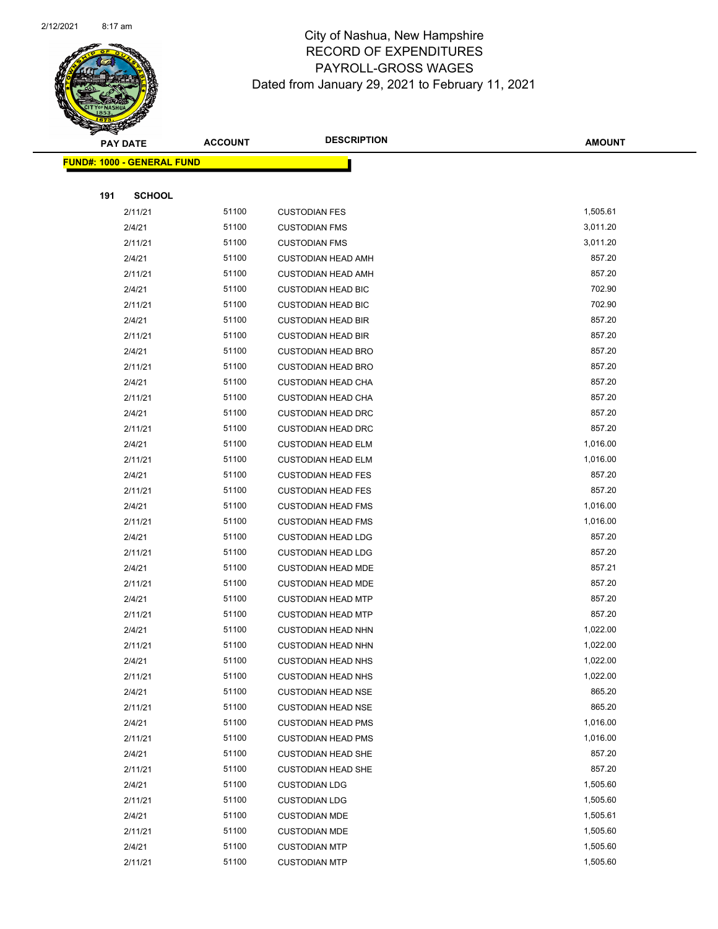

|     | <b>PAY DATE</b>                   | <b>ACCOUNT</b> | <b>DESCRIPTION</b>        | <b>AMOUNT</b> |
|-----|-----------------------------------|----------------|---------------------------|---------------|
|     | <b>FUND#: 1000 - GENERAL FUND</b> |                |                           |               |
|     |                                   |                |                           |               |
| 191 | <b>SCHOOL</b>                     |                |                           |               |
|     | 2/11/21                           | 51100          | <b>CUSTODIAN FES</b>      | 1,505.61      |
|     | 2/4/21                            | 51100          | <b>CUSTODIAN FMS</b>      | 3,011.20      |
|     | 2/11/21                           | 51100          | <b>CUSTODIAN FMS</b>      | 3,011.20      |
|     | 2/4/21                            | 51100          | <b>CUSTODIAN HEAD AMH</b> | 857.20        |
|     | 2/11/21                           | 51100          | <b>CUSTODIAN HEAD AMH</b> | 857.20        |
|     | 2/4/21                            | 51100          | <b>CUSTODIAN HEAD BIC</b> | 702.90        |
|     | 2/11/21                           | 51100          | <b>CUSTODIAN HEAD BIC</b> | 702.90        |
|     | 2/4/21                            | 51100          | <b>CUSTODIAN HEAD BIR</b> | 857.20        |
|     | 2/11/21                           | 51100          | <b>CUSTODIAN HEAD BIR</b> | 857.20        |
|     | 2/4/21                            | 51100          | <b>CUSTODIAN HEAD BRO</b> | 857.20        |
|     | 2/11/21                           | 51100          | <b>CUSTODIAN HEAD BRO</b> | 857.20        |
|     | 2/4/21                            | 51100          | <b>CUSTODIAN HEAD CHA</b> | 857.20        |
|     | 2/11/21                           | 51100          | <b>CUSTODIAN HEAD CHA</b> | 857.20        |
|     | 2/4/21                            | 51100          | <b>CUSTODIAN HEAD DRC</b> | 857.20        |
|     | 2/11/21                           | 51100          | <b>CUSTODIAN HEAD DRC</b> | 857.20        |
|     | 2/4/21                            | 51100          | <b>CUSTODIAN HEAD ELM</b> | 1,016.00      |
|     | 2/11/21                           | 51100          | <b>CUSTODIAN HEAD ELM</b> | 1,016.00      |
|     | 2/4/21                            | 51100          | <b>CUSTODIAN HEAD FES</b> | 857.20        |
|     | 2/11/21                           | 51100          | <b>CUSTODIAN HEAD FES</b> | 857.20        |
|     | 2/4/21                            | 51100          | <b>CUSTODIAN HEAD FMS</b> | 1,016.00      |
|     | 2/11/21                           | 51100          | <b>CUSTODIAN HEAD FMS</b> | 1,016.00      |
|     | 2/4/21                            | 51100          | <b>CUSTODIAN HEAD LDG</b> | 857.20        |
|     | 2/11/21                           | 51100          | <b>CUSTODIAN HEAD LDG</b> | 857.20        |
|     | 2/4/21                            | 51100          | <b>CUSTODIAN HEAD MDE</b> | 857.21        |
|     | 2/11/21                           | 51100          | <b>CUSTODIAN HEAD MDE</b> | 857.20        |
|     | 2/4/21                            | 51100          | <b>CUSTODIAN HEAD MTP</b> | 857.20        |
|     | 2/11/21                           | 51100          | <b>CUSTODIAN HEAD MTP</b> | 857.20        |
|     | 2/4/21                            | 51100          | <b>CUSTODIAN HEAD NHN</b> | 1,022.00      |
|     | 2/11/21                           | 51100          | <b>CUSTODIAN HEAD NHN</b> | 1,022.00      |
|     | 2/4/21                            | 51100          | <b>CUSTODIAN HEAD NHS</b> | 1,022.00      |
|     | 2/11/21                           | 51100          | <b>CUSTODIAN HEAD NHS</b> | 1,022.00      |
|     | 2/4/21                            | 51100          | <b>CUSTODIAN HEAD NSE</b> | 865.20        |
|     | 2/11/21                           | 51100          | <b>CUSTODIAN HEAD NSE</b> | 865.20        |
|     | 2/4/21                            | 51100          | <b>CUSTODIAN HEAD PMS</b> | 1,016.00      |
|     | 2/11/21                           | 51100          | <b>CUSTODIAN HEAD PMS</b> | 1,016.00      |
|     | 2/4/21                            | 51100          | <b>CUSTODIAN HEAD SHE</b> | 857.20        |
|     | 2/11/21                           | 51100          | <b>CUSTODIAN HEAD SHE</b> | 857.20        |
|     | 2/4/21                            | 51100          | <b>CUSTODIAN LDG</b>      | 1,505.60      |
|     | 2/11/21                           | 51100          | <b>CUSTODIAN LDG</b>      | 1,505.60      |
|     | 2/4/21                            | 51100          | <b>CUSTODIAN MDE</b>      | 1,505.61      |
|     | 2/11/21                           | 51100          | <b>CUSTODIAN MDE</b>      | 1,505.60      |
|     | 2/4/21                            | 51100          | <b>CUSTODIAN MTP</b>      | 1,505.60      |
|     | 2/11/21                           | 51100          | <b>CUSTODIAN MTP</b>      | 1,505.60      |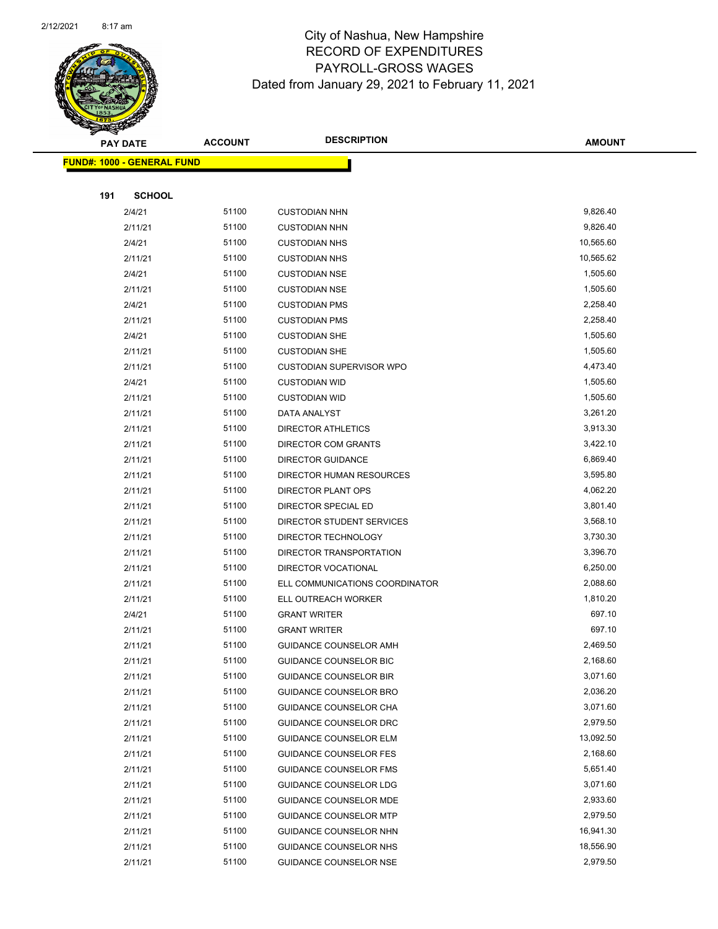

Page 64 of 96

|     | <b>PAY DATE</b>                   | <b>ACCOUNT</b> | <b>DESCRIPTION</b>                            | <b>AMOUNT</b>      |
|-----|-----------------------------------|----------------|-----------------------------------------------|--------------------|
|     | <b>FUND#: 1000 - GENERAL FUND</b> |                |                                               |                    |
|     |                                   |                |                                               |                    |
| 191 | <b>SCHOOL</b>                     |                |                                               |                    |
|     | 2/4/21                            | 51100          | <b>CUSTODIAN NHN</b>                          | 9,826.40           |
|     | 2/11/21                           | 51100          | <b>CUSTODIAN NHN</b>                          | 9,826.40           |
|     | 2/4/21                            | 51100          | <b>CUSTODIAN NHS</b>                          | 10,565.60          |
|     | 2/11/21                           | 51100          | <b>CUSTODIAN NHS</b>                          | 10,565.62          |
|     | 2/4/21                            | 51100          | <b>CUSTODIAN NSE</b>                          | 1,505.60           |
|     | 2/11/21                           | 51100          | <b>CUSTODIAN NSE</b>                          | 1,505.60           |
|     | 2/4/21                            | 51100          | <b>CUSTODIAN PMS</b>                          | 2,258.40           |
|     | 2/11/21                           | 51100          | <b>CUSTODIAN PMS</b>                          | 2,258.40           |
|     | 2/4/21                            | 51100          | <b>CUSTODIAN SHE</b>                          | 1,505.60           |
|     | 2/11/21                           | 51100          | <b>CUSTODIAN SHE</b>                          | 1,505.60           |
|     | 2/11/21                           | 51100          | <b>CUSTODIAN SUPERVISOR WPO</b>               | 4,473.40           |
|     | 2/4/21                            | 51100          | <b>CUSTODIAN WID</b>                          | 1,505.60           |
|     | 2/11/21                           | 51100          | <b>CUSTODIAN WID</b>                          | 1,505.60           |
|     | 2/11/21                           | 51100          | DATA ANALYST                                  | 3,261.20           |
|     | 2/11/21                           | 51100          | <b>DIRECTOR ATHLETICS</b>                     | 3,913.30           |
|     | 2/11/21                           | 51100          | DIRECTOR COM GRANTS                           | 3,422.10           |
|     | 2/11/21                           | 51100          | <b>DIRECTOR GUIDANCE</b>                      | 6,869.40           |
|     | 2/11/21                           | 51100          | DIRECTOR HUMAN RESOURCES                      | 3,595.80           |
|     | 2/11/21                           | 51100          | DIRECTOR PLANT OPS                            | 4,062.20           |
|     | 2/11/21                           | 51100          | DIRECTOR SPECIAL ED                           | 3,801.40           |
|     | 2/11/21                           | 51100          | DIRECTOR STUDENT SERVICES                     | 3,568.10           |
|     | 2/11/21                           | 51100          | DIRECTOR TECHNOLOGY                           | 3,730.30           |
|     | 2/11/21                           | 51100          | DIRECTOR TRANSPORTATION                       | 3,396.70           |
|     | 2/11/21                           | 51100          | DIRECTOR VOCATIONAL                           | 6,250.00           |
|     | 2/11/21                           | 51100          | ELL COMMUNICATIONS COORDINATOR                | 2,088.60           |
|     | 2/11/21                           | 51100<br>51100 | ELL OUTREACH WORKER                           | 1,810.20<br>697.10 |
|     | 2/4/21                            | 51100          | <b>GRANT WRITER</b>                           | 697.10             |
|     | 2/11/21<br>2/11/21                | 51100          | <b>GRANT WRITER</b><br>GUIDANCE COUNSELOR AMH | 2,469.50           |
|     | 2/11/21                           | 51100          | GUIDANCE COUNSELOR BIC                        | 2,168.60           |
|     | 2/11/21                           | 51100          | <b>GUIDANCE COUNSELOR BIR</b>                 | 3,071.60           |
|     | 2/11/21                           | 51100          | GUIDANCE COUNSELOR BRO                        | 2,036.20           |
|     | 2/11/21                           | 51100          | GUIDANCE COUNSELOR CHA                        | 3,071.60           |
|     | 2/11/21                           | 51100          | GUIDANCE COUNSELOR DRC                        | 2,979.50           |
|     | 2/11/21                           | 51100          | <b>GUIDANCE COUNSELOR ELM</b>                 | 13,092.50          |
|     | 2/11/21                           | 51100          | <b>GUIDANCE COUNSELOR FES</b>                 | 2,168.60           |
|     | 2/11/21                           | 51100          | <b>GUIDANCE COUNSELOR FMS</b>                 | 5,651.40           |
|     | 2/11/21                           | 51100          | <b>GUIDANCE COUNSELOR LDG</b>                 | 3,071.60           |
|     | 2/11/21                           | 51100          | <b>GUIDANCE COUNSELOR MDE</b>                 | 2,933.60           |
|     | 2/11/21                           | 51100          | <b>GUIDANCE COUNSELOR MTP</b>                 | 2,979.50           |
|     | 2/11/21                           | 51100          | GUIDANCE COUNSELOR NHN                        | 16,941.30          |
|     | 2/11/21                           | 51100          | GUIDANCE COUNSELOR NHS                        | 18,556.90          |
|     | 2/11/21                           | 51100          | <b>GUIDANCE COUNSELOR NSE</b>                 | 2,979.50           |
|     |                                   |                |                                               |                    |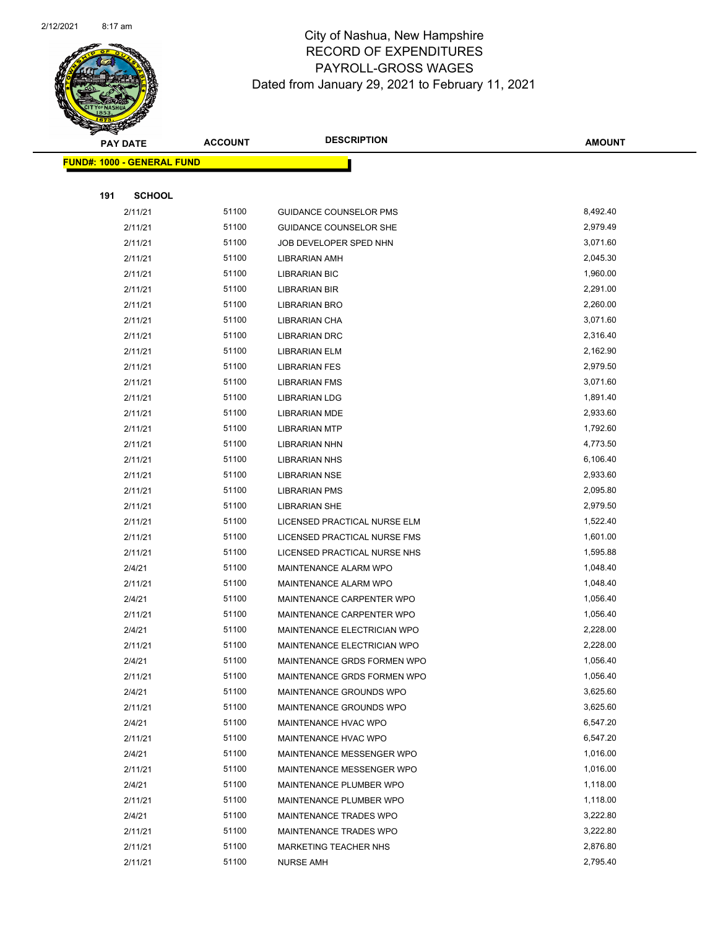

|     | <b>PAY DATE</b>                   | <b>ACCOUNT</b> | <b>DESCRIPTION</b>            | <b>AMOUNT</b> |
|-----|-----------------------------------|----------------|-------------------------------|---------------|
|     | <b>FUND#: 1000 - GENERAL FUND</b> |                |                               |               |
|     |                                   |                |                               |               |
| 191 | <b>SCHOOL</b>                     |                |                               |               |
|     | 2/11/21                           | 51100          | <b>GUIDANCE COUNSELOR PMS</b> | 8,492.40      |
|     | 2/11/21                           | 51100          | <b>GUIDANCE COUNSELOR SHE</b> | 2,979.49      |
|     | 2/11/21                           | 51100          | JOB DEVELOPER SPED NHN        | 3,071.60      |
|     | 2/11/21                           | 51100          | LIBRARIAN AMH                 | 2,045.30      |
|     | 2/11/21                           | 51100          | <b>LIBRARIAN BIC</b>          | 1,960.00      |
|     | 2/11/21                           | 51100          | LIBRARIAN BIR                 | 2,291.00      |
|     | 2/11/21                           | 51100          | LIBRARIAN BRO                 | 2,260.00      |
|     | 2/11/21                           | 51100          | LIBRARIAN CHA                 | 3,071.60      |
|     | 2/11/21                           | 51100          | <b>LIBRARIAN DRC</b>          | 2,316.40      |
|     | 2/11/21                           | 51100          | <b>LIBRARIAN ELM</b>          | 2,162.90      |
|     | 2/11/21                           | 51100          | <b>LIBRARIAN FES</b>          | 2,979.50      |
|     | 2/11/21                           | 51100          | <b>LIBRARIAN FMS</b>          | 3,071.60      |
|     | 2/11/21                           | 51100          | <b>LIBRARIAN LDG</b>          | 1,891.40      |
|     | 2/11/21                           | 51100          | <b>LIBRARIAN MDE</b>          | 2,933.60      |
|     | 2/11/21                           | 51100          | <b>LIBRARIAN MTP</b>          | 1,792.60      |
|     | 2/11/21                           | 51100          | <b>LIBRARIAN NHN</b>          | 4,773.50      |
|     | 2/11/21                           | 51100          | <b>LIBRARIAN NHS</b>          | 6,106.40      |
|     | 2/11/21                           | 51100          | <b>LIBRARIAN NSE</b>          | 2,933.60      |
|     | 2/11/21                           | 51100          | <b>LIBRARIAN PMS</b>          | 2,095.80      |
|     | 2/11/21                           | 51100          | <b>LIBRARIAN SHE</b>          | 2,979.50      |
|     | 2/11/21                           | 51100          | LICENSED PRACTICAL NURSE ELM  | 1,522.40      |
|     | 2/11/21                           | 51100          | LICENSED PRACTICAL NURSE FMS  | 1,601.00      |
|     | 2/11/21                           | 51100          | LICENSED PRACTICAL NURSE NHS  | 1,595.88      |
|     | 2/4/21                            | 51100          | MAINTENANCE ALARM WPO         | 1,048.40      |
|     | 2/11/21                           | 51100          | MAINTENANCE ALARM WPO         | 1,048.40      |
|     | 2/4/21                            | 51100          | MAINTENANCE CARPENTER WPO     | 1,056.40      |
|     | 2/11/21                           | 51100          | MAINTENANCE CARPENTER WPO     | 1,056.40      |
|     | 2/4/21                            | 51100          | MAINTENANCE ELECTRICIAN WPO   | 2,228.00      |
|     | 2/11/21                           | 51100          | MAINTENANCE ELECTRICIAN WPO   | 2,228.00      |
|     | 2/4/21                            | 51100          | MAINTENANCE GRDS FORMEN WPO   | 1,056.40      |
|     | 2/11/21                           | 51100          | MAINTENANCE GRDS FORMEN WPO   | 1,056.40      |
|     | 2/4/21                            | 51100          | MAINTENANCE GROUNDS WPO       | 3,625.60      |
|     | 2/11/21                           | 51100          | MAINTENANCE GROUNDS WPO       | 3,625.60      |
|     | 2/4/21                            | 51100          | MAINTENANCE HVAC WPO          | 6,547.20      |
|     | 2/11/21                           | 51100          | MAINTENANCE HVAC WPO          | 6,547.20      |
|     | 2/4/21                            | 51100          | MAINTENANCE MESSENGER WPO     | 1,016.00      |
|     | 2/11/21                           | 51100          | MAINTENANCE MESSENGER WPO     | 1,016.00      |
|     | 2/4/21                            | 51100          | MAINTENANCE PLUMBER WPO       | 1,118.00      |
|     | 2/11/21                           | 51100          | MAINTENANCE PLUMBER WPO       | 1,118.00      |
|     | 2/4/21                            | 51100          | MAINTENANCE TRADES WPO        | 3,222.80      |
|     | 2/11/21                           | 51100          | MAINTENANCE TRADES WPO        | 3,222.80      |
|     | 2/11/21                           | 51100          | MARKETING TEACHER NHS         | 2,876.80      |
|     | 2/11/21                           | 51100          | <b>NURSE AMH</b>              | 2,795.40      |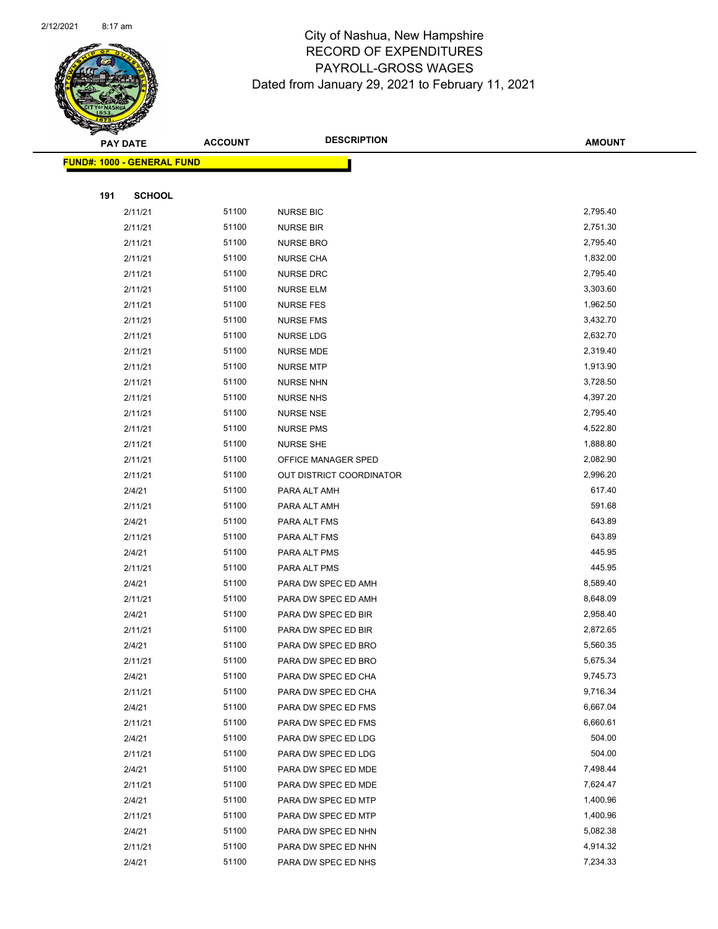

|     | <b>PAY DATE</b>                   | <b>ACCOUNT</b> | <b>DESCRIPTION</b>                                     | <b>AMOUNT</b>        |
|-----|-----------------------------------|----------------|--------------------------------------------------------|----------------------|
|     | <b>FUND#: 1000 - GENERAL FUND</b> |                |                                                        |                      |
|     |                                   |                |                                                        |                      |
| 191 | <b>SCHOOL</b>                     |                |                                                        |                      |
|     | 2/11/21                           | 51100          | <b>NURSE BIC</b>                                       | 2,795.40             |
|     | 2/11/21                           | 51100          | NURSE BIR                                              | 2,751.30             |
|     | 2/11/21                           | 51100          | <b>NURSE BRO</b>                                       | 2,795.40             |
|     | 2/11/21                           | 51100          | <b>NURSE CHA</b>                                       | 1,832.00             |
|     | 2/11/21                           | 51100          | <b>NURSE DRC</b>                                       | 2,795.40             |
|     | 2/11/21                           | 51100          | <b>NURSE ELM</b>                                       | 3,303.60             |
|     | 2/11/21                           | 51100          | <b>NURSE FES</b>                                       | 1,962.50             |
|     | 2/11/21                           | 51100          | <b>NURSE FMS</b>                                       | 3,432.70             |
|     | 2/11/21                           | 51100          | NURSE LDG                                              | 2,632.70             |
|     | 2/11/21                           | 51100          | <b>NURSE MDE</b>                                       | 2,319.40             |
|     | 2/11/21                           | 51100          | <b>NURSE MTP</b>                                       | 1,913.90             |
|     | 2/11/21                           | 51100          | <b>NURSE NHN</b>                                       | 3,728.50             |
|     | 2/11/21                           | 51100          | <b>NURSE NHS</b>                                       | 4,397.20             |
|     | 2/11/21                           | 51100          | <b>NURSE NSE</b>                                       | 2,795.40             |
|     | 2/11/21                           | 51100          | <b>NURSE PMS</b>                                       | 4,522.80             |
|     | 2/11/21                           | 51100          | <b>NURSE SHE</b>                                       | 1,888.80             |
|     | 2/11/21<br>2/11/21                | 51100<br>51100 | OFFICE MANAGER SPED<br><b>OUT DISTRICT COORDINATOR</b> | 2,082.90<br>2,996.20 |
|     | 2/4/21                            | 51100          | PARA ALT AMH                                           | 617.40               |
|     | 2/11/21                           | 51100          | PARA ALT AMH                                           | 591.68               |
|     | 2/4/21                            | 51100          | PARA ALT FMS                                           | 643.89               |
|     | 2/11/21                           | 51100          | PARA ALT FMS                                           | 643.89               |
|     | 2/4/21                            | 51100          | PARA ALT PMS                                           | 445.95               |
|     | 2/11/21                           | 51100          | PARA ALT PMS                                           | 445.95               |
|     | 2/4/21                            | 51100          | PARA DW SPEC ED AMH                                    | 8,589.40             |
|     | 2/11/21                           | 51100          | PARA DW SPEC ED AMH                                    | 8,648.09             |
|     | 2/4/21                            | 51100          | PARA DW SPEC ED BIR                                    | 2,958.40             |
|     | 2/11/21                           | 51100          | PARA DW SPEC ED BIR                                    | 2,872.65             |
|     | 2/4/21                            | 51100          | PARA DW SPEC ED BRO                                    | 5,560.35             |
|     | 2/11/21                           | 51100          | PARA DW SPEC ED BRO                                    | 5,675.34             |
|     | 2/4/21                            | 51100          | PARA DW SPEC ED CHA                                    | 9,745.73             |
|     | 2/11/21                           | 51100          | PARA DW SPEC ED CHA                                    | 9,716.34             |
|     | 2/4/21                            | 51100          | PARA DW SPEC ED FMS                                    | 6,667.04             |
|     | 2/11/21                           | 51100          | PARA DW SPEC ED FMS                                    | 6,660.61             |
|     | 2/4/21                            | 51100          | PARA DW SPEC ED LDG                                    | 504.00               |
|     | 2/11/21                           | 51100          | PARA DW SPEC ED LDG                                    | 504.00               |
|     | 2/4/21                            | 51100          | PARA DW SPEC ED MDE                                    | 7,498.44             |
|     | 2/11/21                           | 51100          | PARA DW SPEC ED MDE                                    | 7,624.47             |
|     | 2/4/21                            | 51100          | PARA DW SPEC ED MTP                                    | 1,400.96             |
|     | 2/11/21                           | 51100          | PARA DW SPEC ED MTP                                    | 1,400.96             |
|     | 2/4/21                            | 51100<br>51100 | PARA DW SPEC ED NHN                                    | 5,082.38<br>4,914.32 |
|     | 2/11/21                           |                | PARA DW SPEC ED NHN                                    |                      |
|     | 2/4/21                            | 51100          | PARA DW SPEC ED NHS                                    | 7,234.33             |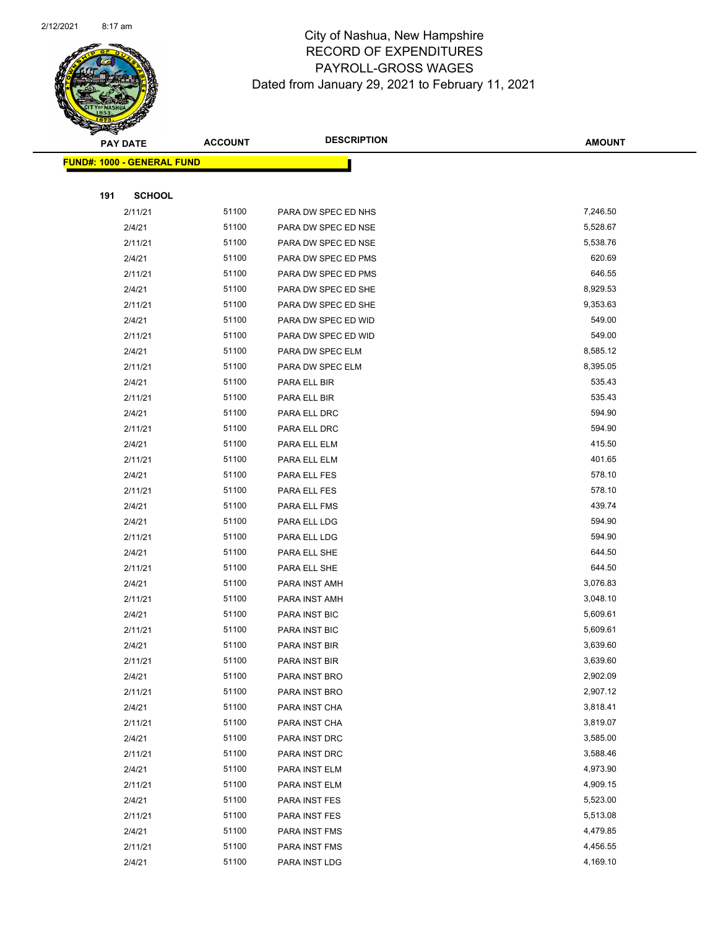

|     | <b>PAY DATE</b>                   | <b>ACCOUNT</b> | <b>DESCRIPTION</b>             | <b>AMOUNT</b>        |
|-----|-----------------------------------|----------------|--------------------------------|----------------------|
|     | <b>FUND#: 1000 - GENERAL FUND</b> |                |                                |                      |
|     |                                   |                |                                |                      |
| 191 | <b>SCHOOL</b>                     |                |                                |                      |
|     | 2/11/21                           | 51100          | PARA DW SPEC ED NHS            | 7,246.50             |
|     | 2/4/21                            | 51100          | PARA DW SPEC ED NSE            | 5,528.67             |
|     | 2/11/21                           | 51100          | PARA DW SPEC ED NSE            | 5,538.76             |
|     | 2/4/21                            | 51100          | PARA DW SPEC ED PMS            | 620.69               |
|     | 2/11/21                           | 51100          | PARA DW SPEC ED PMS            | 646.55               |
|     | 2/4/21                            | 51100          | PARA DW SPEC ED SHE            | 8,929.53             |
|     | 2/11/21                           | 51100          | PARA DW SPEC ED SHE            | 9,353.63             |
|     | 2/4/21                            | 51100          | PARA DW SPEC ED WID            | 549.00               |
|     | 2/11/21                           | 51100          | PARA DW SPEC ED WID            | 549.00               |
|     | 2/4/21                            | 51100          | PARA DW SPEC ELM               | 8,585.12             |
|     | 2/11/21                           | 51100          | PARA DW SPEC ELM               | 8,395.05             |
|     | 2/4/21                            | 51100          | PARA ELL BIR                   | 535.43               |
|     | 2/11/21                           | 51100          | PARA ELL BIR                   | 535.43               |
|     | 2/4/21                            | 51100          | PARA ELL DRC                   | 594.90               |
|     | 2/11/21                           | 51100          | PARA ELL DRC                   | 594.90               |
|     | 2/4/21                            | 51100          | PARA ELL ELM                   | 415.50               |
|     | 2/11/21                           | 51100          | PARA ELL ELM                   | 401.65               |
|     | 2/4/21                            | 51100          | PARA ELL FES                   | 578.10               |
|     | 2/11/21                           | 51100          | PARA ELL FES                   | 578.10               |
|     | 2/4/21                            | 51100          | PARA ELL FMS                   | 439.74               |
|     | 2/4/21                            | 51100          | PARA ELL LDG                   | 594.90               |
|     | 2/11/21                           | 51100          | PARA ELL LDG                   | 594.90               |
|     | 2/4/21                            | 51100          | PARA ELL SHE                   | 644.50               |
|     | 2/11/21                           | 51100          | PARA ELL SHE                   | 644.50               |
|     | 2/4/21                            | 51100          | PARA INST AMH                  | 3,076.83             |
|     | 2/11/21                           | 51100          | PARA INST AMH                  | 3,048.10             |
|     | 2/4/21                            | 51100          | PARA INST BIC                  | 5,609.61             |
|     | 2/11/21                           | 51100          | PARA INST BIC                  | 5,609.61             |
|     | 2/4/21                            | 51100          | PARA INST BIR                  | 3,639.60             |
|     | 2/11/21                           | 51100          | PARA INST BIR                  | 3,639.60             |
|     | 2/4/21                            | 51100          | PARA INST BRO                  | 2,902.09             |
|     | 2/11/21                           | 51100          | PARA INST BRO                  | 2,907.12             |
|     | 2/4/21<br>2/11/21                 | 51100<br>51100 | PARA INST CHA                  | 3,818.41<br>3,819.07 |
|     | 2/4/21                            | 51100          | PARA INST CHA<br>PARA INST DRC | 3,585.00             |
|     | 2/11/21                           | 51100          | PARA INST DRC                  | 3,588.46             |
|     | 2/4/21                            | 51100          |                                | 4,973.90             |
|     | 2/11/21                           | 51100          | PARA INST ELM<br>PARA INST ELM | 4,909.15             |
|     | 2/4/21                            | 51100          | PARA INST FES                  | 5,523.00             |
|     | 2/11/21                           | 51100          | PARA INST FES                  | 5,513.08             |
|     | 2/4/21                            | 51100          | PARA INST FMS                  | 4,479.85             |
|     | 2/11/21                           | 51100          |                                | 4,456.55             |
|     | 2/4/21                            | 51100          | PARA INST FMS<br>PARA INST LDG | 4,169.10             |
|     |                                   |                |                                |                      |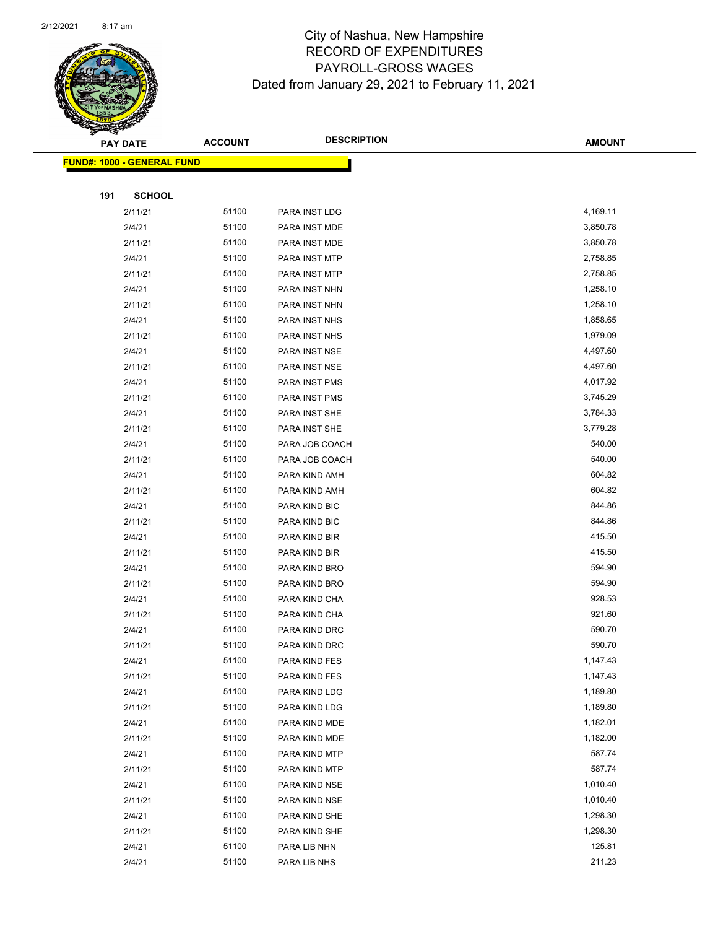

Page 68 of 96

|     | <b>PAY DATE</b>                   | <b>ACCOUNT</b> | <b>DESCRIPTION</b>             | <b>AMOUNT</b>        |
|-----|-----------------------------------|----------------|--------------------------------|----------------------|
|     | <b>FUND#: 1000 - GENERAL FUND</b> |                |                                |                      |
|     |                                   |                |                                |                      |
| 191 | <b>SCHOOL</b>                     |                |                                |                      |
|     | 2/11/21                           | 51100          | PARA INST LDG                  | 4,169.11             |
|     | 2/4/21                            | 51100          | PARA INST MDE                  | 3,850.78             |
|     | 2/11/21                           | 51100          | PARA INST MDE                  | 3,850.78             |
|     | 2/4/21                            | 51100          | PARA INST MTP                  | 2,758.85             |
|     | 2/11/21                           | 51100          | PARA INST MTP                  | 2,758.85             |
|     | 2/4/21                            | 51100          | PARA INST NHN                  | 1,258.10             |
|     | 2/11/21                           | 51100          | PARA INST NHN                  | 1,258.10             |
|     | 2/4/21                            | 51100          | PARA INST NHS                  | 1,858.65             |
|     | 2/11/21                           | 51100          | PARA INST NHS                  | 1,979.09             |
|     | 2/4/21                            | 51100          | PARA INST NSE                  | 4,497.60             |
|     | 2/11/21                           | 51100          | PARA INST NSE                  | 4,497.60             |
|     | 2/4/21                            | 51100          | PARA INST PMS                  | 4,017.92             |
|     | 2/11/21                           | 51100          | PARA INST PMS                  | 3,745.29             |
|     | 2/4/21                            | 51100          | PARA INST SHE                  | 3,784.33             |
|     | 2/11/21                           | 51100          | PARA INST SHE                  | 3,779.28             |
|     | 2/4/21                            | 51100          | PARA JOB COACH                 | 540.00               |
|     | 2/11/21                           | 51100          | PARA JOB COACH                 | 540.00               |
|     | 2/4/21                            | 51100          | PARA KIND AMH                  | 604.82               |
|     | 2/11/21                           | 51100          | PARA KIND AMH                  | 604.82               |
|     | 2/4/21                            | 51100          | PARA KIND BIC                  | 844.86               |
|     | 2/11/21                           | 51100          | PARA KIND BIC                  | 844.86               |
|     | 2/4/21                            | 51100          | PARA KIND BIR                  | 415.50               |
|     | 2/11/21                           | 51100          | PARA KIND BIR                  | 415.50               |
|     | 2/4/21                            | 51100          | PARA KIND BRO                  | 594.90               |
|     | 2/11/21                           | 51100          | PARA KIND BRO                  | 594.90               |
|     | 2/4/21                            | 51100          | PARA KIND CHA                  | 928.53               |
|     | 2/11/21                           | 51100          | PARA KIND CHA                  | 921.60               |
|     | 2/4/21                            | 51100          | PARA KIND DRC                  | 590.70               |
|     | 2/11/21                           | 51100          | PARA KIND DRC                  | 590.70               |
|     | 2/4/21                            | 51100<br>51100 | PARA KIND FES                  | 1,147.43<br>1,147.43 |
|     | 2/11/21<br>2/4/21                 | 51100          | PARA KIND FES<br>PARA KIND LDG | 1,189.80             |
|     | 2/11/21                           | 51100          | PARA KIND LDG                  | 1,189.80             |
|     | 2/4/21                            | 51100          | PARA KIND MDE                  | 1,182.01             |
|     | 2/11/21                           | 51100          | PARA KIND MDE                  | 1,182.00             |
|     | 2/4/21                            | 51100          | PARA KIND MTP                  | 587.74               |
|     | 2/11/21                           | 51100          | PARA KIND MTP                  | 587.74               |
|     | 2/4/21                            | 51100          | PARA KIND NSE                  | 1,010.40             |
|     | 2/11/21                           | 51100          | PARA KIND NSE                  | 1,010.40             |
|     | 2/4/21                            | 51100          | PARA KIND SHE                  | 1,298.30             |
|     | 2/11/21                           | 51100          | PARA KIND SHE                  | 1,298.30             |
|     | 2/4/21                            | 51100          | PARA LIB NHN                   | 125.81               |
|     | 2/4/21                            | 51100          | PARA LIB NHS                   | 211.23               |
|     |                                   |                |                                |                      |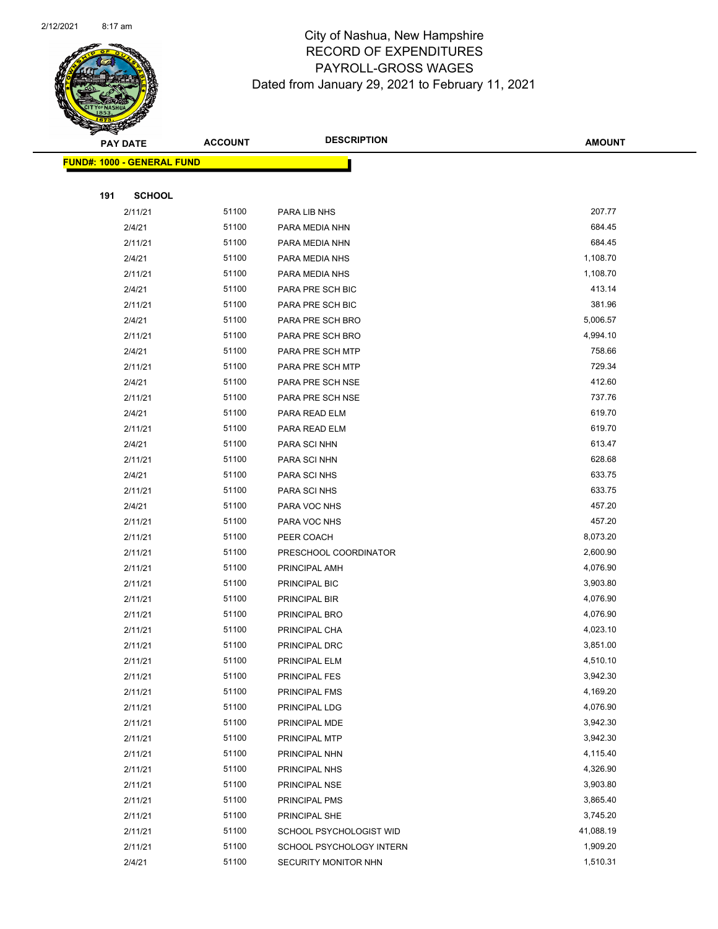

Page 69 of 96

|     | <b>PAY DATE</b>                   | <b>ACCOUNT</b> | <b>DESCRIPTION</b>           | <b>AMOUNT</b>    |  |
|-----|-----------------------------------|----------------|------------------------------|------------------|--|
|     | <b>FUND#: 1000 - GENERAL FUND</b> |                |                              |                  |  |
|     |                                   |                |                              |                  |  |
| 191 | <b>SCHOOL</b>                     |                |                              |                  |  |
|     | 2/11/21                           | 51100          | PARA LIB NHS                 | 207.77           |  |
|     | 2/4/21                            | 51100          | PARA MEDIA NHN               | 684.45           |  |
|     | 2/11/21                           | 51100          | PARA MEDIA NHN               | 684.45           |  |
|     | 2/4/21                            | 51100          | PARA MEDIA NHS               | 1,108.70         |  |
|     | 2/11/21                           | 51100          | PARA MEDIA NHS               | 1,108.70         |  |
|     | 2/4/21                            | 51100          | PARA PRE SCH BIC             | 413.14           |  |
|     | 2/11/21                           | 51100          | PARA PRE SCH BIC             | 381.96           |  |
|     | 2/4/21                            | 51100          | PARA PRE SCH BRO             | 5,006.57         |  |
|     | 2/11/21                           | 51100          | PARA PRE SCH BRO             | 4,994.10         |  |
|     | 2/4/21                            | 51100          | PARA PRE SCH MTP             | 758.66           |  |
|     | 2/11/21                           | 51100          | PARA PRE SCH MTP             | 729.34           |  |
|     | 2/4/21                            | 51100          | PARA PRE SCH NSE             | 412.60           |  |
|     | 2/11/21                           | 51100          | PARA PRE SCH NSE             | 737.76           |  |
|     | 2/4/21                            | 51100          | PARA READ ELM                | 619.70           |  |
|     | 2/11/21                           | 51100          | PARA READ ELM                | 619.70           |  |
|     | 2/4/21                            | 51100          | PARA SCI NHN                 | 613.47           |  |
|     | 2/11/21                           | 51100          | PARA SCI NHN                 | 628.68           |  |
|     | 2/4/21<br>2/11/21                 | 51100<br>51100 | PARA SCI NHS<br>PARA SCI NHS | 633.75<br>633.75 |  |
|     | 2/4/21                            | 51100          | PARA VOC NHS                 | 457.20           |  |
|     | 2/11/21                           | 51100          | PARA VOC NHS                 | 457.20           |  |
|     | 2/11/21                           | 51100          | PEER COACH                   | 8,073.20         |  |
|     | 2/11/21                           | 51100          | PRESCHOOL COORDINATOR        | 2,600.90         |  |
|     | 2/11/21                           | 51100          | PRINCIPAL AMH                | 4,076.90         |  |
|     | 2/11/21                           | 51100          | PRINCIPAL BIC                | 3,903.80         |  |
|     | 2/11/21                           | 51100          | PRINCIPAL BIR                | 4,076.90         |  |
|     | 2/11/21                           | 51100          | PRINCIPAL BRO                | 4,076.90         |  |
|     | 2/11/21                           | 51100          | PRINCIPAL CHA                | 4,023.10         |  |
|     | 2/11/21                           | 51100          | PRINCIPAL DRC                | 3,851.00         |  |
|     | 2/11/21                           | 51100          | PRINCIPAL ELM                | 4,510.10         |  |
|     | 2/11/21                           | 51100          | PRINCIPAL FES                | 3,942.30         |  |
|     | 2/11/21                           | 51100          | PRINCIPAL FMS                | 4,169.20         |  |
|     | 2/11/21                           | 51100          | PRINCIPAL LDG                | 4,076.90         |  |
|     | 2/11/21                           | 51100          | PRINCIPAL MDE                | 3,942.30         |  |
|     | 2/11/21                           | 51100          | PRINCIPAL MTP                | 3,942.30         |  |
|     | 2/11/21                           | 51100          | PRINCIPAL NHN                | 4,115.40         |  |
|     | 2/11/21                           | 51100          | PRINCIPAL NHS                | 4,326.90         |  |
|     | 2/11/21                           | 51100          | PRINCIPAL NSE                | 3,903.80         |  |
|     | 2/11/21                           | 51100          | PRINCIPAL PMS                | 3,865.40         |  |
|     | 2/11/21                           | 51100          | PRINCIPAL SHE                | 3,745.20         |  |
|     | 2/11/21                           | 51100          | SCHOOL PSYCHOLOGIST WID      | 41,088.19        |  |
|     | 2/11/21                           | 51100          | SCHOOL PSYCHOLOGY INTERN     | 1,909.20         |  |
|     | 2/4/21                            | 51100          | SECURITY MONITOR NHN         | 1,510.31         |  |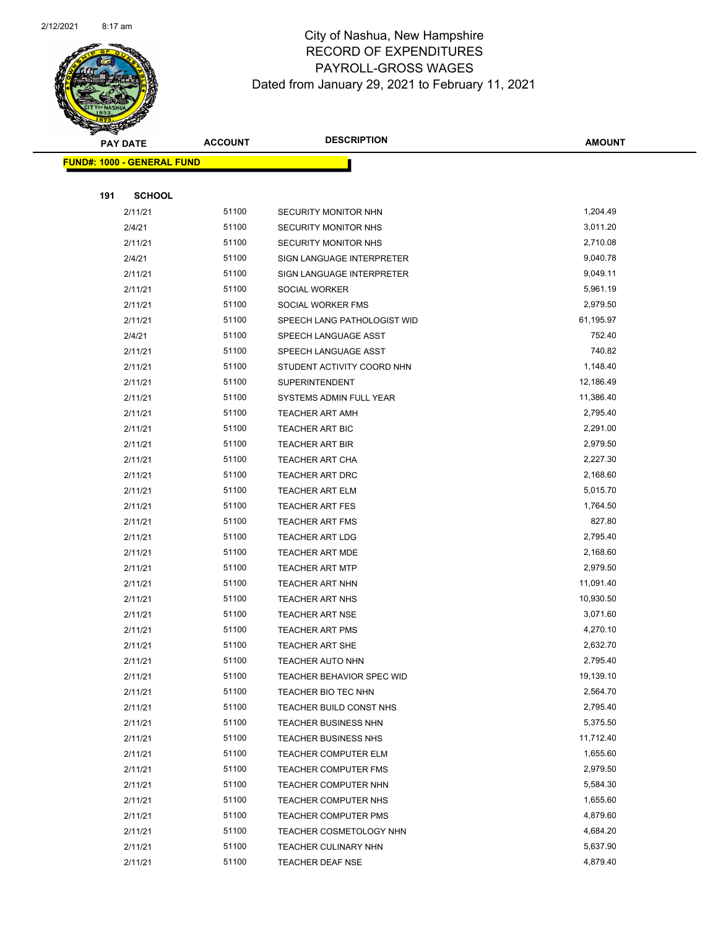

Page 70 of 96

| <b>PAY DATE</b> |                                   | <b>DESCRIPTION</b><br><b>ACCOUNT</b> |                                                 | <b>AMOUNT</b>        |
|-----------------|-----------------------------------|--------------------------------------|-------------------------------------------------|----------------------|
|                 | <b>FUND#: 1000 - GENERAL FUND</b> |                                      |                                                 |                      |
|                 |                                   |                                      |                                                 |                      |
| 191             | <b>SCHOOL</b>                     |                                      |                                                 |                      |
|                 | 2/11/21                           | 51100                                | SECURITY MONITOR NHN                            | 1,204.49             |
|                 | 2/4/21                            | 51100                                | <b>SECURITY MONITOR NHS</b>                     | 3,011.20             |
|                 | 2/11/21                           | 51100                                | SECURITY MONITOR NHS                            | 2,710.08             |
|                 | 2/4/21                            | 51100                                | SIGN LANGUAGE INTERPRETER                       | 9,040.78             |
|                 | 2/11/21                           | 51100                                | SIGN LANGUAGE INTERPRETER                       | 9,049.11             |
|                 | 2/11/21                           | 51100                                | SOCIAL WORKER                                   | 5,961.19             |
|                 | 2/11/21                           | 51100                                | SOCIAL WORKER FMS                               | 2,979.50             |
|                 | 2/11/21                           | 51100                                | SPEECH LANG PATHOLOGIST WID                     | 61,195.97            |
|                 | 2/4/21                            | 51100                                | SPEECH LANGUAGE ASST                            | 752.40               |
|                 | 2/11/21                           | 51100                                | SPEECH LANGUAGE ASST                            | 740.82               |
|                 | 2/11/21                           | 51100                                | STUDENT ACTIVITY COORD NHN                      | 1,148.40             |
|                 | 2/11/21                           | 51100                                | <b>SUPERINTENDENT</b>                           | 12,186.49            |
|                 | 2/11/21                           | 51100                                | SYSTEMS ADMIN FULL YEAR                         | 11,386.40            |
|                 | 2/11/21                           | 51100                                | <b>TEACHER ART AMH</b>                          | 2,795.40             |
|                 | 2/11/21                           | 51100                                | <b>TEACHER ART BIC</b>                          | 2,291.00             |
|                 | 2/11/21                           | 51100                                | <b>TEACHER ART BIR</b>                          | 2,979.50             |
|                 | 2/11/21                           | 51100                                | <b>TEACHER ART CHA</b>                          | 2,227.30             |
|                 | 2/11/21                           | 51100                                | <b>TEACHER ART DRC</b>                          | 2,168.60             |
|                 | 2/11/21                           | 51100                                | <b>TEACHER ART ELM</b>                          | 5,015.70             |
|                 | 2/11/21                           | 51100                                | <b>TEACHER ART FES</b>                          | 1,764.50             |
|                 | 2/11/21                           | 51100                                | <b>TEACHER ART FMS</b>                          | 827.80               |
|                 | 2/11/21                           | 51100                                | <b>TEACHER ART LDG</b>                          | 2,795.40             |
|                 | 2/11/21                           | 51100                                | <b>TEACHER ART MDE</b>                          | 2,168.60             |
|                 | 2/11/21                           | 51100                                | <b>TEACHER ART MTP</b>                          | 2,979.50             |
|                 | 2/11/21                           | 51100                                | <b>TEACHER ART NHN</b>                          | 11,091.40            |
|                 | 2/11/21                           | 51100                                | <b>TEACHER ART NHS</b>                          | 10,930.50            |
|                 | 2/11/21                           | 51100                                | <b>TEACHER ART NSE</b>                          | 3,071.60             |
|                 | 2/11/21                           | 51100                                | <b>TEACHER ART PMS</b>                          | 4,270.10             |
|                 | 2/11/21                           | 51100                                | TEACHER ART SHE                                 | 2,632.70             |
|                 | 2/11/21                           | 51100                                | TEACHER AUTO NHN                                | 2,795.40             |
|                 | 2/11/21                           | 51100                                | TEACHER BEHAVIOR SPEC WID                       | 19,139.10            |
|                 | 2/11/21                           | 51100                                | TEACHER BIO TEC NHN                             | 2,564.70             |
|                 | 2/11/21                           | 51100                                | TEACHER BUILD CONST NHS                         | 2,795.40<br>5,375.50 |
|                 | 2/11/21                           | 51100                                | TEACHER BUSINESS NHN                            | 11,712.40            |
|                 | 2/11/21                           | 51100                                | <b>TEACHER BUSINESS NHS</b>                     |                      |
|                 | 2/11/21                           | 51100                                | TEACHER COMPUTER ELM                            | 1,655.60<br>2,979.50 |
|                 | 2/11/21<br>2/11/21                | 51100<br>51100                       | TEACHER COMPUTER FMS                            | 5,584.30             |
|                 | 2/11/21                           | 51100                                | TEACHER COMPUTER NHN<br>TEACHER COMPUTER NHS    | 1,655.60             |
|                 |                                   |                                      |                                                 | 4,879.60             |
|                 | 2/11/21                           | 51100<br>51100                       | <b>TEACHER COMPUTER PMS</b>                     | 4,684.20             |
|                 | 2/11/21                           | 51100                                | TEACHER COSMETOLOGY NHN                         | 5,637.90             |
|                 | 2/11/21<br>2/11/21                | 51100                                | TEACHER CULINARY NHN<br><b>TEACHER DEAF NSE</b> | 4,879.40             |
|                 |                                   |                                      |                                                 |                      |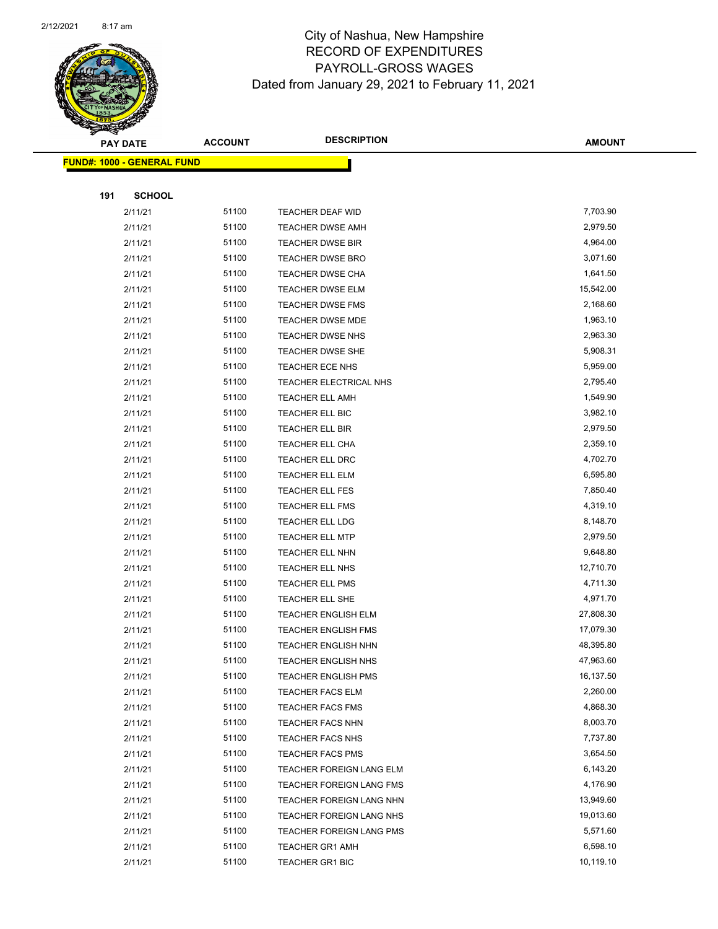

|     | <b>PAY DATE</b>                   | <b>ACCOUNT</b> | <b>DESCRIPTION</b>         | <b>AMOUNT</b> |
|-----|-----------------------------------|----------------|----------------------------|---------------|
|     | <b>FUND#: 1000 - GENERAL FUND</b> |                |                            |               |
|     |                                   |                |                            |               |
| 191 | <b>SCHOOL</b>                     |                |                            |               |
|     | 2/11/21                           | 51100          | TEACHER DEAF WID           | 7,703.90      |
|     | 2/11/21                           | 51100          | <b>TEACHER DWSE AMH</b>    | 2,979.50      |
|     | 2/11/21                           | 51100          | <b>TEACHER DWSE BIR</b>    | 4,964.00      |
|     | 2/11/21                           | 51100          | <b>TEACHER DWSE BRO</b>    | 3,071.60      |
|     | 2/11/21                           | 51100          | TEACHER DWSE CHA           | 1,641.50      |
|     | 2/11/21                           | 51100          | <b>TEACHER DWSE ELM</b>    | 15,542.00     |
|     | 2/11/21                           | 51100          | <b>TEACHER DWSE FMS</b>    | 2,168.60      |
|     | 2/11/21                           | 51100          | <b>TEACHER DWSE MDE</b>    | 1,963.10      |
|     | 2/11/21                           | 51100          | <b>TEACHER DWSE NHS</b>    | 2,963.30      |
|     | 2/11/21                           | 51100          | TEACHER DWSE SHE           | 5,908.31      |
|     | 2/11/21                           | 51100          | TEACHER ECE NHS            | 5,959.00      |
|     | 2/11/21                           | 51100          | TEACHER ELECTRICAL NHS     | 2,795.40      |
|     | 2/11/21                           | 51100          | <b>TEACHER ELL AMH</b>     | 1,549.90      |
|     | 2/11/21                           | 51100          | TEACHER ELL BIC            | 3,982.10      |
|     | 2/11/21                           | 51100          | <b>TEACHER ELL BIR</b>     | 2,979.50      |
|     | 2/11/21                           | 51100          | TEACHER ELL CHA            | 2,359.10      |
|     | 2/11/21                           | 51100          | TEACHER ELL DRC            | 4,702.70      |
|     | 2/11/21                           | 51100          | TEACHER ELL ELM            | 6,595.80      |
|     | 2/11/21                           | 51100          | <b>TEACHER ELL FES</b>     | 7,850.40      |
|     | 2/11/21                           | 51100          | TEACHER ELL FMS            | 4,319.10      |
|     | 2/11/21                           | 51100          | TEACHER ELL LDG            | 8,148.70      |
|     | 2/11/21                           | 51100          | <b>TEACHER ELL MTP</b>     | 2,979.50      |
|     | 2/11/21                           | 51100          | TEACHER ELL NHN            | 9,648.80      |
|     | 2/11/21                           | 51100          | TEACHER ELL NHS            | 12,710.70     |
|     | 2/11/21                           | 51100          | <b>TEACHER ELL PMS</b>     | 4,711.30      |
|     | 2/11/21                           | 51100          | TEACHER ELL SHE            | 4,971.70      |
|     | 2/11/21                           | 51100          | <b>TEACHER ENGLISH ELM</b> | 27,808.30     |
|     | 2/11/21                           | 51100          | <b>TEACHER ENGLISH FMS</b> | 17,079.30     |
|     | 2/11/21                           | 51100          | TEACHER ENGLISH NHN        | 48,395.80     |
|     | 2/11/21                           | 51100          | <b>TEACHER ENGLISH NHS</b> | 47,963.60     |
|     | 2/11/21                           | 51100          | <b>TEACHER ENGLISH PMS</b> | 16,137.50     |
|     | 2/11/21                           | 51100          | <b>TEACHER FACS ELM</b>    | 2,260.00      |
|     | 2/11/21                           | 51100          | <b>TEACHER FACS FMS</b>    | 4,868.30      |
|     | 2/11/21                           | 51100          | TEACHER FACS NHN           | 8,003.70      |
|     | 2/11/21                           | 51100          | <b>TEACHER FACS NHS</b>    | 7,737.80      |
|     | 2/11/21                           | 51100          | <b>TEACHER FACS PMS</b>    | 3,654.50      |
|     | 2/11/21                           | 51100          | TEACHER FOREIGN LANG ELM   | 6,143.20      |
|     | 2/11/21                           | 51100          | TEACHER FOREIGN LANG FMS   | 4,176.90      |
|     | 2/11/21                           | 51100          | TEACHER FOREIGN LANG NHN   | 13,949.60     |
|     | 2/11/21                           | 51100          | TEACHER FOREIGN LANG NHS   | 19,013.60     |
|     | 2/11/21                           | 51100          | TEACHER FOREIGN LANG PMS   | 5,571.60      |
|     | 2/11/21                           | 51100          | <b>TEACHER GR1 AMH</b>     | 6,598.10      |
|     | 2/11/21                           | 51100          | <b>TEACHER GR1 BIC</b>     | 10,119.10     |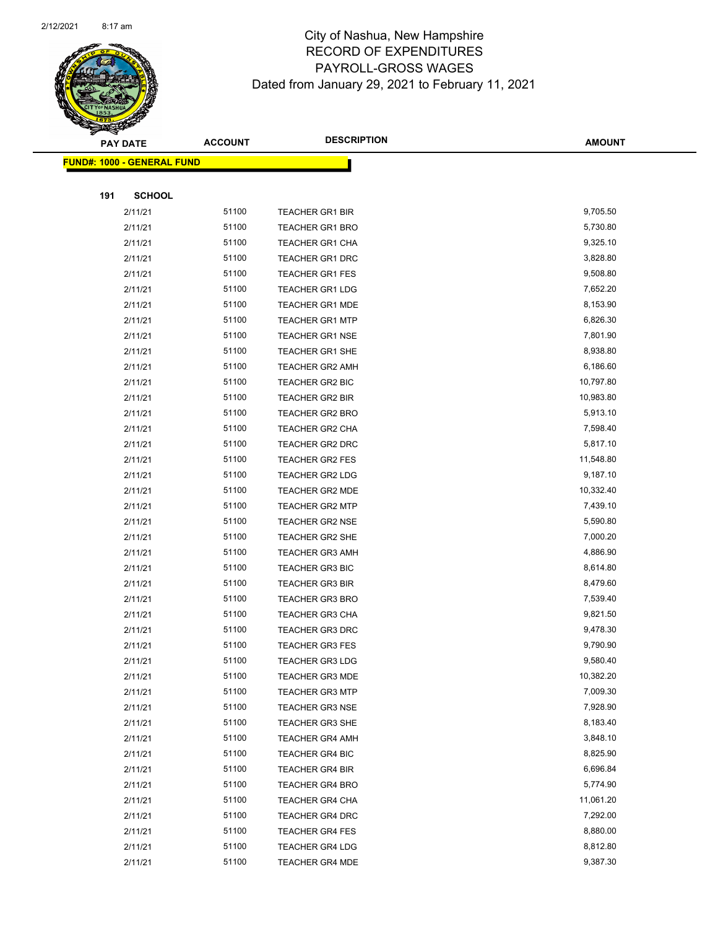

|     | <b>PAY DATE</b>                   | <b>ACCOUNT</b> | <b>DESCRIPTION</b>     | <b>AMOUNT</b> |
|-----|-----------------------------------|----------------|------------------------|---------------|
|     | <b>FUND#: 1000 - GENERAL FUND</b> |                |                        |               |
|     |                                   |                |                        |               |
| 191 | <b>SCHOOL</b>                     |                |                        |               |
|     | 2/11/21                           | 51100          | <b>TEACHER GR1 BIR</b> | 9,705.50      |
|     | 2/11/21                           | 51100          | <b>TEACHER GR1 BRO</b> | 5,730.80      |
|     | 2/11/21                           | 51100          | <b>TEACHER GR1 CHA</b> | 9,325.10      |
|     | 2/11/21                           | 51100          | <b>TEACHER GR1 DRC</b> | 3,828.80      |
|     | 2/11/21                           | 51100          | <b>TEACHER GR1 FES</b> | 9,508.80      |
|     | 2/11/21                           | 51100          | <b>TEACHER GR1 LDG</b> | 7,652.20      |
|     | 2/11/21                           | 51100          | <b>TEACHER GR1 MDE</b> | 8,153.90      |
|     | 2/11/21                           | 51100          | <b>TEACHER GR1 MTP</b> | 6,826.30      |
|     | 2/11/21                           | 51100          | <b>TEACHER GR1 NSE</b> | 7,801.90      |
|     | 2/11/21                           | 51100          | TEACHER GR1 SHE        | 8,938.80      |
|     | 2/11/21                           | 51100          | TEACHER GR2 AMH        | 6,186.60      |
|     | 2/11/21                           | 51100          | TEACHER GR2 BIC        | 10,797.80     |
|     | 2/11/21                           | 51100          | <b>TEACHER GR2 BIR</b> | 10,983.80     |
|     | 2/11/21                           | 51100          | TEACHER GR2 BRO        | 5,913.10      |
|     | 2/11/21                           | 51100          | TEACHER GR2 CHA        | 7,598.40      |
|     | 2/11/21                           | 51100          | TEACHER GR2 DRC        | 5,817.10      |
|     | 2/11/21                           | 51100          | <b>TEACHER GR2 FES</b> | 11,548.80     |
|     | 2/11/21                           | 51100          | TEACHER GR2 LDG        | 9,187.10      |
|     | 2/11/21                           | 51100          | TEACHER GR2 MDE        | 10,332.40     |
|     | 2/11/21                           | 51100          | <b>TEACHER GR2 MTP</b> | 7,439.10      |
|     | 2/11/21                           | 51100          | <b>TEACHER GR2 NSE</b> | 5,590.80      |
|     | 2/11/21                           | 51100          | <b>TEACHER GR2 SHE</b> | 7,000.20      |
|     | 2/11/21                           | 51100          | <b>TEACHER GR3 AMH</b> | 4,886.90      |
|     | 2/11/21                           | 51100          | TEACHER GR3 BIC        | 8,614.80      |
|     | 2/11/21                           | 51100          | <b>TEACHER GR3 BIR</b> | 8,479.60      |
|     | 2/11/21                           | 51100          | <b>TEACHER GR3 BRO</b> | 7,539.40      |
|     | 2/11/21                           | 51100          | <b>TEACHER GR3 CHA</b> | 9,821.50      |
|     | 2/11/21                           | 51100          | <b>TEACHER GR3 DRC</b> | 9,478.30      |
|     | 2/11/21                           | 51100          | <b>TEACHER GR3 FES</b> | 9,790.90      |
|     | 2/11/21                           | 51100          | TEACHER GR3 LDG        | 9,580.40      |
|     | 2/11/21                           | 51100          | <b>TEACHER GR3 MDE</b> | 10,382.20     |
|     | 2/11/21                           | 51100          | <b>TEACHER GR3 MTP</b> | 7,009.30      |
|     | 2/11/21                           | 51100          | <b>TEACHER GR3 NSE</b> | 7,928.90      |
|     | 2/11/21                           | 51100          | TEACHER GR3 SHE        | 8,183.40      |
|     | 2/11/21                           | 51100          | <b>TEACHER GR4 AMH</b> | 3,848.10      |
|     | 2/11/21                           | 51100          | <b>TEACHER GR4 BIC</b> | 8,825.90      |
|     | 2/11/21                           | 51100          | <b>TEACHER GR4 BIR</b> | 6,696.84      |
|     | 2/11/21                           | 51100          | <b>TEACHER GR4 BRO</b> | 5,774.90      |
|     | 2/11/21                           | 51100          | <b>TEACHER GR4 CHA</b> | 11,061.20     |
|     | 2/11/21                           | 51100          | TEACHER GR4 DRC        | 7,292.00      |
|     | 2/11/21                           | 51100          | <b>TEACHER GR4 FES</b> | 8,880.00      |
|     | 2/11/21                           | 51100          | <b>TEACHER GR4 LDG</b> | 8,812.80      |
|     | 2/11/21                           | 51100          | <b>TEACHER GR4 MDE</b> | 9,387.30      |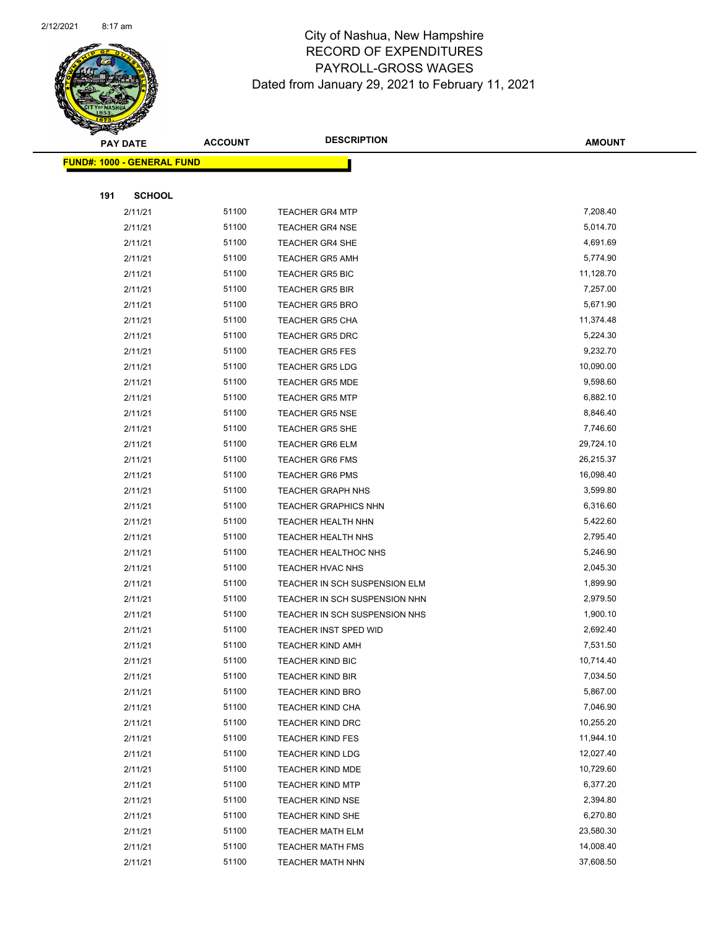

| <b>PAY DATE</b> |                                   | <b>ACCOUNT</b> | <b>DESCRIPTION</b>            | <b>AMOUNT</b>          |
|-----------------|-----------------------------------|----------------|-------------------------------|------------------------|
|                 | <b>FUND#: 1000 - GENERAL FUND</b> |                |                               |                        |
|                 |                                   |                |                               |                        |
| 191             | <b>SCHOOL</b>                     |                |                               |                        |
|                 | 2/11/21                           | 51100          | <b>TEACHER GR4 MTP</b>        | 7,208.40               |
|                 | 2/11/21                           | 51100          | <b>TEACHER GR4 NSE</b>        | 5,014.70               |
|                 | 2/11/21                           | 51100          | <b>TEACHER GR4 SHE</b>        | 4,691.69               |
|                 | 2/11/21                           | 51100          | <b>TEACHER GR5 AMH</b>        | 5,774.90               |
|                 | 2/11/21                           | 51100          | <b>TEACHER GR5 BIC</b>        | 11,128.70              |
|                 | 2/11/21                           | 51100          | <b>TEACHER GR5 BIR</b>        | 7,257.00               |
|                 | 2/11/21                           | 51100          | <b>TEACHER GR5 BRO</b>        | 5,671.90               |
|                 | 2/11/21                           | 51100          | <b>TEACHER GR5 CHA</b>        | 11,374.48              |
|                 | 2/11/21                           | 51100          | <b>TEACHER GR5 DRC</b>        | 5,224.30               |
|                 | 2/11/21                           | 51100          | <b>TEACHER GR5 FES</b>        | 9,232.70               |
|                 | 2/11/21                           | 51100          | <b>TEACHER GR5 LDG</b>        | 10,090.00              |
|                 | 2/11/21                           | 51100          | <b>TEACHER GR5 MDE</b>        | 9,598.60               |
|                 | 2/11/21                           | 51100          | <b>TEACHER GR5 MTP</b>        | 6,882.10               |
|                 | 2/11/21                           | 51100          | <b>TEACHER GR5 NSE</b>        | 8,846.40               |
|                 | 2/11/21                           | 51100          | TEACHER GR5 SHE               | 7,746.60               |
|                 | 2/11/21                           | 51100          | <b>TEACHER GR6 ELM</b>        | 29,724.10              |
|                 | 2/11/21                           | 51100          | <b>TEACHER GR6 FMS</b>        | 26,215.37              |
|                 | 2/11/21                           | 51100          | <b>TEACHER GR6 PMS</b>        | 16,098.40              |
|                 | 2/11/21                           | 51100          | <b>TEACHER GRAPH NHS</b>      | 3,599.80               |
|                 | 2/11/21                           | 51100          | <b>TEACHER GRAPHICS NHN</b>   | 6,316.60               |
|                 | 2/11/21                           | 51100          | TEACHER HEALTH NHN            | 5,422.60               |
|                 | 2/11/21                           | 51100          | TEACHER HEALTH NHS            | 2,795.40               |
|                 | 2/11/21                           | 51100          | <b>TEACHER HEALTHOC NHS</b>   | 5,246.90               |
|                 | 2/11/21                           | 51100          | TEACHER HVAC NHS              | 2,045.30               |
|                 | 2/11/21                           | 51100          | TEACHER IN SCH SUSPENSION ELM | 1,899.90               |
|                 | 2/11/21                           | 51100          | TEACHER IN SCH SUSPENSION NHN | 2,979.50               |
|                 | 2/11/21                           | 51100          | TEACHER IN SCH SUSPENSION NHS | 1,900.10               |
|                 | 2/11/21                           | 51100          | TEACHER INST SPED WID         | 2,692.40               |
|                 | 2/11/21                           | 51100          | <b>TEACHER KIND AMH</b>       | 7,531.50               |
|                 | 2/11/21                           | 51100          | TEACHER KIND BIC              | 10,714.40              |
|                 | 2/11/21                           | 51100          | <b>TEACHER KIND BIR</b>       | 7,034.50               |
|                 | 2/11/21                           | 51100          | <b>TEACHER KIND BRO</b>       | 5,867.00               |
|                 | 2/11/21                           | 51100          | <b>TEACHER KIND CHA</b>       | 7,046.90               |
|                 | 2/11/21                           | 51100          | TEACHER KIND DRC              | 10,255.20              |
|                 | 2/11/21                           | 51100          | <b>TEACHER KIND FES</b>       | 11,944.10              |
|                 | 2/11/21                           | 51100          | <b>TEACHER KIND LDG</b>       | 12,027.40<br>10,729.60 |
|                 | 2/11/21                           | 51100          | TEACHER KIND MDE              |                        |
|                 | 2/11/21                           | 51100          | <b>TEACHER KIND MTP</b>       | 6,377.20               |
|                 | 2/11/21                           | 51100          | <b>TEACHER KIND NSE</b>       | 2,394.80               |
|                 | 2/11/21                           | 51100          | <b>TEACHER KIND SHE</b>       | 6,270.80               |
|                 | 2/11/21                           | 51100          | <b>TEACHER MATH ELM</b>       | 23,580.30<br>14,008.40 |
|                 | 2/11/21                           | 51100          | <b>TEACHER MATH FMS</b>       |                        |
|                 | 2/11/21                           | 51100          | <b>TEACHER MATH NHN</b>       | 37,608.50              |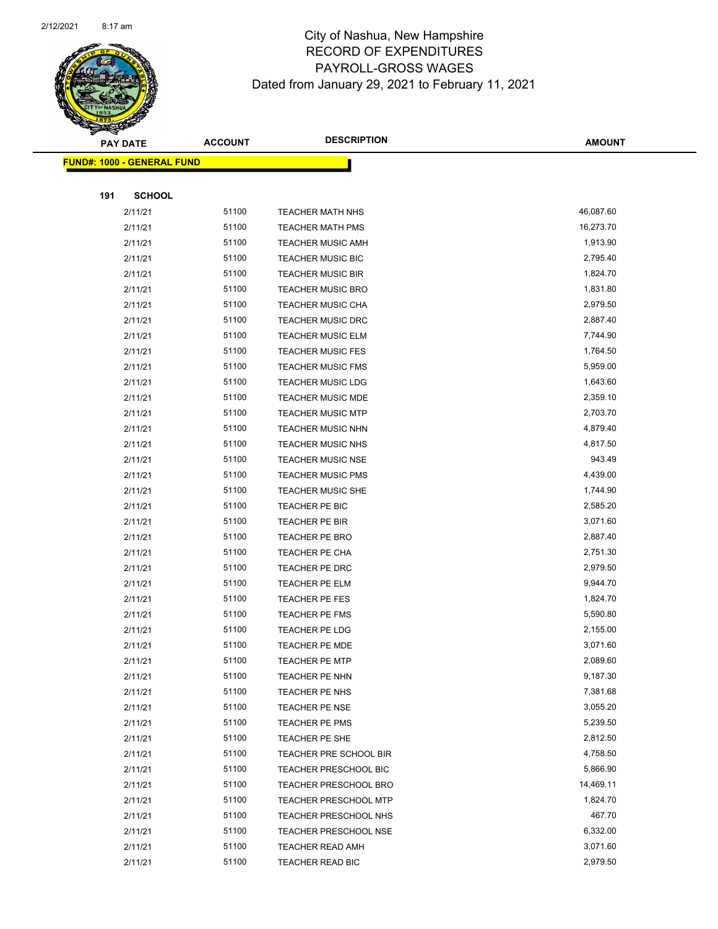

| <b>PAY DATE</b> |                                   | <b>ACCOUNT</b> | <b>DESCRIPTION</b>           | <b>AMOUNT</b> |
|-----------------|-----------------------------------|----------------|------------------------------|---------------|
|                 | <b>FUND#: 1000 - GENERAL FUND</b> |                |                              |               |
|                 |                                   |                |                              |               |
| 191             | <b>SCHOOL</b>                     |                |                              |               |
|                 | 2/11/21                           | 51100          | <b>TEACHER MATH NHS</b>      | 46,087.60     |
|                 | 2/11/21                           | 51100          | <b>TEACHER MATH PMS</b>      | 16,273.70     |
|                 | 2/11/21                           | 51100          | <b>TEACHER MUSIC AMH</b>     | 1,913.90      |
|                 | 2/11/21                           | 51100          | <b>TEACHER MUSIC BIC</b>     | 2,795.40      |
|                 | 2/11/21                           | 51100          | <b>TEACHER MUSIC BIR</b>     | 1,824.70      |
|                 | 2/11/21                           | 51100          | <b>TEACHER MUSIC BRO</b>     | 1,831.80      |
|                 | 2/11/21                           | 51100          | TEACHER MUSIC CHA            | 2,979.50      |
|                 | 2/11/21                           | 51100          | <b>TEACHER MUSIC DRC</b>     | 2,887.40      |
|                 | 2/11/21                           | 51100          | <b>TEACHER MUSIC ELM</b>     | 7,744.90      |
|                 | 2/11/21                           | 51100          | <b>TEACHER MUSIC FES</b>     | 1,764.50      |
|                 | 2/11/21                           | 51100          | <b>TEACHER MUSIC FMS</b>     | 5,959.00      |
|                 | 2/11/21                           | 51100          | <b>TEACHER MUSIC LDG</b>     | 1,643.60      |
|                 | 2/11/21                           | 51100          | <b>TEACHER MUSIC MDE</b>     | 2,359.10      |
|                 | 2/11/21                           | 51100          | <b>TEACHER MUSIC MTP</b>     | 2,703.70      |
|                 | 2/11/21                           | 51100          | <b>TEACHER MUSIC NHN</b>     | 4,879.40      |
|                 | 2/11/21                           | 51100          | TEACHER MUSIC NHS            | 4,817.50      |
|                 | 2/11/21                           | 51100          | <b>TEACHER MUSIC NSE</b>     | 943.49        |
|                 | 2/11/21                           | 51100          | <b>TEACHER MUSIC PMS</b>     | 4,439.00      |
|                 | 2/11/21                           | 51100          | <b>TEACHER MUSIC SHE</b>     | 1,744.90      |
|                 | 2/11/21                           | 51100          | TEACHER PE BIC               | 2,585.20      |
|                 | 2/11/21                           | 51100          | TEACHER PE BIR               | 3,071.60      |
|                 | 2/11/21                           | 51100          | TEACHER PE BRO               | 2,887.40      |
|                 | 2/11/21                           | 51100          | TEACHER PE CHA               | 2,751.30      |
|                 | 2/11/21                           | 51100          | TEACHER PE DRC               | 2,979.50      |
|                 | 2/11/21                           | 51100          | TEACHER PE ELM               | 9,944.70      |
|                 | 2/11/21                           | 51100          | TEACHER PE FES               | 1,824.70      |
|                 | 2/11/21                           | 51100          | TEACHER PE FMS               | 5,590.80      |
|                 | 2/11/21                           | 51100          | TEACHER PE LDG               | 2,155.00      |
|                 | 2/11/21                           | 51100          | <b>TEACHER PE MDE</b>        | 3,071.60      |
|                 | 2/11/21                           | 51100          | <b>TEACHER PE MTP</b>        | 2,089.60      |
|                 | 2/11/21                           | 51100          | TEACHER PE NHN               | 9,187.30      |
|                 | 2/11/21                           | 51100          | TEACHER PE NHS               | 7,381.68      |
|                 | 2/11/21                           | 51100          | TEACHER PE NSE               | 3,055.20      |
|                 | 2/11/21                           | 51100          | TEACHER PE PMS               | 5,239.50      |
|                 | 2/11/21                           | 51100          | TEACHER PE SHE               | 2,812.50      |
|                 | 2/11/21                           | 51100          | TEACHER PRE SCHOOL BIR       | 4,758.50      |
|                 | 2/11/21                           | 51100          | <b>TEACHER PRESCHOOL BIC</b> | 5,866.90      |
|                 | 2/11/21                           | 51100          | <b>TEACHER PRESCHOOL BRO</b> | 14,469.11     |
|                 | 2/11/21                           | 51100          | <b>TEACHER PRESCHOOL MTP</b> | 1,824.70      |
|                 | 2/11/21                           | 51100          | TEACHER PRESCHOOL NHS        | 467.70        |
|                 | 2/11/21                           | 51100          | <b>TEACHER PRESCHOOL NSE</b> | 6,332.00      |
|                 | 2/11/21                           | 51100          | <b>TEACHER READ AMH</b>      | 3,071.60      |
|                 | 2/11/21                           | 51100          | TEACHER READ BIC             | 2,979.50      |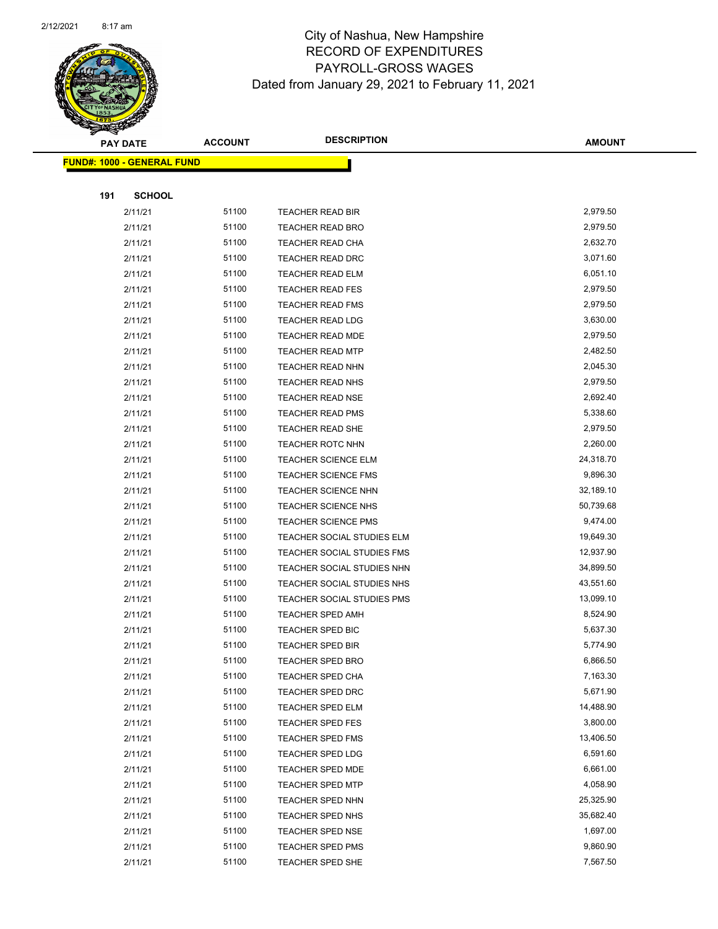

Page 75 of 96

| <b>PAY DATE</b>                   | <b>ACCOUNT</b> | <b>DESCRIPTION</b>                                    | <b>AMOUNT</b>          |
|-----------------------------------|----------------|-------------------------------------------------------|------------------------|
| <b>FUND#: 1000 - GENERAL FUND</b> |                |                                                       |                        |
|                                   |                |                                                       |                        |
| <b>SCHOOL</b><br>191              |                |                                                       |                        |
| 2/11/21                           | 51100          | TEACHER READ BIR                                      | 2,979.50               |
| 2/11/21                           | 51100          | <b>TEACHER READ BRO</b>                               | 2,979.50               |
| 2/11/21                           | 51100          | TEACHER READ CHA                                      | 2,632.70               |
| 2/11/21                           | 51100          | <b>TEACHER READ DRC</b>                               | 3,071.60               |
| 2/11/21                           | 51100          | TEACHER READ ELM                                      | 6,051.10               |
| 2/11/21                           | 51100          | <b>TEACHER READ FES</b>                               | 2,979.50               |
| 2/11/21                           | 51100          | <b>TEACHER READ FMS</b>                               | 2,979.50               |
| 2/11/21                           | 51100          | <b>TEACHER READ LDG</b>                               | 3,630.00               |
| 2/11/21                           | 51100          | TEACHER READ MDE                                      | 2,979.50               |
| 2/11/21                           | 51100          | <b>TEACHER READ MTP</b>                               | 2,482.50               |
| 2/11/21                           | 51100          | <b>TEACHER READ NHN</b>                               | 2,045.30               |
| 2/11/21                           | 51100          | <b>TEACHER READ NHS</b>                               | 2,979.50               |
| 2/11/21                           | 51100          | <b>TEACHER READ NSE</b>                               | 2,692.40               |
| 2/11/21                           | 51100          | TEACHER READ PMS                                      | 5,338.60               |
| 2/11/21                           | 51100          | <b>TEACHER READ SHE</b>                               | 2,979.50               |
| 2/11/21                           | 51100          | TEACHER ROTC NHN                                      | 2,260.00               |
| 2/11/21                           | 51100          | <b>TEACHER SCIENCE ELM</b>                            | 24,318.70              |
| 2/11/21                           | 51100          | <b>TEACHER SCIENCE FMS</b>                            | 9,896.30               |
| 2/11/21                           | 51100          | <b>TEACHER SCIENCE NHN</b>                            | 32,189.10              |
| 2/11/21                           | 51100          | TEACHER SCIENCE NHS                                   | 50,739.68              |
| 2/11/21                           | 51100          | <b>TEACHER SCIENCE PMS</b>                            | 9,474.00               |
| 2/11/21                           | 51100          | TEACHER SOCIAL STUDIES ELM                            | 19,649.30              |
| 2/11/21                           | 51100          | TEACHER SOCIAL STUDIES FMS                            | 12,937.90              |
| 2/11/21                           | 51100          | TEACHER SOCIAL STUDIES NHN                            | 34,899.50              |
| 2/11/21                           | 51100<br>51100 | TEACHER SOCIAL STUDIES NHS                            | 43,551.60<br>13,099.10 |
| 2/11/21<br>2/11/21                | 51100          | TEACHER SOCIAL STUDIES PMS<br><b>TEACHER SPED AMH</b> | 8,524.90               |
| 2/11/21                           | 51100          | <b>TEACHER SPED BIC</b>                               | 5,637.30               |
| 2/11/21                           | 51100          | <b>TEACHER SPED BIR</b>                               | 5,774.90               |
| 2/11/21                           | 51100          | TEACHER SPED BRO                                      | 6,866.50               |
| 2/11/21                           | 51100          | TEACHER SPED CHA                                      | 7,163.30               |
| 2/11/21                           | 51100          | <b>TEACHER SPED DRC</b>                               | 5,671.90               |
| 2/11/21                           | 51100          | TEACHER SPED ELM                                      | 14,488.90              |
| 2/11/21                           | 51100          | <b>TEACHER SPED FES</b>                               | 3,800.00               |
| 2/11/21                           | 51100          | <b>TEACHER SPED FMS</b>                               | 13,406.50              |
| 2/11/21                           | 51100          | <b>TEACHER SPED LDG</b>                               | 6,591.60               |
| 2/11/21                           | 51100          | <b>TEACHER SPED MDE</b>                               | 6,661.00               |
| 2/11/21                           | 51100          | TEACHER SPED MTP                                      | 4,058.90               |
| 2/11/21                           | 51100          | TEACHER SPED NHN                                      | 25,325.90              |
| 2/11/21                           | 51100          | <b>TEACHER SPED NHS</b>                               | 35,682.40              |
| 2/11/21                           | 51100          | <b>TEACHER SPED NSE</b>                               | 1,697.00               |
| 2/11/21                           | 51100          | <b>TEACHER SPED PMS</b>                               | 9,860.90               |
| 2/11/21                           | 51100          | <b>TEACHER SPED SHE</b>                               | 7,567.50               |
|                                   |                |                                                       |                        |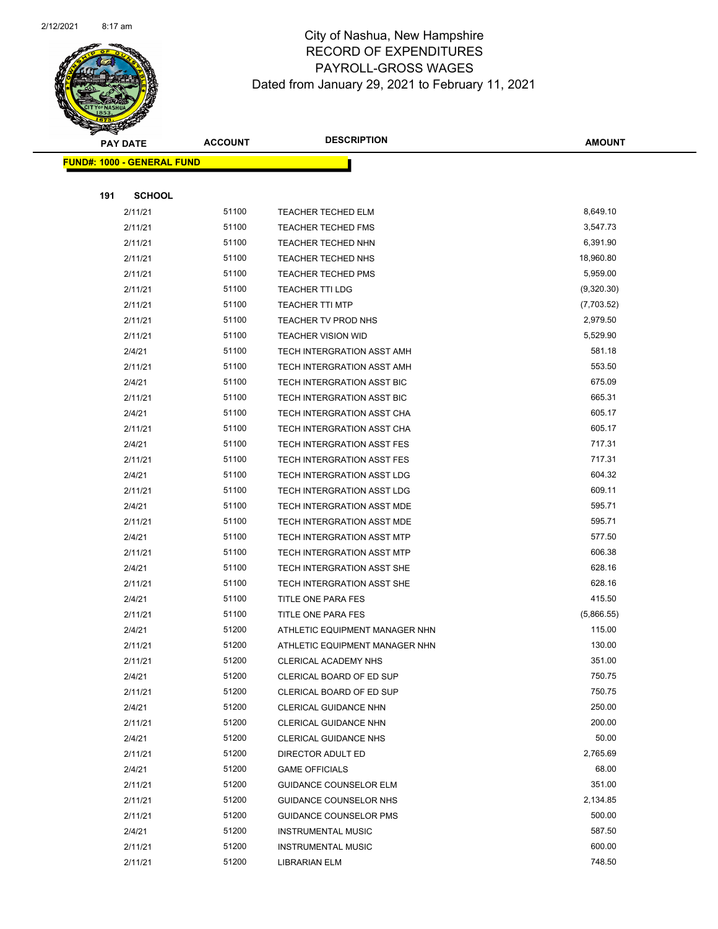

|     | <b>PAY DATE</b>                    | <b>ACCOUNT</b> | <b>DESCRIPTION</b>                                               | <b>AMOUNT</b>        |
|-----|------------------------------------|----------------|------------------------------------------------------------------|----------------------|
|     | <u> FUND#: 1000 - GENERAL FUND</u> |                |                                                                  |                      |
|     |                                    |                |                                                                  |                      |
| 191 | <b>SCHOOL</b>                      |                |                                                                  |                      |
|     | 2/11/21                            | 51100          | <b>TEACHER TECHED ELM</b>                                        | 8,649.10             |
|     | 2/11/21                            | 51100          | <b>TEACHER TECHED FMS</b>                                        | 3,547.73             |
|     | 2/11/21                            | 51100          | <b>TEACHER TECHED NHN</b>                                        | 6,391.90             |
|     | 2/11/21                            | 51100          | <b>TEACHER TECHED NHS</b>                                        | 18,960.80            |
|     | 2/11/21                            | 51100          | <b>TEACHER TECHED PMS</b>                                        | 5,959.00             |
|     | 2/11/21                            | 51100          | <b>TEACHER TTI LDG</b>                                           | (9,320.30)           |
|     | 2/11/21                            | 51100          | <b>TEACHER TTI MTP</b>                                           | (7,703.52)           |
|     | 2/11/21                            | 51100          | <b>TEACHER TV PROD NHS</b>                                       | 2,979.50             |
|     | 2/11/21                            | 51100          | <b>TEACHER VISION WID</b>                                        | 5,529.90             |
|     | 2/4/21                             | 51100          | TECH INTERGRATION ASST AMH                                       | 581.18               |
|     | 2/11/21                            | 51100          | TECH INTERGRATION ASST AMH                                       | 553.50               |
|     | 2/4/21                             | 51100          | <b>TECH INTERGRATION ASST BIC</b>                                | 675.09               |
|     | 2/11/21                            | 51100          | TECH INTERGRATION ASST BIC                                       | 665.31               |
|     | 2/4/21                             | 51100          | TECH INTERGRATION ASST CHA                                       | 605.17               |
|     | 2/11/21                            | 51100          | TECH INTERGRATION ASST CHA                                       | 605.17               |
|     | 2/4/21                             | 51100          | TECH INTERGRATION ASST FES                                       | 717.31               |
|     | 2/11/21                            | 51100          | TECH INTERGRATION ASST FES                                       | 717.31               |
|     | 2/4/21                             | 51100          | TECH INTERGRATION ASST LDG                                       | 604.32               |
|     | 2/11/21                            | 51100          | TECH INTERGRATION ASST LDG                                       | 609.11               |
|     | 2/4/21                             | 51100          | TECH INTERGRATION ASST MDE                                       | 595.71               |
|     | 2/11/21                            | 51100          | TECH INTERGRATION ASST MDE                                       | 595.71               |
|     | 2/4/21                             | 51100          | TECH INTERGRATION ASST MTP                                       | 577.50               |
|     | 2/11/21                            | 51100          | TECH INTERGRATION ASST MTP                                       | 606.38               |
|     | 2/4/21                             | 51100          | TECH INTERGRATION ASST SHE                                       | 628.16               |
|     | 2/11/21                            | 51100          | TECH INTERGRATION ASST SHE                                       | 628.16               |
|     | 2/4/21                             | 51100          | TITLE ONE PARA FES                                               | 415.50               |
|     | 2/11/21                            | 51100<br>51200 | TITLE ONE PARA FES                                               | (5,866.55)<br>115.00 |
|     | 2/4/21<br>2/11/21                  | 51200          | ATHLETIC EQUIPMENT MANAGER NHN<br>ATHLETIC EQUIPMENT MANAGER NHN | 130.00               |
|     | 2/11/21                            | 51200          | <b>CLERICAL ACADEMY NHS</b>                                      | 351.00               |
|     | 2/4/21                             | 51200          | CLERICAL BOARD OF ED SUP                                         | 750.75               |
|     | 2/11/21                            | 51200          | CLERICAL BOARD OF ED SUP                                         | 750.75               |
|     | 2/4/21                             | 51200          | CLERICAL GUIDANCE NHN                                            | 250.00               |
|     | 2/11/21                            | 51200          | CLERICAL GUIDANCE NHN                                            | 200.00               |
|     | 2/4/21                             | 51200          | <b>CLERICAL GUIDANCE NHS</b>                                     | 50.00                |
|     | 2/11/21                            | 51200          | DIRECTOR ADULT ED                                                | 2,765.69             |
|     | 2/4/21                             | 51200          | <b>GAME OFFICIALS</b>                                            | 68.00                |
|     | 2/11/21                            | 51200          | <b>GUIDANCE COUNSELOR ELM</b>                                    | 351.00               |
|     | 2/11/21                            | 51200          | GUIDANCE COUNSELOR NHS                                           | 2,134.85             |
|     | 2/11/21                            | 51200          | GUIDANCE COUNSELOR PMS                                           | 500.00               |
|     | 2/4/21                             | 51200          | <b>INSTRUMENTAL MUSIC</b>                                        | 587.50               |
|     | 2/11/21                            | 51200          | <b>INSTRUMENTAL MUSIC</b>                                        | 600.00               |
|     | 2/11/21                            | 51200          | LIBRARIAN ELM                                                    | 748.50               |
|     |                                    |                |                                                                  |                      |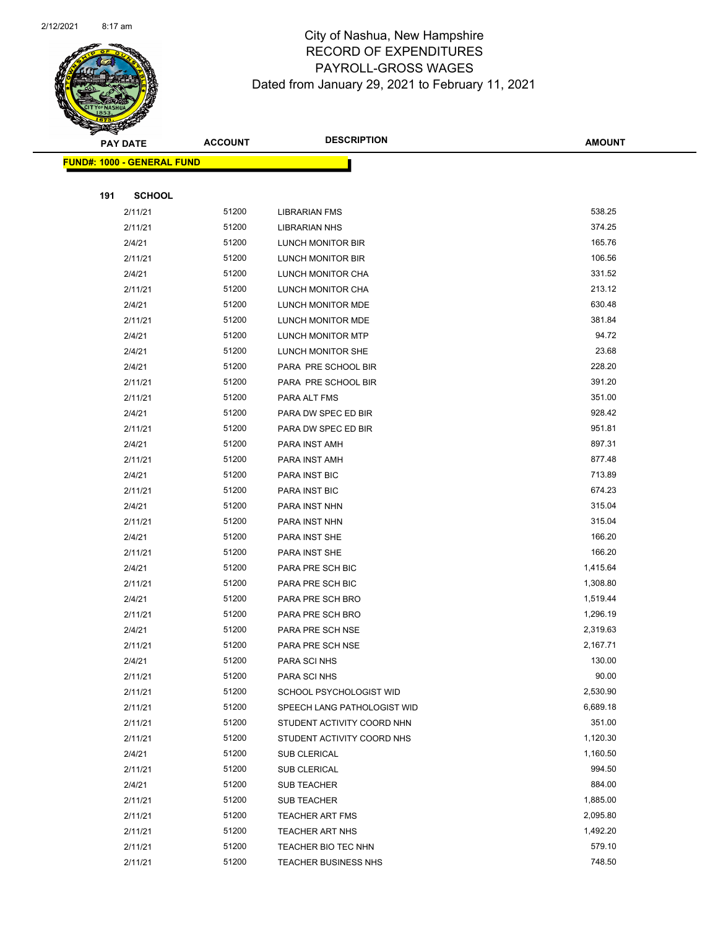

| <b>PAY DATE</b> |                                   | <b>DESCRIPTION</b><br><b>ACCOUNT</b> |                                                        | <b>AMOUNT</b>   |
|-----------------|-----------------------------------|--------------------------------------|--------------------------------------------------------|-----------------|
|                 | <b>FUND#: 1000 - GENERAL FUND</b> |                                      |                                                        |                 |
|                 |                                   |                                      |                                                        |                 |
| 191             | <b>SCHOOL</b>                     |                                      |                                                        |                 |
|                 | 2/11/21                           | 51200                                | <b>LIBRARIAN FMS</b>                                   | 538.25          |
|                 | 2/11/21                           | 51200                                | <b>LIBRARIAN NHS</b>                                   | 374.25          |
|                 | 2/4/21                            | 51200                                | LUNCH MONITOR BIR                                      | 165.76          |
|                 | 2/11/21                           | 51200                                | LUNCH MONITOR BIR                                      | 106.56          |
|                 | 2/4/21                            | 51200                                | LUNCH MONITOR CHA                                      | 331.52          |
|                 | 2/11/21                           | 51200                                | LUNCH MONITOR CHA                                      | 213.12          |
|                 | 2/4/21                            | 51200                                | LUNCH MONITOR MDE                                      | 630.48          |
|                 | 2/11/21                           | 51200                                | LUNCH MONITOR MDE                                      | 381.84          |
|                 | 2/4/21                            | 51200                                | LUNCH MONITOR MTP                                      | 94.72           |
|                 | 2/4/21                            | 51200                                | LUNCH MONITOR SHE                                      | 23.68           |
|                 | 2/4/21                            | 51200                                | PARA PRE SCHOOL BIR                                    | 228.20          |
|                 | 2/11/21                           | 51200                                | PARA PRE SCHOOL BIR                                    | 391.20          |
|                 | 2/11/21                           | 51200                                | PARA ALT FMS                                           | 351.00          |
|                 | 2/4/21                            | 51200                                | PARA DW SPEC ED BIR                                    | 928.42          |
|                 | 2/11/21                           | 51200                                | PARA DW SPEC ED BIR                                    | 951.81          |
|                 | 2/4/21                            | 51200                                | PARA INST AMH                                          | 897.31          |
|                 | 2/11/21                           | 51200                                | PARA INST AMH                                          | 877.48          |
|                 | 2/4/21                            | 51200                                | PARA INST BIC                                          | 713.89          |
|                 | 2/11/21                           | 51200                                | PARA INST BIC                                          | 674.23          |
|                 | 2/4/21                            | 51200                                | PARA INST NHN                                          | 315.04          |
|                 | 2/11/21                           | 51200                                | PARA INST NHN                                          | 315.04          |
|                 | 2/4/21                            | 51200                                | PARA INST SHE                                          | 166.20          |
|                 | 2/11/21                           | 51200                                | PARA INST SHE                                          | 166.20          |
|                 | 2/4/21                            | 51200                                | PARA PRE SCH BIC                                       | 1,415.64        |
|                 | 2/11/21                           | 51200                                | PARA PRE SCH BIC                                       | 1,308.80        |
|                 | 2/4/21                            | 51200                                | PARA PRE SCH BRO                                       | 1,519.44        |
|                 | 2/11/21                           | 51200                                | PARA PRE SCH BRO                                       | 1,296.19        |
|                 | 2/4/21                            | 51200                                | PARA PRE SCH NSE                                       | 2,319.63        |
|                 | 2/11/21                           | 51200                                | PARA PRE SCH NSE                                       | 2,167.71        |
|                 | 2/4/21                            | 51200<br>51200                       | PARA SCI NHS                                           | 130.00<br>90.00 |
|                 | 2/11/21                           | 51200                                | PARA SCI NHS                                           | 2,530.90        |
|                 | 2/11/21<br>2/11/21                | 51200                                | SCHOOL PSYCHOLOGIST WID<br>SPEECH LANG PATHOLOGIST WID | 6,689.18        |
|                 | 2/11/21                           | 51200                                | STUDENT ACTIVITY COORD NHN                             | 351.00          |
|                 | 2/11/21                           | 51200                                | STUDENT ACTIVITY COORD NHS                             | 1,120.30        |
|                 | 2/4/21                            | 51200                                | SUB CLERICAL                                           | 1,160.50        |
|                 | 2/11/21                           | 51200                                | SUB CLERICAL                                           | 994.50          |
|                 | 2/4/21                            | 51200                                | <b>SUB TEACHER</b>                                     | 884.00          |
|                 | 2/11/21                           | 51200                                | SUB TEACHER                                            | 1,885.00        |
|                 | 2/11/21                           | 51200                                | <b>TEACHER ART FMS</b>                                 | 2,095.80        |
|                 | 2/11/21                           | 51200                                | <b>TEACHER ART NHS</b>                                 | 1,492.20        |
|                 | 2/11/21                           | 51200                                | TEACHER BIO TEC NHN                                    | 579.10          |
|                 | 2/11/21                           | 51200                                | <b>TEACHER BUSINESS NHS</b>                            | 748.50          |
|                 |                                   |                                      |                                                        |                 |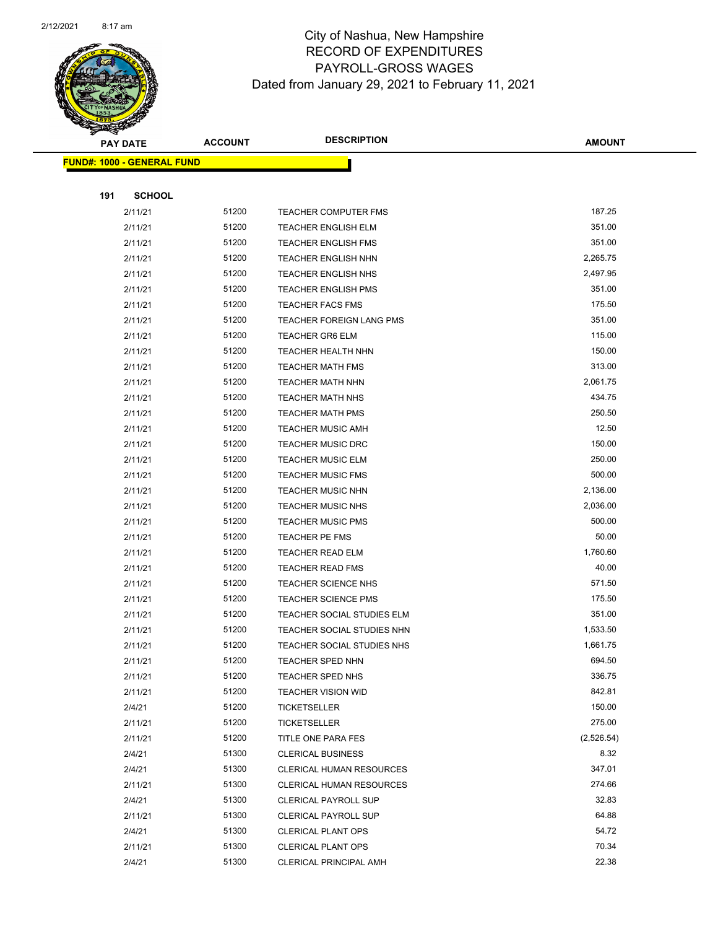

|     | <b>PAY DATE</b>                   | <b>ACCOUNT</b> | <b>DESCRIPTION</b>                                       | <b>AMOUNT</b>    |
|-----|-----------------------------------|----------------|----------------------------------------------------------|------------------|
|     | <b>FUND#: 1000 - GENERAL FUND</b> |                |                                                          |                  |
|     |                                   |                |                                                          |                  |
| 191 | <b>SCHOOL</b>                     |                |                                                          |                  |
|     | 2/11/21                           | 51200          | <b>TEACHER COMPUTER FMS</b>                              | 187.25           |
|     | 2/11/21                           | 51200          | <b>TEACHER ENGLISH ELM</b>                               | 351.00           |
|     | 2/11/21                           | 51200          | <b>TEACHER ENGLISH FMS</b>                               | 351.00           |
|     | 2/11/21                           | 51200          | <b>TEACHER ENGLISH NHN</b>                               | 2,265.75         |
|     | 2/11/21                           | 51200          | <b>TEACHER ENGLISH NHS</b>                               | 2,497.95         |
|     | 2/11/21                           | 51200          | <b>TEACHER ENGLISH PMS</b>                               | 351.00           |
|     | 2/11/21                           | 51200          | <b>TEACHER FACS FMS</b>                                  | 175.50           |
|     | 2/11/21                           | 51200          | <b>TEACHER FOREIGN LANG PMS</b>                          | 351.00           |
|     | 2/11/21                           | 51200          | <b>TEACHER GR6 ELM</b>                                   | 115.00           |
|     | 2/11/21                           | 51200          | <b>TEACHER HEALTH NHN</b>                                | 150.00           |
|     | 2/11/21                           | 51200          | <b>TEACHER MATH FMS</b>                                  | 313.00           |
|     | 2/11/21                           | 51200          | <b>TEACHER MATH NHN</b>                                  | 2,061.75         |
|     | 2/11/21                           | 51200          | <b>TEACHER MATH NHS</b>                                  | 434.75           |
|     | 2/11/21                           | 51200          | <b>TEACHER MATH PMS</b>                                  | 250.50           |
|     | 2/11/21                           | 51200          | <b>TEACHER MUSIC AMH</b>                                 | 12.50            |
|     | 2/11/21                           | 51200          | <b>TEACHER MUSIC DRC</b>                                 | 150.00           |
|     | 2/11/21                           | 51200          | <b>TEACHER MUSIC ELM</b>                                 | 250.00           |
|     | 2/11/21                           | 51200          | <b>TEACHER MUSIC FMS</b>                                 | 500.00           |
|     | 2/11/21                           | 51200          | <b>TEACHER MUSIC NHN</b>                                 | 2,136.00         |
|     | 2/11/21                           | 51200          | <b>TEACHER MUSIC NHS</b>                                 | 2,036.00         |
|     | 2/11/21                           | 51200          | <b>TEACHER MUSIC PMS</b>                                 | 500.00           |
|     | 2/11/21                           | 51200          | <b>TEACHER PE FMS</b>                                    | 50.00            |
|     | 2/11/21                           | 51200          | <b>TEACHER READ ELM</b>                                  | 1,760.60         |
|     | 2/11/21                           | 51200          | <b>TEACHER READ FMS</b>                                  | 40.00            |
|     | 2/11/21                           | 51200          | <b>TEACHER SCIENCE NHS</b>                               | 571.50           |
|     | 2/11/21                           | 51200<br>51200 | <b>TEACHER SCIENCE PMS</b>                               | 175.50<br>351.00 |
|     | 2/11/21<br>2/11/21                | 51200          | TEACHER SOCIAL STUDIES ELM<br>TEACHER SOCIAL STUDIES NHN | 1,533.50         |
|     | 2/11/21                           | 51200          | TEACHER SOCIAL STUDIES NHS                               | 1,661.75         |
|     | 2/11/21                           | 51200          | TEACHER SPED NHN                                         | 694.50           |
|     | 2/11/21                           | 51200          | <b>TEACHER SPED NHS</b>                                  | 336.75           |
|     | 2/11/21                           | 51200          | <b>TEACHER VISION WID</b>                                | 842.81           |
|     | 2/4/21                            | 51200          | <b>TICKETSELLER</b>                                      | 150.00           |
|     | 2/11/21                           | 51200          | <b>TICKETSELLER</b>                                      | 275.00           |
|     | 2/11/21                           | 51200          | TITLE ONE PARA FES                                       | (2,526.54)       |
|     | 2/4/21                            | 51300          | <b>CLERICAL BUSINESS</b>                                 | 8.32             |
|     | 2/4/21                            | 51300          | <b>CLERICAL HUMAN RESOURCES</b>                          | 347.01           |
|     | 2/11/21                           | 51300          | <b>CLERICAL HUMAN RESOURCES</b>                          | 274.66           |
|     | 2/4/21                            | 51300          | <b>CLERICAL PAYROLL SUP</b>                              | 32.83            |
|     | 2/11/21                           | 51300          | <b>CLERICAL PAYROLL SUP</b>                              | 64.88            |
|     | 2/4/21                            | 51300          | <b>CLERICAL PLANT OPS</b>                                | 54.72            |
|     | 2/11/21                           | 51300          | <b>CLERICAL PLANT OPS</b>                                | 70.34            |
|     | 2/4/21                            | 51300          | <b>CLERICAL PRINCIPAL AMH</b>                            | 22.38            |
|     |                                   |                |                                                          |                  |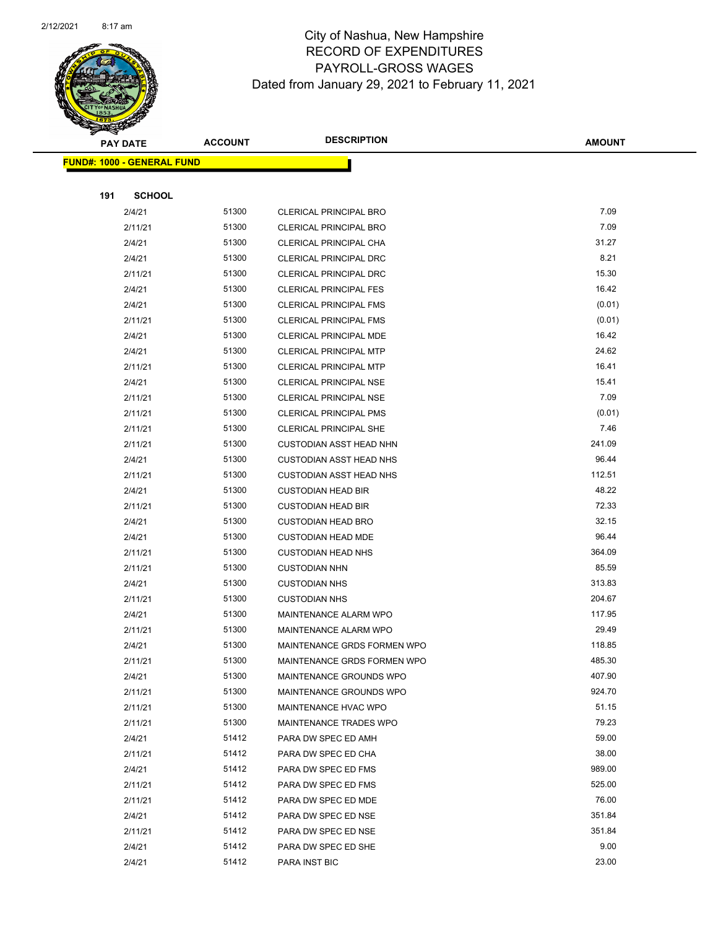

| <b>PAY DATE</b> |                                   | <b>DESCRIPTION</b><br><b>ACCOUNT</b> |                                | <b>AMOUNT</b> |
|-----------------|-----------------------------------|--------------------------------------|--------------------------------|---------------|
|                 | <b>FUND#: 1000 - GENERAL FUND</b> |                                      |                                |               |
|                 |                                   |                                      |                                |               |
| 191             | <b>SCHOOL</b>                     |                                      |                                |               |
|                 | 2/4/21                            | 51300                                | CLERICAL PRINCIPAL BRO         | 7.09          |
|                 | 2/11/21                           | 51300                                | <b>CLERICAL PRINCIPAL BRO</b>  | 7.09          |
|                 | 2/4/21                            | 51300                                | CLERICAL PRINCIPAL CHA         | 31.27         |
|                 | 2/4/21                            | 51300                                | <b>CLERICAL PRINCIPAL DRC</b>  | 8.21          |
|                 | 2/11/21                           | 51300                                | <b>CLERICAL PRINCIPAL DRC</b>  | 15.30         |
|                 | 2/4/21                            | 51300                                | CLERICAL PRINCIPAL FES         | 16.42         |
|                 | 2/4/21                            | 51300                                | <b>CLERICAL PRINCIPAL FMS</b>  | (0.01)        |
|                 | 2/11/21                           | 51300                                | <b>CLERICAL PRINCIPAL FMS</b>  | (0.01)        |
|                 | 2/4/21                            | 51300                                | <b>CLERICAL PRINCIPAL MDE</b>  | 16.42         |
|                 | 2/4/21                            | 51300                                | <b>CLERICAL PRINCIPAL MTP</b>  | 24.62         |
|                 | 2/11/21                           | 51300                                | CLERICAL PRINCIPAL MTP         | 16.41         |
|                 | 2/4/21                            | 51300                                | <b>CLERICAL PRINCIPAL NSE</b>  | 15.41         |
|                 | 2/11/21                           | 51300                                | <b>CLERICAL PRINCIPAL NSE</b>  | 7.09          |
|                 | 2/11/21                           | 51300                                | <b>CLERICAL PRINCIPAL PMS</b>  | (0.01)        |
|                 | 2/11/21                           | 51300                                | <b>CLERICAL PRINCIPAL SHE</b>  | 7.46          |
|                 | 2/11/21                           | 51300                                | <b>CUSTODIAN ASST HEAD NHN</b> | 241.09        |
|                 | 2/4/21                            | 51300                                | <b>CUSTODIAN ASST HEAD NHS</b> | 96.44         |
|                 | 2/11/21                           | 51300                                | <b>CUSTODIAN ASST HEAD NHS</b> | 112.51        |
|                 | 2/4/21                            | 51300                                | <b>CUSTODIAN HEAD BIR</b>      | 48.22         |
|                 | 2/11/21                           | 51300                                | <b>CUSTODIAN HEAD BIR</b>      | 72.33         |
|                 | 2/4/21                            | 51300                                | <b>CUSTODIAN HEAD BRO</b>      | 32.15         |
|                 | 2/4/21                            | 51300                                | <b>CUSTODIAN HEAD MDE</b>      | 96.44         |
|                 | 2/11/21                           | 51300                                | <b>CUSTODIAN HEAD NHS</b>      | 364.09        |
|                 | 2/11/21                           | 51300                                | <b>CUSTODIAN NHN</b>           | 85.59         |
|                 | 2/4/21                            | 51300                                | <b>CUSTODIAN NHS</b>           | 313.83        |
|                 | 2/11/21                           | 51300                                | <b>CUSTODIAN NHS</b>           | 204.67        |
|                 | 2/4/21                            | 51300                                | <b>MAINTENANCE ALARM WPO</b>   | 117.95        |
|                 | 2/11/21                           | 51300                                | <b>MAINTENANCE ALARM WPO</b>   | 29.49         |
|                 | 2/4/21                            | 51300                                | MAINTENANCE GRDS FORMEN WPO    | 118.85        |
|                 | 2/11/21                           | 51300                                | MAINTENANCE GRDS FORMEN WPO    | 485.30        |
|                 | 2/4/21                            | 51300                                | MAINTENANCE GROUNDS WPO        | 407.90        |
|                 | 2/11/21                           | 51300                                | MAINTENANCE GROUNDS WPO        | 924.70        |
|                 | 2/11/21                           | 51300                                | MAINTENANCE HVAC WPO           | 51.15         |
|                 | 2/11/21                           | 51300                                | MAINTENANCE TRADES WPO         | 79.23         |
|                 | 2/4/21                            | 51412                                | PARA DW SPEC ED AMH            | 59.00         |
|                 | 2/11/21                           | 51412                                | PARA DW SPEC ED CHA            | 38.00         |
|                 | 2/4/21                            | 51412                                | PARA DW SPEC ED FMS            | 989.00        |
|                 | 2/11/21                           | 51412                                | PARA DW SPEC ED FMS            | 525.00        |
|                 | 2/11/21                           | 51412                                | PARA DW SPEC ED MDE            | 76.00         |
|                 | 2/4/21                            | 51412                                | PARA DW SPEC ED NSE            | 351.84        |
|                 | 2/11/21                           | 51412                                | PARA DW SPEC ED NSE            | 351.84        |
|                 | 2/4/21                            | 51412                                | PARA DW SPEC ED SHE            | 9.00          |
|                 | 2/4/21                            | 51412                                | PARA INST BIC                  | 23.00         |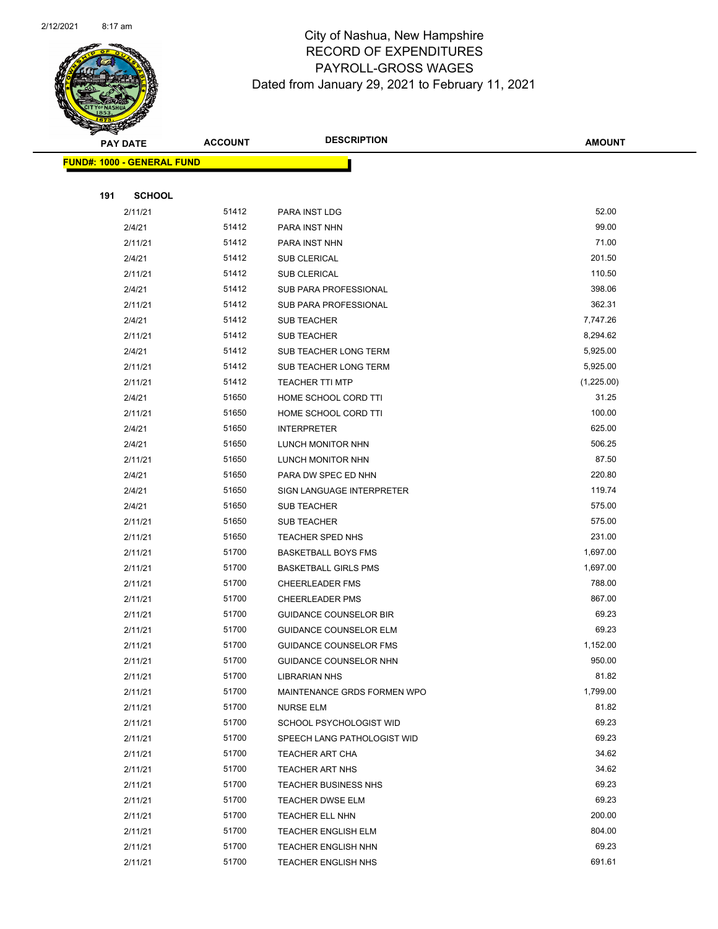

|     | <b>PAY DATE</b>                   | <b>ACCOUNT</b> | <b>DESCRIPTION</b>            | <b>AMOUNT</b> |
|-----|-----------------------------------|----------------|-------------------------------|---------------|
|     | <b>FUND#: 1000 - GENERAL FUND</b> |                |                               |               |
|     |                                   |                |                               |               |
| 191 | <b>SCHOOL</b>                     |                |                               |               |
|     | 2/11/21                           | 51412          | PARA INST LDG                 | 52.00         |
|     | 2/4/21                            | 51412          | PARA INST NHN                 | 99.00         |
|     | 2/11/21                           | 51412          | PARA INST NHN                 | 71.00         |
|     | 2/4/21                            | 51412          | <b>SUB CLERICAL</b>           | 201.50        |
|     | 2/11/21                           | 51412          | <b>SUB CLERICAL</b>           | 110.50        |
|     | 2/4/21                            | 51412          | SUB PARA PROFESSIONAL         | 398.06        |
|     | 2/11/21                           | 51412          | <b>SUB PARA PROFESSIONAL</b>  | 362.31        |
|     | 2/4/21                            | 51412          | SUB TEACHER                   | 7,747.26      |
|     | 2/11/21                           | 51412          | <b>SUB TEACHER</b>            | 8,294.62      |
|     | 2/4/21                            | 51412          | SUB TEACHER LONG TERM         | 5,925.00      |
|     | 2/11/21                           | 51412          | SUB TEACHER LONG TERM         | 5,925.00      |
|     | 2/11/21                           | 51412          | <b>TEACHER TTI MTP</b>        | (1,225.00)    |
|     | 2/4/21                            | 51650          | HOME SCHOOL CORD TTI          | 31.25         |
|     | 2/11/21                           | 51650          | HOME SCHOOL CORD TTI          | 100.00        |
|     | 2/4/21                            | 51650          | <b>INTERPRETER</b>            | 625.00        |
|     | 2/4/21                            | 51650          | LUNCH MONITOR NHN             | 506.25        |
|     | 2/11/21                           | 51650          | LUNCH MONITOR NHN             | 87.50         |
|     | 2/4/21                            | 51650          | PARA DW SPEC ED NHN           | 220.80        |
|     | 2/4/21                            | 51650          | SIGN LANGUAGE INTERPRETER     | 119.74        |
|     | 2/4/21                            | 51650          | <b>SUB TEACHER</b>            | 575.00        |
|     | 2/11/21                           | 51650          | <b>SUB TEACHER</b>            | 575.00        |
|     | 2/11/21                           | 51650          | TEACHER SPED NHS              | 231.00        |
|     | 2/11/21                           | 51700          | <b>BASKETBALL BOYS FMS</b>    | 1,697.00      |
|     | 2/11/21                           | 51700          | <b>BASKETBALL GIRLS PMS</b>   | 1,697.00      |
|     | 2/11/21                           | 51700          | <b>CHEERLEADER FMS</b>        | 788.00        |
|     | 2/11/21                           | 51700          | <b>CHEERLEADER PMS</b>        | 867.00        |
|     | 2/11/21                           | 51700          | <b>GUIDANCE COUNSELOR BIR</b> | 69.23         |
|     | 2/11/21                           | 51700          | <b>GUIDANCE COUNSELOR ELM</b> | 69.23         |
|     | 2/11/21                           | 51700          | <b>GUIDANCE COUNSELOR FMS</b> | 1,152.00      |
|     | 2/11/21                           | 51700          | <b>GUIDANCE COUNSELOR NHN</b> | 950.00        |
|     | 2/11/21                           | 51700          | LIBRARIAN NHS                 | 81.82         |
|     | 2/11/21                           | 51700          | MAINTENANCE GRDS FORMEN WPO   | 1,799.00      |
|     | 2/11/21                           | 51700          | NURSE ELM                     | 81.82         |
|     | 2/11/21                           | 51700          | SCHOOL PSYCHOLOGIST WID       | 69.23         |
|     | 2/11/21                           | 51700          | SPEECH LANG PATHOLOGIST WID   | 69.23         |
|     | 2/11/21                           | 51700          | TEACHER ART CHA               | 34.62         |
|     | 2/11/21                           | 51700          | <b>TEACHER ART NHS</b>        | 34.62         |
|     | 2/11/21                           | 51700          | <b>TEACHER BUSINESS NHS</b>   | 69.23         |
|     | 2/11/21                           | 51700          | TEACHER DWSE ELM              | 69.23         |
|     | 2/11/21                           | 51700          | <b>TEACHER ELL NHN</b>        | 200.00        |
|     | 2/11/21                           | 51700          | <b>TEACHER ENGLISH ELM</b>    | 804.00        |
|     | 2/11/21                           | 51700          | <b>TEACHER ENGLISH NHN</b>    | 69.23         |
|     | 2/11/21                           | 51700          | <b>TEACHER ENGLISH NHS</b>    | 691.61        |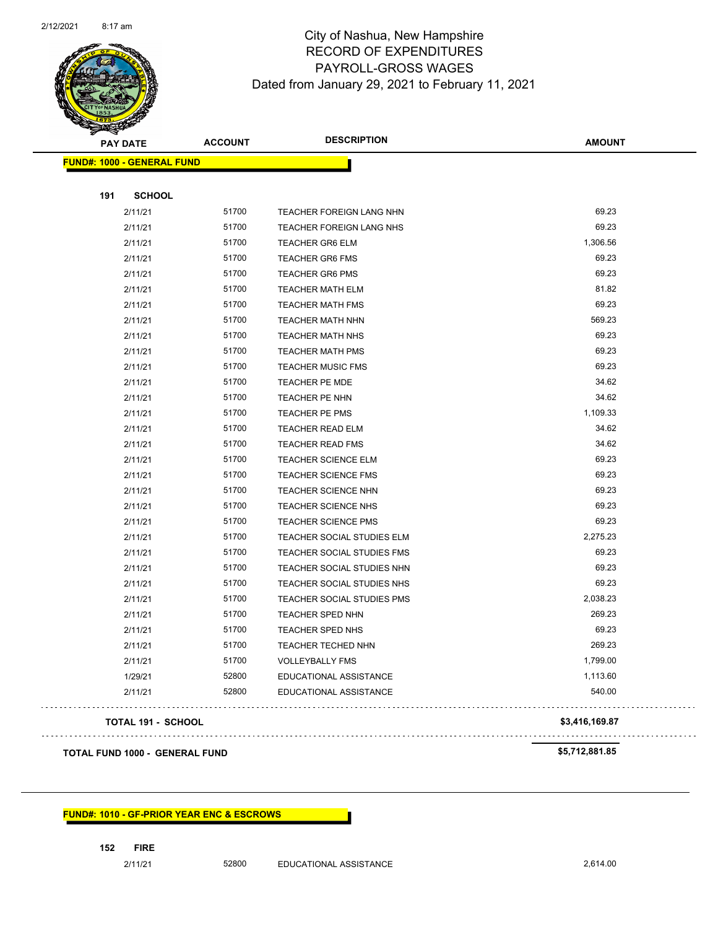

| <b>PAY DATE</b>                   | <b>DESCRIPTION</b><br><b>ACCOUNT</b> |                                   | <b>AMOUNT</b>  |  |
|-----------------------------------|--------------------------------------|-----------------------------------|----------------|--|
| <b>FUND#: 1000 - GENERAL FUND</b> |                                      |                                   |                |  |
| <b>SCHOOL</b><br>191              |                                      |                                   |                |  |
| 2/11/21                           | 51700                                | TEACHER FOREIGN LANG NHN          | 69.23          |  |
| 2/11/21                           | 51700                                | TEACHER FOREIGN LANG NHS          | 69.23          |  |
| 2/11/21                           | 51700                                | <b>TEACHER GR6 ELM</b>            | 1,306.56       |  |
| 2/11/21                           | 51700                                | <b>TEACHER GR6 FMS</b>            | 69.23          |  |
| 2/11/21                           | 51700                                | <b>TEACHER GR6 PMS</b>            | 69.23          |  |
| 2/11/21                           | 51700                                | <b>TEACHER MATH ELM</b>           | 81.82          |  |
| 2/11/21                           | 51700                                | <b>TEACHER MATH FMS</b>           | 69.23          |  |
| 2/11/21                           | 51700                                | <b>TEACHER MATH NHN</b>           | 569.23         |  |
| 2/11/21                           | 51700                                | <b>TEACHER MATH NHS</b>           | 69.23          |  |
| 2/11/21                           | 51700                                | <b>TEACHER MATH PMS</b>           | 69.23          |  |
| 2/11/21                           | 51700                                | <b>TEACHER MUSIC FMS</b>          | 69.23          |  |
| 2/11/21                           | 51700                                | TEACHER PE MDE                    | 34.62          |  |
| 2/11/21                           | 51700                                | TEACHER PE NHN                    | 34.62          |  |
| 2/11/21                           | 51700                                | TEACHER PE PMS                    | 1,109.33       |  |
| 2/11/21                           | 51700                                | TEACHER READ ELM                  | 34.62          |  |
| 2/11/21                           | 51700                                | <b>TEACHER READ FMS</b>           | 34.62          |  |
| 2/11/21                           | 51700                                | TEACHER SCIENCE ELM               | 69.23          |  |
| 2/11/21                           | 51700                                | TEACHER SCIENCE FMS               | 69.23          |  |
| 2/11/21                           | 51700                                | <b>TEACHER SCIENCE NHN</b>        | 69.23          |  |
| 2/11/21                           | 51700                                | TEACHER SCIENCE NHS               | 69.23          |  |
| 2/11/21                           | 51700                                | <b>TEACHER SCIENCE PMS</b>        | 69.23          |  |
| 2/11/21                           | 51700                                | TEACHER SOCIAL STUDIES ELM        | 2,275.23       |  |
| 2/11/21                           | 51700                                | TEACHER SOCIAL STUDIES FMS        | 69.23          |  |
| 2/11/21                           | 51700                                | TEACHER SOCIAL STUDIES NHN        | 69.23          |  |
| 2/11/21                           | 51700                                | TEACHER SOCIAL STUDIES NHS        | 69.23          |  |
| 2/11/21                           | 51700                                | <b>TEACHER SOCIAL STUDIES PMS</b> | 2,038.23       |  |
| 2/11/21                           | 51700                                | TEACHER SPED NHN                  | 269.23         |  |
| 2/11/21                           | 51700                                | TEACHER SPED NHS                  | 69.23          |  |
| 2/11/21                           | 51700                                | TEACHER TECHED NHN                | 269.23         |  |
| 2/11/21                           | 51700                                | <b>VOLLEYBALLY FMS</b>            | 1,799.00       |  |
| 1/29/21                           | 52800                                | EDUCATIONAL ASSISTANCE            | 1,113.60       |  |
| 2/11/21                           | 52800                                | EDUCATIONAL ASSISTANCE            | 540.00         |  |
| <b>TOTAL 191 - SCHOOL</b>         |                                      |                                   | \$3,416,169.87 |  |

## **TOTAL FUND 1000 - GENERAL FUND \$5,712,881.85**

. . . . . . . . . . . . .

### **FUND#: 1010 - GF-PRIOR YEAR ENC & ESCROWS**

2/11/21 52800 EDUCATIONAL ASSISTANCE 2,614.00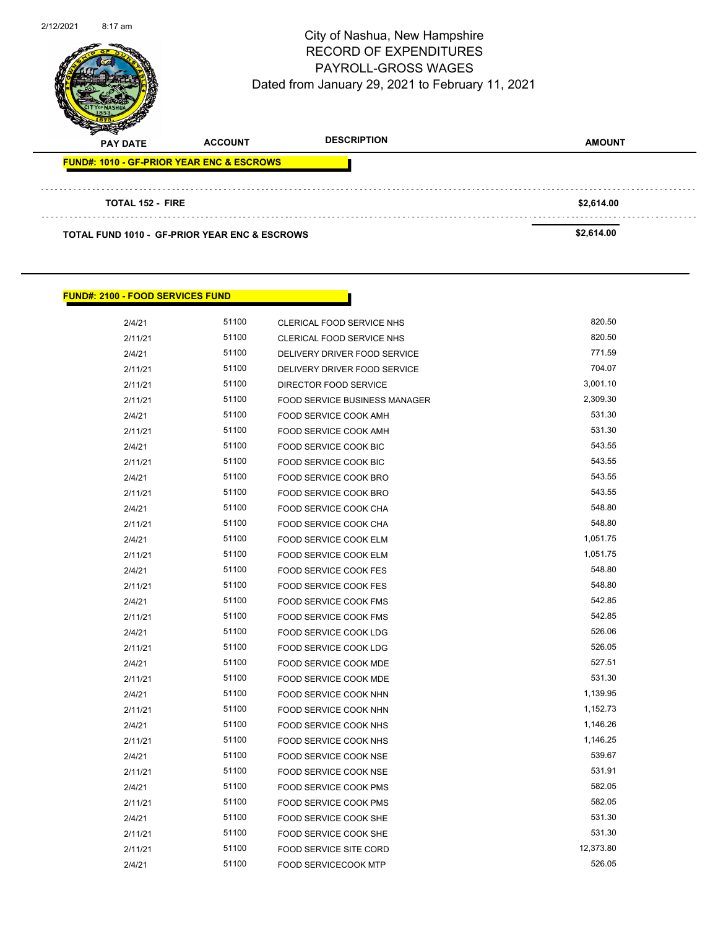| 2/12/2021 | $8:17$ am                                                |                | City of Nashua, New Hampshire<br><b>RECORD OF EXPENDITURES</b><br><b>PAYROLL-GROSS WAGES</b><br>Dated from January 29, 2021 to February 11, 2021 | Page 82 of 96 |
|-----------|----------------------------------------------------------|----------------|--------------------------------------------------------------------------------------------------------------------------------------------------|---------------|
|           | <b>PAY DATE</b>                                          | <b>ACCOUNT</b> | <b>DESCRIPTION</b>                                                                                                                               | <b>AMOUNT</b> |
|           | <b>FUND#: 1010 - GF-PRIOR YEAR ENC &amp; ESCROWS</b>     |                |                                                                                                                                                  |               |
|           | <b>TOTAL 152 - FIRE</b>                                  |                |                                                                                                                                                  | \$2,614.00    |
|           | <b>TOTAL FUND 1010 - GF-PRIOR YEAR ENC &amp; ESCROWS</b> |                |                                                                                                                                                  | \$2,614.00    |

## **FUND#: 2100 - FOOD SERVICES FUND**

| 2/4/21  | 51100 | CLERICAL FOOD SERVICE NHS            | 820.50    |
|---------|-------|--------------------------------------|-----------|
| 2/11/21 | 51100 | CLERICAL FOOD SERVICE NHS            | 820.50    |
| 2/4/21  | 51100 | DELIVERY DRIVER FOOD SERVICE         | 771.59    |
| 2/11/21 | 51100 | DELIVERY DRIVER FOOD SERVICE         | 704.07    |
| 2/11/21 | 51100 | DIRECTOR FOOD SERVICE                | 3,001.10  |
| 2/11/21 | 51100 | <b>FOOD SERVICE BUSINESS MANAGER</b> | 2,309.30  |
| 2/4/21  | 51100 | FOOD SERVICE COOK AMH                | 531.30    |
| 2/11/21 | 51100 | <b>FOOD SERVICE COOK AMH</b>         | 531.30    |
| 2/4/21  | 51100 | FOOD SERVICE COOK BIC                | 543.55    |
| 2/11/21 | 51100 | FOOD SERVICE COOK BIC                | 543.55    |
| 2/4/21  | 51100 | FOOD SERVICE COOK BRO                | 543.55    |
| 2/11/21 | 51100 | FOOD SERVICE COOK BRO                | 543.55    |
| 2/4/21  | 51100 | FOOD SERVICE COOK CHA                | 548.80    |
| 2/11/21 | 51100 | FOOD SERVICE COOK CHA                | 548.80    |
| 2/4/21  | 51100 | FOOD SERVICE COOK ELM                | 1,051.75  |
| 2/11/21 | 51100 | FOOD SERVICE COOK ELM                | 1,051.75  |
| 2/4/21  | 51100 | FOOD SERVICE COOK FES                | 548.80    |
| 2/11/21 | 51100 | FOOD SERVICE COOK FES                | 548.80    |
| 2/4/21  | 51100 | FOOD SERVICE COOK FMS                | 542.85    |
| 2/11/21 | 51100 | <b>FOOD SERVICE COOK FMS</b>         | 542.85    |
| 2/4/21  | 51100 | FOOD SERVICE COOK LDG                | 526.06    |
| 2/11/21 | 51100 | <b>FOOD SERVICE COOK LDG</b>         | 526.05    |
| 2/4/21  | 51100 | FOOD SERVICE COOK MDE                | 527.51    |
| 2/11/21 | 51100 | FOOD SERVICE COOK MDE                | 531.30    |
| 2/4/21  | 51100 | FOOD SERVICE COOK NHN                | 1,139.95  |
| 2/11/21 | 51100 | FOOD SERVICE COOK NHN                | 1,152.73  |
| 2/4/21  | 51100 | FOOD SERVICE COOK NHS                | 1,146.26  |
| 2/11/21 | 51100 | FOOD SERVICE COOK NHS                | 1,146.25  |
| 2/4/21  | 51100 | FOOD SERVICE COOK NSE                | 539.67    |
| 2/11/21 | 51100 | FOOD SERVICE COOK NSE                | 531.91    |
| 2/4/21  | 51100 | FOOD SERVICE COOK PMS                | 582.05    |
| 2/11/21 | 51100 | FOOD SERVICE COOK PMS                | 582.05    |
| 2/4/21  | 51100 | FOOD SERVICE COOK SHE                | 531.30    |
| 2/11/21 | 51100 | FOOD SERVICE COOK SHE                | 531.30    |
| 2/11/21 | 51100 | FOOD SERVICE SITE CORD               | 12,373.80 |
| 2/4/21  | 51100 | FOOD SERVICECOOK MTP                 | 526.05    |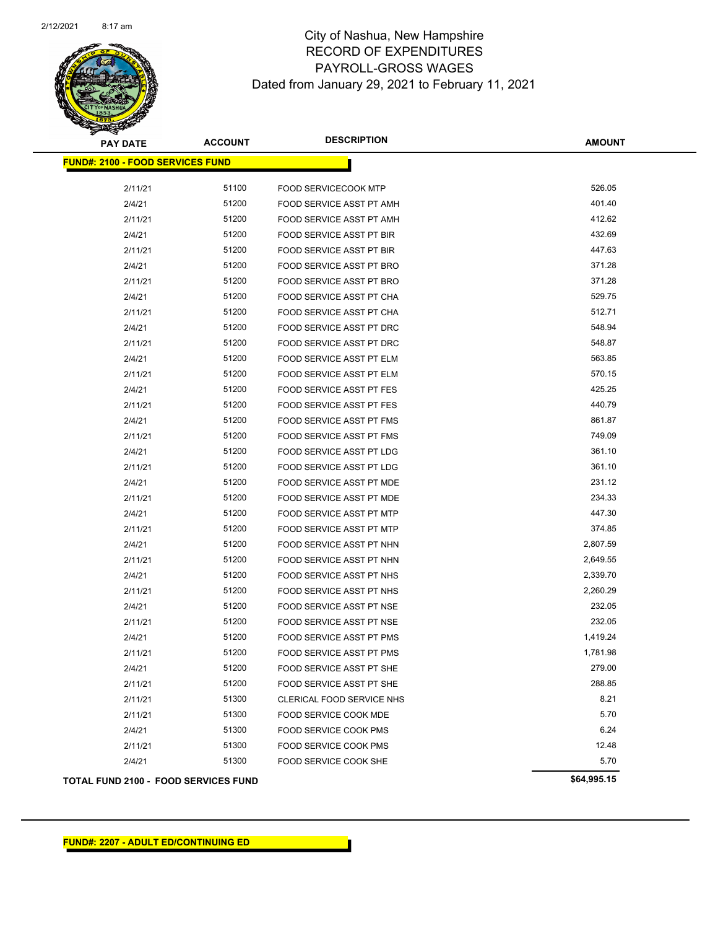

| <b>PAY DATE</b>                             | <b>ACCOUNT</b> | <b>DESCRIPTION</b>              | <b>AMOUNT</b> |
|---------------------------------------------|----------------|---------------------------------|---------------|
| <b>FUND#: 2100 - FOOD SERVICES FUND</b>     |                |                                 |               |
| 2/11/21                                     | 51100          | <b>FOOD SERVICECOOK MTP</b>     | 526.05        |
| 2/4/21                                      | 51200          | FOOD SERVICE ASST PT AMH        | 401.40        |
| 2/11/21                                     | 51200          | FOOD SERVICE ASST PT AMH        | 412.62        |
| 2/4/21                                      | 51200          | FOOD SERVICE ASST PT BIR        | 432.69        |
| 2/11/21                                     | 51200          | FOOD SERVICE ASST PT BIR        | 447.63        |
| 2/4/21                                      | 51200          | FOOD SERVICE ASST PT BRO        | 371.28        |
| 2/11/21                                     | 51200          | <b>FOOD SERVICE ASST PT BRO</b> | 371.28        |
| 2/4/21                                      | 51200          | FOOD SERVICE ASST PT CHA        | 529.75        |
| 2/11/21                                     | 51200          | FOOD SERVICE ASST PT CHA        | 512.71        |
| 2/4/21                                      | 51200          | FOOD SERVICE ASST PT DRC        | 548.94        |
| 2/11/21                                     | 51200          | FOOD SERVICE ASST PT DRC        | 548.87        |
| 2/4/21                                      | 51200          | FOOD SERVICE ASST PT ELM        | 563.85        |
| 2/11/21                                     | 51200          | FOOD SERVICE ASST PT ELM        | 570.15        |
| 2/4/21                                      | 51200          | FOOD SERVICE ASST PT FES        | 425.25        |
| 2/11/21                                     | 51200          | FOOD SERVICE ASST PT FES        | 440.79        |
| 2/4/21                                      | 51200          | FOOD SERVICE ASST PT FMS        | 861.87        |
| 2/11/21                                     | 51200          | FOOD SERVICE ASST PT FMS        | 749.09        |
| 2/4/21                                      | 51200          | FOOD SERVICE ASST PT LDG        | 361.10        |
| 2/11/21                                     | 51200          | FOOD SERVICE ASST PT LDG        | 361.10        |
| 2/4/21                                      | 51200          | FOOD SERVICE ASST PT MDE        | 231.12        |
| 2/11/21                                     | 51200          | FOOD SERVICE ASST PT MDE        | 234.33        |
| 2/4/21                                      | 51200          | FOOD SERVICE ASST PT MTP        | 447.30        |
| 2/11/21                                     | 51200          | FOOD SERVICE ASST PT MTP        | 374.85        |
| 2/4/21                                      | 51200          | FOOD SERVICE ASST PT NHN        | 2,807.59      |
| 2/11/21                                     | 51200          | FOOD SERVICE ASST PT NHN        | 2,649.55      |
| 2/4/21                                      | 51200          | FOOD SERVICE ASST PT NHS        | 2,339.70      |
| 2/11/21                                     | 51200          | <b>FOOD SERVICE ASST PT NHS</b> | 2,260.29      |
| 2/4/21                                      | 51200          | FOOD SERVICE ASST PT NSE        | 232.05        |
| 2/11/21                                     | 51200          | FOOD SERVICE ASST PT NSE        | 232.05        |
| 2/4/21                                      | 51200          | FOOD SERVICE ASST PT PMS        | 1,419.24      |
| 2/11/21                                     | 51200          | FOOD SERVICE ASST PT PMS        | 1,781.98      |
| 2/4/21                                      | 51200          | FOOD SERVICE ASST PT SHE        | 279.00        |
| 2/11/21                                     | 51200          | FOOD SERVICE ASST PT SHE        | 288.85        |
| 2/11/21                                     | 51300          | CLERICAL FOOD SERVICE NHS       | 8.21          |
| 2/11/21                                     | 51300          | FOOD SERVICE COOK MDE           | 5.70          |
| 2/4/21                                      | 51300          | FOOD SERVICE COOK PMS           | 6.24          |
| 2/11/21                                     | 51300          | FOOD SERVICE COOK PMS           | 12.48         |
| 2/4/21                                      | 51300          | FOOD SERVICE COOK SHE           | 5.70          |
| <b>TOTAL FUND 2100 - FOOD SERVICES FUND</b> |                |                                 | \$64,995.15   |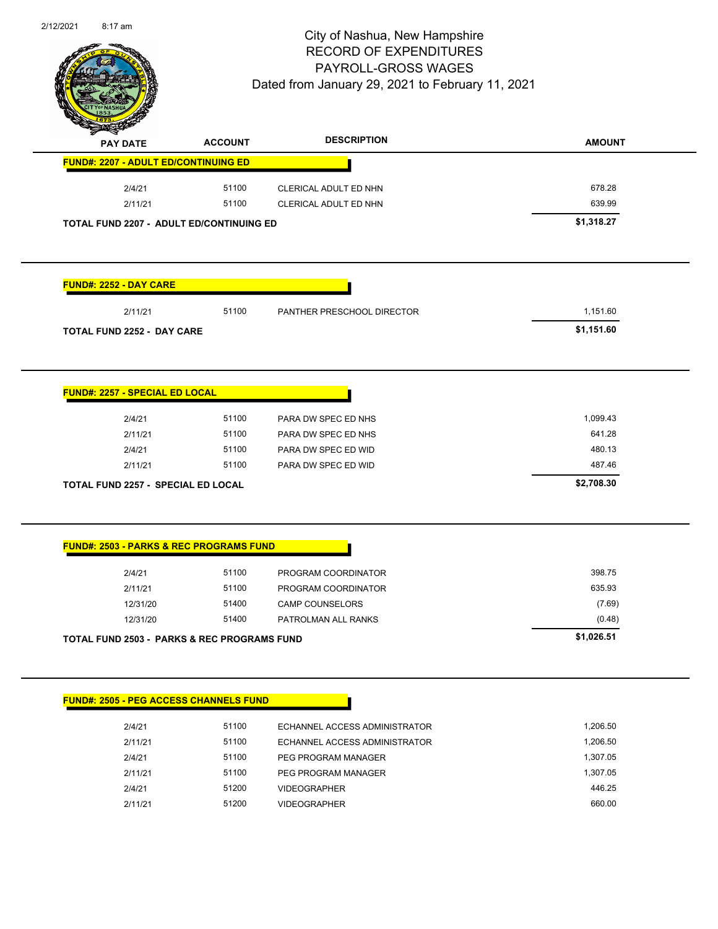

Page 84 of 96

| <b>PAY DATE</b>                                    | <b>ACCOUNT</b> | <b>DESCRIPTION</b>            | <b>AMOUNT</b> |
|----------------------------------------------------|----------------|-------------------------------|---------------|
| <b>FUND#: 2207 - ADULT ED/CONTINUING ED</b>        |                |                               |               |
| 2/4/21                                             | 51100          | CLERICAL ADULT ED NHN         | 678.28        |
| 2/11/21                                            | 51100          | CLERICAL ADULT ED NHN         | 639.99        |
| TOTAL FUND 2207 - ADULT ED/CONTINUING ED           |                |                               | \$1,318.27    |
|                                                    |                |                               |               |
| <b>FUND#: 2252 - DAY CARE</b>                      |                |                               |               |
| 2/11/21                                            | 51100          | PANTHER PRESCHOOL DIRECTOR    | 1,151.60      |
| <b>TOTAL FUND 2252 - DAY CARE</b>                  |                |                               | \$1,151.60    |
|                                                    |                |                               |               |
| <b>FUND#: 2257 - SPECIAL ED LOCAL</b>              |                |                               |               |
| 2/4/21                                             | 51100          | PARA DW SPEC ED NHS           | 1,099.43      |
| 2/11/21                                            | 51100          | PARA DW SPEC ED NHS           | 641.28        |
| 2/4/21                                             | 51100          | PARA DW SPEC ED WID           | 480.13        |
| 2/11/21                                            | 51100          | PARA DW SPEC ED WID           | 487.46        |
| TOTAL FUND 2257 - SPECIAL ED LOCAL                 |                |                               | \$2,708.30    |
| <b>FUND#: 2503 - PARKS &amp; REC PROGRAMS FUND</b> |                |                               |               |
| 2/4/21                                             | 51100          | PROGRAM COORDINATOR           | 398.75        |
| 2/11/21                                            | 51100          | PROGRAM COORDINATOR           | 635.93        |
| 12/31/20                                           | 51400          | <b>CAMP COUNSELORS</b>        | (7.69)        |
| 12/31/20                                           | 51400          | PATROLMAN ALL RANKS           | (0.48)        |
| TOTAL FUND 2503 - PARKS & REC PROGRAMS FUND        |                |                               | \$1,026.51    |
| <b>FUND#: 2505 - PEG ACCESS CHANNELS FUND</b>      |                |                               |               |
| 2/4/21                                             | 51100          | ECHANNEL ACCESS ADMINISTRATOR | 1,206.50      |
| 2/11/21                                            | 51100          | ECHANNEL ACCESS ADMINISTRATOR | 1,206.50      |
| 2/4/21                                             | 51100          | PEG PROGRAM MANAGER           | 1,307.05      |
| 2/11/21                                            | 51100          | PEG PROGRAM MANAGER           | 1,307.05      |
|                                                    |                |                               |               |
| 2/4/21                                             | 51200          | <b>VIDEOGRAPHER</b>           | 446.25        |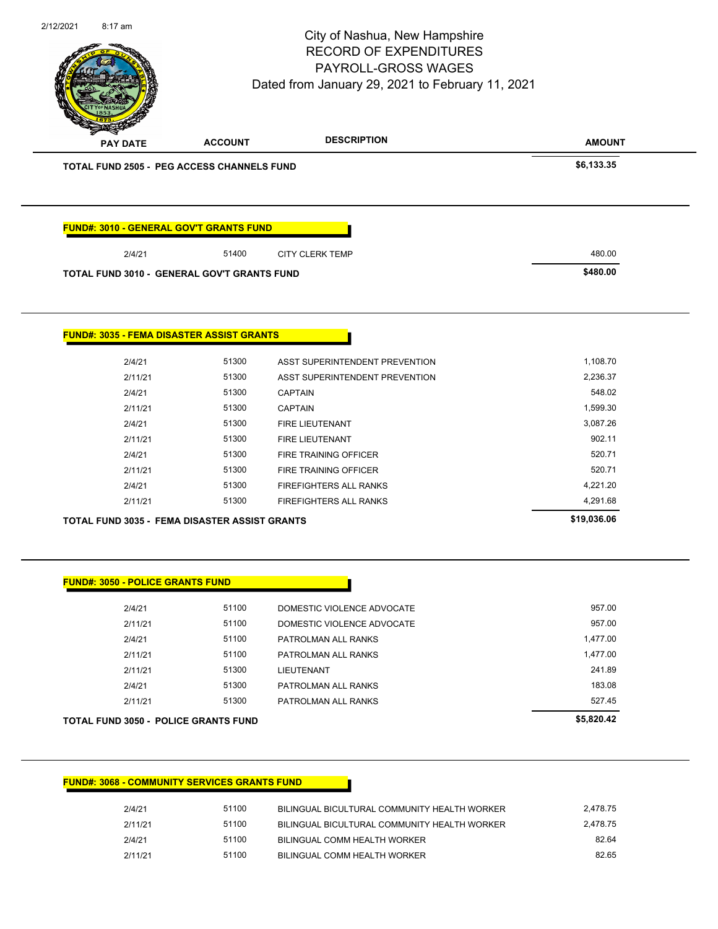|                                                    |                | City of Nashua, New Hampshire<br><b>RECORD OF EXPENDITURES</b><br>PAYROLL-GROSS WAGES<br>Dated from January 29, 2021 to February 11, 2021 | Page 85 of 96      |
|----------------------------------------------------|----------------|-------------------------------------------------------------------------------------------------------------------------------------------|--------------------|
| PAY DATE                                           | <b>ACCOUNT</b> | <b>DESCRIPTION</b>                                                                                                                        | <b>AMOUNT</b>      |
| TOTAL FUND 2505 - PEG ACCESS CHANNELS FUND         |                |                                                                                                                                           | \$6,133.35         |
| FUND#: 3010 - GENERAL GOV'T GRANTS FUND            |                |                                                                                                                                           |                    |
| 2/4/21                                             | 51400          | <b>CITY CLERK TEMP</b>                                                                                                                    | 480.00             |
| <b>TOTAL FUND 3010 - GENERAL GOV'T GRANTS FUND</b> |                |                                                                                                                                           | \$480.00           |
| <b>FUND#: 3035 - FEMA DISASTER ASSIST GRANTS</b>   |                |                                                                                                                                           |                    |
| 2/4/21                                             | 51300          | ASST SUPERINTENDENT PREVENTION                                                                                                            | 1,108.70           |
| 2/11/21                                            | 51300          | ASST SUPERINTENDENT PREVENTION                                                                                                            | 2,236.37<br>548.02 |
| 2/4/21<br>2/11/21                                  | 51300<br>51300 | <b>CAPTAIN</b><br><b>CAPTAIN</b>                                                                                                          | 1,599.30           |
| 2/4/21                                             | 51300          | FIRE LIEUTENANT                                                                                                                           | 3,087.26           |
| 2/11/21                                            | 51300          | FIRE LIEUTENANT                                                                                                                           | 902.11             |
|                                                    | 51300          | FIRE TRAINING OFFICER                                                                                                                     | 520.71             |
| 2/4/21                                             |                |                                                                                                                                           |                    |
| 2/11/21                                            | 51300          | FIRE TRAINING OFFICER                                                                                                                     | 520.71             |
| 2/4/21                                             | 51300          | FIREFIGHTERS ALL RANKS                                                                                                                    | 4,221.20           |
| 2/11/21                                            | 51300          | FIREFIGHTERS ALL RANKS                                                                                                                    | 4,291.68           |
| TOTAL FUND 3035 - FEMA DISASTER ASSIST GRANTS      |                |                                                                                                                                           | \$19,036.06        |
| <b>FUND#: 3050 - POLICE GRANTS FUND</b>            |                |                                                                                                                                           |                    |
| 2/4/21                                             | 51100          | DOMESTIC VIOLENCE ADVOCATE                                                                                                                | 957.00             |
| 2/11/21                                            | 51100          | DOMESTIC VIOLENCE ADVOCATE                                                                                                                | 957.00             |
| 2/4/21                                             | 51100          | PATROLMAN ALL RANKS                                                                                                                       | 1,477.00           |
| 2/11/21                                            | 51100          | PATROLMAN ALL RANKS                                                                                                                       | 1,477.00           |
| 2/11/21                                            | 51300          | LIEUTENANT                                                                                                                                | 241.89             |
| 2/4/21                                             | 51300          | PATROLMAN ALL RANKS                                                                                                                       | 183.08             |
| 2/11/21                                            | 51300          | PATROLMAN ALL RANKS                                                                                                                       | 527.45             |

## **FUND#: 3068 - COMMUNITY SERVICES GRANTS FUND**

| 2/4/21  | 51100 | BILINGUAL BICULTURAL COMMUNITY HEALTH WORKER | 2.478.75 |
|---------|-------|----------------------------------------------|----------|
| 2/11/21 | 51100 | BILINGUAL BICULTURAL COMMUNITY HEALTH WORKER | 2.478.75 |
| 2/4/21  | 51100 | BILINGUAL COMM HEALTH WORKER                 | 82.64    |
| 2/11/21 | 51100 | BILINGUAL COMM HEALTH WORKER                 | 82.65    |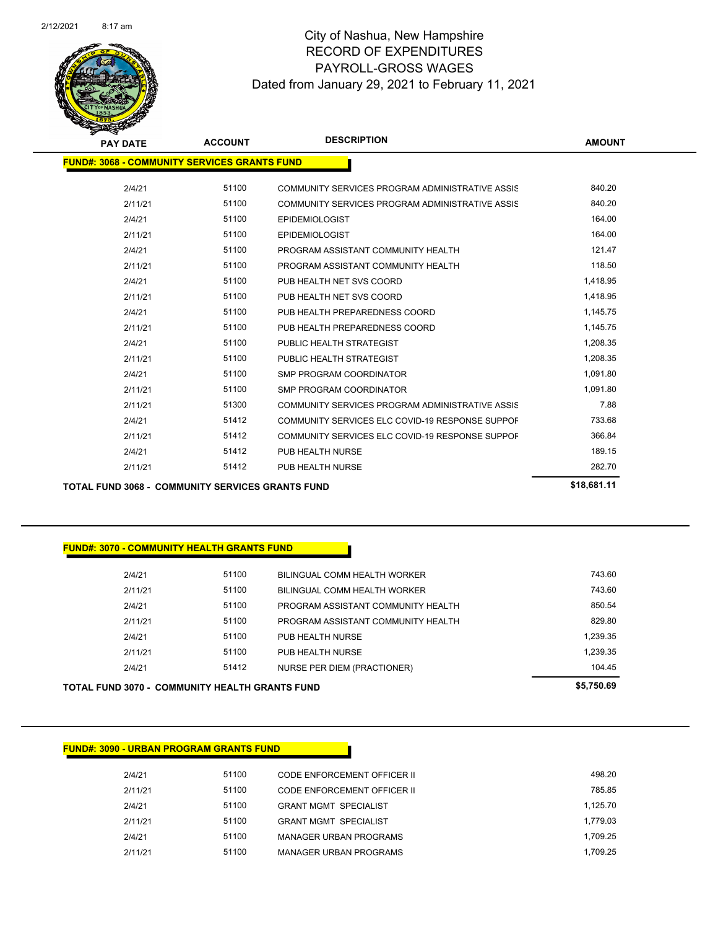

| <b>PAY DATE</b> | <b>ACCOUNT</b>                                      | <b>DESCRIPTION</b>                              | <b>AMOUNT</b>     |
|-----------------|-----------------------------------------------------|-------------------------------------------------|-------------------|
|                 | <b>FUND#: 3068 - COMMUNITY SERVICES GRANTS FUND</b> |                                                 |                   |
| 2/4/21          | 51100                                               | COMMUNITY SERVICES PROGRAM ADMINISTRATIVE ASSIS | 840.20            |
| 2/11/21         | 51100                                               | COMMUNITY SERVICES PROGRAM ADMINISTRATIVE ASSIS | 840.20            |
| 2/4/21          | 51100                                               | <b>EPIDEMIOLOGIST</b>                           | 164.00            |
| 2/11/21         | 51100                                               | <b>EPIDEMIOLOGIST</b>                           | 164.00            |
| 2/4/21          | 51100                                               | PROGRAM ASSISTANT COMMUNITY HEALTH              | 121.47            |
| 2/11/21         | 51100                                               | PROGRAM ASSISTANT COMMUNITY HEALTH              | 118.50            |
| 2/4/21          | 51100                                               | PUB HEALTH NET SVS COORD                        | 1,418.95          |
| 2/11/21         | 51100                                               | PUB HEALTH NET SVS COORD                        | 1,418.95          |
| 2/4/21          | 51100                                               | PUB HEALTH PREPAREDNESS COORD                   | 1,145.75          |
| 2/11/21         | 51100                                               | PUB HEALTH PREPAREDNESS COORD                   | 1,145.75          |
| 2/4/21          | 51100                                               | PUBLIC HEALTH STRATEGIST                        | 1,208.35          |
| 2/11/21         | 51100                                               | PUBLIC HEALTH STRATEGIST                        | 1,208.35          |
| 2/4/21          | 51100                                               | <b>SMP PROGRAM COORDINATOR</b>                  | 1,091.80          |
| 2/11/21         | 51100                                               | <b>SMP PROGRAM COORDINATOR</b>                  | 1,091.80          |
| 2/11/21         | 51300                                               | COMMUNITY SERVICES PROGRAM ADMINISTRATIVE ASSIS | 7.88              |
| 2/4/21          | 51412                                               | COMMUNITY SERVICES ELC COVID-19 RESPONSE SUPPOR | 733.68            |
| 2/11/21         | 51412                                               | COMMUNITY SERVICES ELC COVID-19 RESPONSE SUPPOR | 366.84            |
| 2/4/21          | 51412                                               | PUB HEALTH NURSE                                | 189.15            |
| 2/11/21         | 51412                                               | PUB HEALTH NURSE                                | 282.70            |
|                 |                                                     |                                                 | <b>AIR 884 44</b> |

**TOTAL FUND 3068 - COMMUNITY SERVICES GRANTS FUND \$18,681.11** 

## **FUND#: 3070 - COMMUNITY HEALTH GRANTS FUND**

| TOTAL FUND 3070 -  COMMUNITY HEALTH GRANTS FUND |       |                                    | \$5,750.69 |
|-------------------------------------------------|-------|------------------------------------|------------|
| 2/4/21                                          | 51412 | NURSE PER DIEM (PRACTIONER)        | 104.45     |
| 2/11/21                                         | 51100 | PUB HEALTH NURSE                   | 1.239.35   |
| 2/4/21                                          | 51100 | PUB HEALTH NURSE                   | 1,239.35   |
| 2/11/21                                         | 51100 | PROGRAM ASSISTANT COMMUNITY HEALTH | 829.80     |
| 2/4/21                                          | 51100 | PROGRAM ASSISTANT COMMUNITY HEALTH | 850.54     |
| 2/11/21                                         | 51100 | BILINGUAL COMM HEALTH WORKER       | 743.60     |
| 2/4/21                                          | 51100 | BILINGUAL COMM HEALTH WORKER       | 743.60     |
|                                                 |       |                                    |            |

### **FUND#: 3090 - URBAN PROGRAM GRANTS FUND**

| 2/4/21  | 51100 | CODE ENFORCEMENT OFFICER II  | 498.20   |
|---------|-------|------------------------------|----------|
| 2/11/21 | 51100 | CODE ENFORCEMENT OFFICER II  | 785.85   |
| 2/4/21  | 51100 | <b>GRANT MGMT SPECIALIST</b> | 1.125.70 |
| 2/11/21 | 51100 | <b>GRANT MGMT SPECIALIST</b> | 1.779.03 |
| 2/4/21  | 51100 | MANAGER URBAN PROGRAMS       | 1.709.25 |
| 2/11/21 | 51100 | MANAGER URBAN PROGRAMS       | 1.709.25 |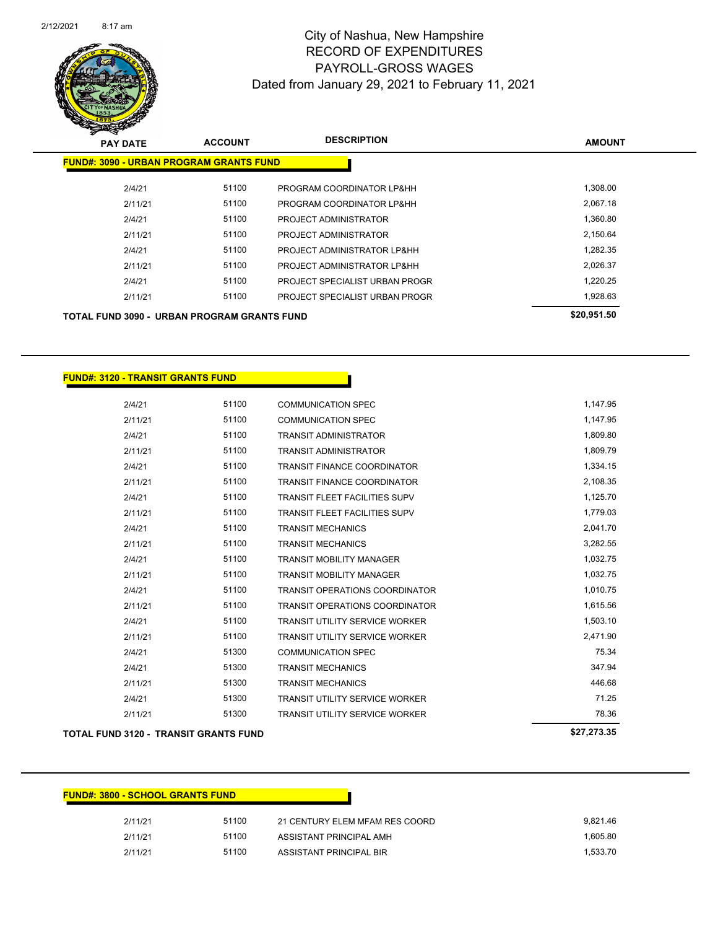

| <b>PAY DATE</b>                                    | <b>ACCOUNT</b> | <b>DESCRIPTION</b>             | <b>AMOUNT</b> |
|----------------------------------------------------|----------------|--------------------------------|---------------|
| <b>FUND#: 3090 - URBAN PROGRAM GRANTS FUND</b>     |                |                                |               |
| 2/4/21                                             | 51100          | PROGRAM COORDINATOR LP&HH      | 1,308.00      |
| 2/11/21                                            | 51100          | PROGRAM COORDINATOR LP&HH      | 2,067.18      |
| 2/4/21                                             | 51100          | PROJECT ADMINISTRATOR          | 1,360.80      |
| 2/11/21                                            | 51100          | PROJECT ADMINISTRATOR          | 2,150.64      |
| 2/4/21                                             | 51100          | PROJECT ADMINISTRATOR LP&HH    | 1,282.35      |
| 2/11/21                                            | 51100          | PROJECT ADMINISTRATOR LP&HH    | 2.026.37      |
| 2/4/21                                             | 51100          | PROJECT SPECIALIST URBAN PROGR | 1.220.25      |
| 2/11/21                                            | 51100          | PROJECT SPECIALIST URBAN PROGR | 1,928.63      |
| <b>TOTAL FUND 3090 - URBAN PROGRAM GRANTS FUND</b> |                |                                | \$20,951.50   |

| <b>TOTAL FUND 3120 - TRANSIT GRANTS FUND</b> |       |                                       | \$27,273.35 |
|----------------------------------------------|-------|---------------------------------------|-------------|
| 2/11/21                                      | 51300 | TRANSIT UTILITY SERVICE WORKER        | 78.36       |
| 2/4/21                                       | 51300 | <b>TRANSIT UTILITY SERVICE WORKER</b> | 71.25       |
| 2/11/21                                      | 51300 | <b>TRANSIT MECHANICS</b>              | 446.68      |
| 2/4/21                                       | 51300 | <b>TRANSIT MECHANICS</b>              | 347.94      |
| 2/4/21                                       | 51300 | <b>COMMUNICATION SPEC</b>             | 75.34       |
| 2/11/21                                      | 51100 | <b>TRANSIT UTILITY SERVICE WORKER</b> | 2,471.90    |
| 2/4/21                                       | 51100 | <b>TRANSIT UTILITY SERVICE WORKER</b> | 1,503.10    |
| 2/11/21                                      | 51100 | <b>TRANSIT OPERATIONS COORDINATOR</b> | 1,615.56    |
| 2/4/21                                       | 51100 | <b>TRANSIT OPERATIONS COORDINATOR</b> | 1,010.75    |
| 2/11/21                                      | 51100 | <b>TRANSIT MOBILITY MANAGER</b>       | 1,032.75    |
| 2/4/21                                       | 51100 | <b>TRANSIT MOBILITY MANAGER</b>       | 1,032.75    |
| 2/11/21                                      | 51100 | <b>TRANSIT MECHANICS</b>              | 3,282.55    |
| 2/4/21                                       | 51100 | <b>TRANSIT MECHANICS</b>              | 2,041.70    |
| 2/11/21                                      | 51100 | <b>TRANSIT FLEET FACILITIES SUPV</b>  | 1,779.03    |
| 2/4/21                                       | 51100 | <b>TRANSIT FLEET FACILITIES SUPV</b>  | 1,125.70    |
| 2/11/21                                      | 51100 | <b>TRANSIT FINANCE COORDINATOR</b>    | 2,108.35    |
| 2/4/21                                       | 51100 | <b>TRANSIT FINANCE COORDINATOR</b>    | 1,334.15    |
| 2/11/21                                      | 51100 | <b>TRANSIT ADMINISTRATOR</b>          | 1,809.79    |
| 2/4/21                                       | 51100 | <b>TRANSIT ADMINISTRATOR</b>          | 1,809.80    |
| 2/11/21                                      | 51100 | <b>COMMUNICATION SPEC</b>             | 1,147.95    |
| 2/4/21                                       | 51100 | <b>COMMUNICATION SPEC</b>             | 1,147.95    |

Г

**FUND#: 3120 - TRANSIT GRANTS FUND**

| <b>FUND#: 3800 - SCHOOL GRANTS FUND</b> |       |                                |          |  |
|-----------------------------------------|-------|--------------------------------|----------|--|
| 2/11/21                                 | 51100 | 21 CENTURY ELEM MFAM RES COORD | 9.821.46 |  |
| 2/11/21                                 | 51100 | ASSISTANT PRINCIPAL AMH        | 1.605.80 |  |
| 2/11/21                                 | 51100 | ASSISTANT PRINCIPAL BIR        | 1.533.70 |  |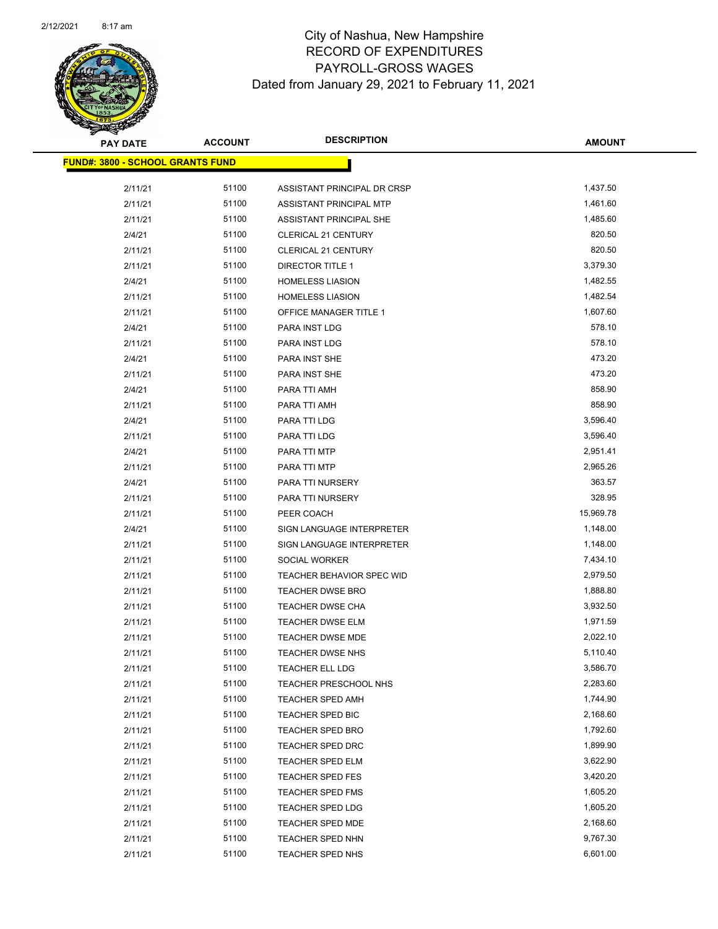

| <b>PAY DATE</b>                  | <b>ACCOUNT</b> | <b>DESCRIPTION</b>          | <b>AMOUNT</b> |
|----------------------------------|----------------|-----------------------------|---------------|
| FUND#: 3800 - SCHOOL GRANTS FUND |                |                             |               |
| 2/11/21                          | 51100          | ASSISTANT PRINCIPAL DR CRSP | 1,437.50      |
| 2/11/21                          | 51100          | ASSISTANT PRINCIPAL MTP     | 1,461.60      |
| 2/11/21                          | 51100          | ASSISTANT PRINCIPAL SHE     | 1,485.60      |
| 2/4/21                           | 51100          | CLERICAL 21 CENTURY         | 820.50        |
| 2/11/21                          | 51100          | CLERICAL 21 CENTURY         | 820.50        |
| 2/11/21                          | 51100          | <b>DIRECTOR TITLE 1</b>     | 3,379.30      |
| 2/4/21                           | 51100          | <b>HOMELESS LIASION</b>     | 1,482.55      |
| 2/11/21                          | 51100          | <b>HOMELESS LIASION</b>     | 1,482.54      |
| 2/11/21                          | 51100          | OFFICE MANAGER TITLE 1      | 1,607.60      |
| 2/4/21                           | 51100          | PARA INST LDG               | 578.10        |
| 2/11/21                          | 51100          | PARA INST LDG               | 578.10        |
| 2/4/21                           | 51100          | PARA INST SHE               | 473.20        |
| 2/11/21                          | 51100          | PARA INST SHE               | 473.20        |
| 2/4/21                           | 51100          | PARA TTI AMH                | 858.90        |
| 2/11/21                          | 51100          | PARA TTI AMH                | 858.90        |
| 2/4/21                           | 51100          | PARA TTI LDG                | 3,596.40      |
| 2/11/21                          | 51100          | PARA TTI LDG                | 3,596.40      |
| 2/4/21                           | 51100          | PARA TTI MTP                | 2,951.41      |
| 2/11/21                          | 51100          | PARA TTI MTP                | 2,965.26      |
| 2/4/21                           | 51100          | PARA TTI NURSERY            | 363.57        |
| 2/11/21                          | 51100          | PARA TTI NURSERY            | 328.95        |
| 2/11/21                          | 51100          | PEER COACH                  | 15,969.78     |
| 2/4/21                           | 51100          | SIGN LANGUAGE INTERPRETER   | 1,148.00      |
| 2/11/21                          | 51100          | SIGN LANGUAGE INTERPRETER   | 1,148.00      |
| 2/11/21                          | 51100          | SOCIAL WORKER               | 7,434.10      |
| 2/11/21                          | 51100          | TEACHER BEHAVIOR SPEC WID   | 2,979.50      |
| 2/11/21                          | 51100          | <b>TEACHER DWSE BRO</b>     | 1,888.80      |
| 2/11/21                          | 51100          | <b>TEACHER DWSE CHA</b>     | 3,932.50      |
| 2/11/21                          | 51100          | TEACHER DWSE ELM            | 1,971.59      |
| 2/11/21                          | 51100          | <b>TEACHER DWSE MDE</b>     | 2,022.10      |
| 2/11/21                          | 51100          | <b>TEACHER DWSE NHS</b>     | 5,110.40      |
| 2/11/21                          | 51100          | TEACHER ELL LDG             | 3,586.70      |
| 2/11/21                          | 51100          | TEACHER PRESCHOOL NHS       | 2,283.60      |
| 2/11/21                          | 51100          | <b>TEACHER SPED AMH</b>     | 1,744.90      |
| 2/11/21                          | 51100          | TEACHER SPED BIC            | 2,168.60      |
| 2/11/21                          | 51100          | <b>TEACHER SPED BRO</b>     | 1,792.60      |
| 2/11/21                          | 51100          | TEACHER SPED DRC            | 1,899.90      |
| 2/11/21                          | 51100          | TEACHER SPED ELM            | 3,622.90      |
| 2/11/21                          | 51100          | TEACHER SPED FES            | 3,420.20      |
| 2/11/21                          | 51100          | <b>TEACHER SPED FMS</b>     | 1,605.20      |
| 2/11/21                          | 51100          | TEACHER SPED LDG            | 1,605.20      |
| 2/11/21                          | 51100          | <b>TEACHER SPED MDE</b>     | 2,168.60      |
| 2/11/21                          | 51100          | TEACHER SPED NHN            | 9,767.30      |
| 2/11/21                          | 51100          | <b>TEACHER SPED NHS</b>     | 6,601.00      |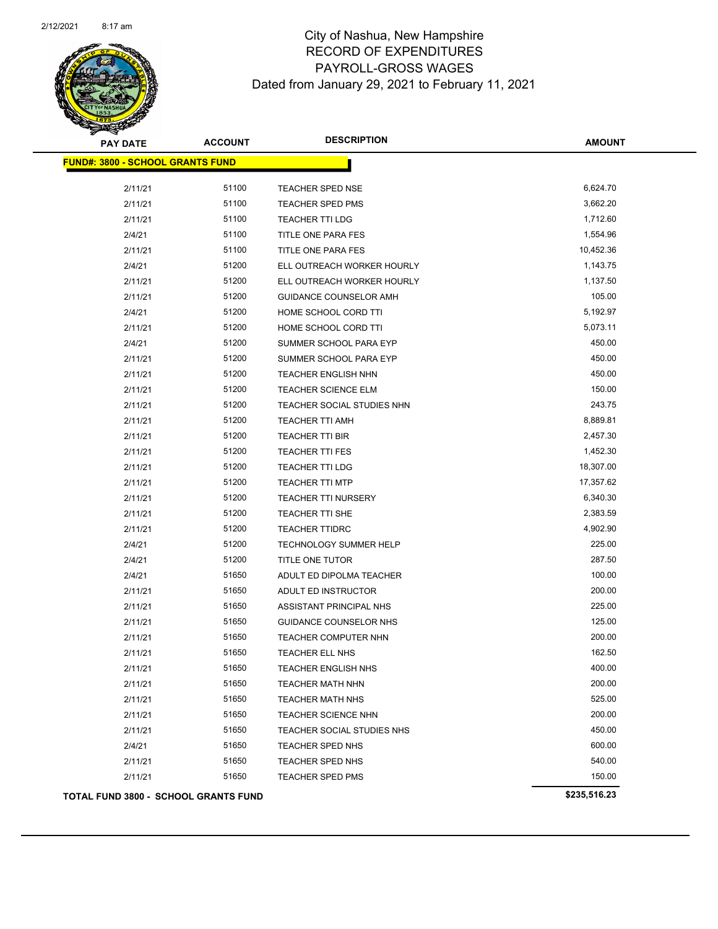

| <b>PAY DATE</b>                             | <b>ACCOUNT</b> | <b>DESCRIPTION</b>         | <b>AMOUNT</b> |
|---------------------------------------------|----------------|----------------------------|---------------|
| <b>FUND#: 3800 - SCHOOL GRANTS FUND</b>     |                |                            |               |
| 2/11/21                                     | 51100          | TEACHER SPED NSE           | 6,624.70      |
| 2/11/21                                     | 51100          | <b>TEACHER SPED PMS</b>    | 3,662.20      |
| 2/11/21                                     | 51100          | <b>TEACHER TTI LDG</b>     | 1,712.60      |
| 2/4/21                                      | 51100          | TITLE ONE PARA FES         | 1,554.96      |
| 2/11/21                                     | 51100          | TITLE ONE PARA FES         | 10,452.36     |
| 2/4/21                                      | 51200          | ELL OUTREACH WORKER HOURLY | 1,143.75      |
| 2/11/21                                     | 51200          | ELL OUTREACH WORKER HOURLY | 1,137.50      |
| 2/11/21                                     | 51200          | GUIDANCE COUNSELOR AMH     | 105.00        |
| 2/4/21                                      | 51200          | HOME SCHOOL CORD TTI       | 5,192.97      |
| 2/11/21                                     | 51200          | HOME SCHOOL CORD TTI       | 5,073.11      |
| 2/4/21                                      | 51200          | SUMMER SCHOOL PARA EYP     | 450.00        |
| 2/11/21                                     | 51200          | SUMMER SCHOOL PARA EYP     | 450.00        |
| 2/11/21                                     | 51200          | <b>TEACHER ENGLISH NHN</b> | 450.00        |
| 2/11/21                                     | 51200          | TEACHER SCIENCE ELM        | 150.00        |
| 2/11/21                                     | 51200          | TEACHER SOCIAL STUDIES NHN | 243.75        |
| 2/11/21                                     | 51200          | TEACHER TTI AMH            | 8,889.81      |
| 2/11/21                                     | 51200          | TEACHER TTI BIR            | 2,457.30      |
| 2/11/21                                     | 51200          | TEACHER TTI FES            | 1,452.30      |
| 2/11/21                                     | 51200          | TEACHER TTI LDG            | 18,307.00     |
| 2/11/21                                     | 51200          | <b>TEACHER TTI MTP</b>     | 17,357.62     |
| 2/11/21                                     | 51200          | <b>TEACHER TTI NURSERY</b> | 6,340.30      |
| 2/11/21                                     | 51200          | TEACHER TTI SHE            | 2,383.59      |
| 2/11/21                                     | 51200          | <b>TEACHER TTIDRC</b>      | 4,902.90      |
| 2/4/21                                      | 51200          | TECHNOLOGY SUMMER HELP     | 225.00        |
| 2/4/21                                      | 51200          | TITLE ONE TUTOR            | 287.50        |
| 2/4/21                                      | 51650          | ADULT ED DIPOLMA TEACHER   | 100.00        |
| 2/11/21                                     | 51650          | ADULT ED INSTRUCTOR        | 200.00        |
| 2/11/21                                     | 51650          | ASSISTANT PRINCIPAL NHS    | 225.00        |
| 2/11/21                                     | 51650          | GUIDANCE COUNSELOR NHS     | 125.00        |
| 2/11/21                                     | 51650          | TEACHER COMPUTER NHN       | 200.00        |
| 2/11/21                                     | 51650          | <b>TEACHER ELL NHS</b>     | 162.50        |
| 2/11/21                                     | 51650          | <b>TEACHER ENGLISH NHS</b> | 400.00        |
| 2/11/21                                     | 51650          | <b>TEACHER MATH NHN</b>    | 200.00        |
| 2/11/21                                     | 51650          | <b>TEACHER MATH NHS</b>    | 525.00        |
| 2/11/21                                     | 51650          | <b>TEACHER SCIENCE NHN</b> | 200.00        |
| 2/11/21                                     | 51650          | TEACHER SOCIAL STUDIES NHS | 450.00        |
| 2/4/21                                      | 51650          | TEACHER SPED NHS           | 600.00        |
| 2/11/21                                     | 51650          | TEACHER SPED NHS           | 540.00        |
| 2/11/21                                     | 51650          | <b>TEACHER SPED PMS</b>    | 150.00        |
| <b>TOTAL FUND 3800 - SCHOOL GRANTS FUND</b> |                |                            | \$235,516.23  |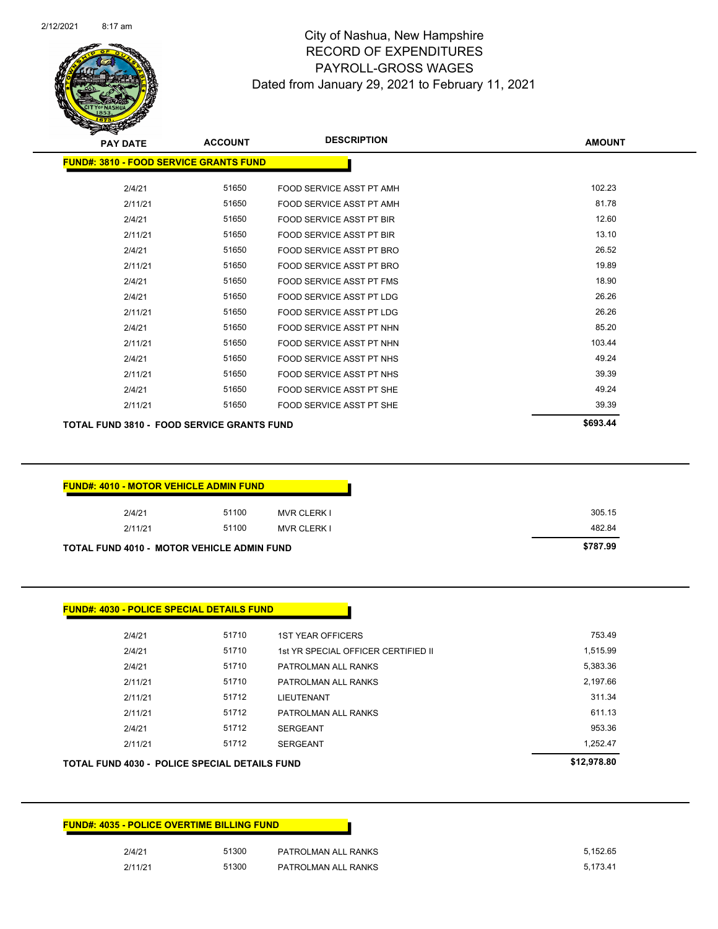|         | <b>FUND#: 4035 - POLICE OVERTIME BILLING FUND</b> |  |  |
|---------|---------------------------------------------------|--|--|
| 2/4/21  | 51300<br>PATROLMAN ALL RANKS                      |  |  |
| 2/11/21 | 51300<br>PATROLMAN ALL RANKS                      |  |  |

| <b>FUND#: 4030 - POLICE SPECIAL DETAILS FUND</b> |       |                                     |          |
|--------------------------------------------------|-------|-------------------------------------|----------|
|                                                  |       |                                     |          |
| 2/4/21                                           | 51710 | <b>1ST YEAR OFFICERS</b>            | 753.49   |
| 2/4/21                                           | 51710 | 1st YR SPECIAL OFFICER CERTIFIED II | 1,515.99 |
| 2/4/21                                           | 51710 | PATROLMAN ALL RANKS                 | 5,383.36 |
| 2/11/21                                          | 51710 | PATROLMAN ALL RANKS                 | 2,197.66 |
| 2/11/21                                          | 51712 | <b>LIEUTENANT</b>                   | 311.34   |
| 2/11/21                                          | 51712 | PATROLMAN ALL RANKS                 | 611.13   |
| 2/4/21                                           | 51712 | <b>SERGEANT</b>                     | 953.36   |
| 2/11/21                                          | 51712 | <b>SERGEANT</b>                     | 1,252.47 |

| <b>FUND#: 4010 - MOTOR VEHICLE ADMIN FUND</b> |       |                    |
|-----------------------------------------------|-------|--------------------|
| 2/4/21                                        | 51100 | <b>MVR CLERK I</b> |
| 2/11/21                                       | 51100 | <b>MVR CLERK I</b> |

| <b>PAY DATE</b>                                   | <b>ACCOUNT</b> | <b>DESCRIPTION</b>              | <b>AMOUNT</b> |
|---------------------------------------------------|----------------|---------------------------------|---------------|
| <b>FUND#: 3810 - FOOD SERVICE GRANTS FUND</b>     |                |                                 |               |
|                                                   |                |                                 |               |
| 2/4/21                                            | 51650          | FOOD SERVICE ASST PT AMH        | 102.23        |
| 2/11/21                                           | 51650          | FOOD SERVICE ASST PT AMH        | 81.78         |
| 2/4/21                                            | 51650          | <b>FOOD SERVICE ASST PT BIR</b> | 12.60         |
| 2/11/21                                           | 51650          | <b>FOOD SERVICE ASST PT BIR</b> | 13.10         |
| 2/4/21                                            | 51650          | FOOD SERVICE ASST PT BRO        | 26.52         |
| 2/11/21                                           | 51650          | FOOD SERVICE ASST PT BRO        | 19.89         |
| 2/4/21                                            | 51650          | <b>FOOD SERVICE ASST PT FMS</b> | 18.90         |
| 2/4/21                                            | 51650          | FOOD SERVICE ASST PT LDG        | 26.26         |
| 2/11/21                                           | 51650          | FOOD SERVICE ASST PT LDG        | 26.26         |
| 2/4/21                                            | 51650          | FOOD SERVICE ASST PT NHN        | 85.20         |
| 2/11/21                                           | 51650          | FOOD SERVICE ASST PT NHN        | 103.44        |
| 2/4/21                                            | 51650          | FOOD SERVICE ASST PT NHS        | 49.24         |
| 2/11/21                                           | 51650          | FOOD SERVICE ASST PT NHS        | 39.39         |
| 2/4/21                                            | 51650          | FOOD SERVICE ASST PT SHE        | 49.24         |
| 2/11/21                                           | 51650          | FOOD SERVICE ASST PT SHE        | 39.39         |
| <b>TOTAL FUND 3810 - FOOD SERVICE GRANTS FUND</b> |                |                                 | \$693.44      |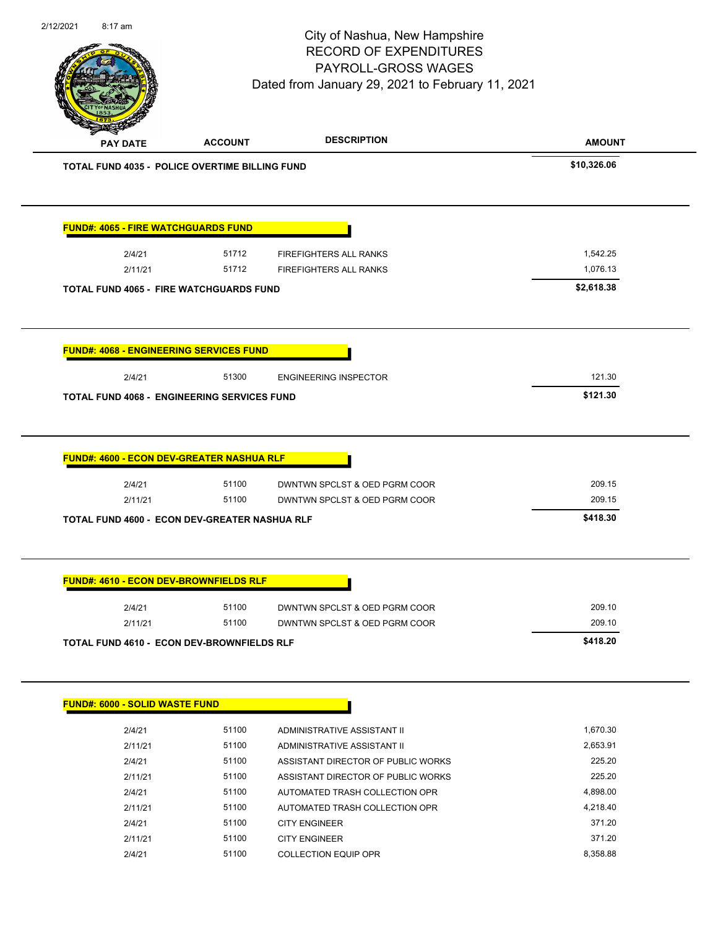| 2/12/2021 | 8:17 am                                    |                                                    | City of Nashua, New Hampshire<br><b>RECORD OF EXPENDITURES</b><br><b>PAYROLL-GROSS WAGES</b><br>Dated from January 29, 2021 to February 11, 2021 | Page 91 of 96 |
|-----------|--------------------------------------------|----------------------------------------------------|--------------------------------------------------------------------------------------------------------------------------------------------------|---------------|
|           | <b>PAY DATE</b>                            | <b>ACCOUNT</b>                                     | <b>DESCRIPTION</b>                                                                                                                               | <b>AMOUNT</b> |
|           |                                            | TOTAL FUND 4035 - POLICE OVERTIME BILLING FUND     |                                                                                                                                                  | \$10,326.06   |
|           | <b>FUND#: 4065 - FIRE WATCHGUARDS FUND</b> |                                                    |                                                                                                                                                  |               |
|           | 2/4/21                                     | 51712                                              | FIREFIGHTERS ALL RANKS                                                                                                                           | 1,542.25      |
|           | 2/11/21                                    | 51712                                              | FIREFIGHTERS ALL RANKS                                                                                                                           | 1,076.13      |
|           |                                            | <b>TOTAL FUND 4065 - FIRE WATCHGUARDS FUND</b>     |                                                                                                                                                  | \$2,618.38    |
|           |                                            | <b>FUND#: 4068 - ENGINEERING SERVICES FUND</b>     |                                                                                                                                                  |               |
|           | 2/4/21                                     | 51300                                              | <b>ENGINEERING INSPECTOR</b>                                                                                                                     | 121.30        |
|           |                                            | TOTAL FUND 4068 - ENGINEERING SERVICES FUND        |                                                                                                                                                  | \$121.30      |
|           | 2/4/21                                     | FUND#: 4600 - ECON DEV-GREATER NASHUA RLF<br>51100 | DWNTWN SPCLST & OED PGRM COOR                                                                                                                    | 209.15        |
|           | 2/11/21                                    | 51100                                              | DWNTWN SPCLST & OED PGRM COOR                                                                                                                    | 209.15        |
|           |                                            | TOTAL FUND 4600 - ECON DEV-GREATER NASHUA RLF      |                                                                                                                                                  | \$418.30      |
|           |                                            | <b>FUND#: 4610 - ECON DEV-BROWNFIELDS RLF</b>      |                                                                                                                                                  |               |
|           | 2/4/21                                     | 51100                                              | DWNTWN SPCLST & OED PGRM COOR                                                                                                                    | 209.10        |
|           | 2/11/21                                    | 51100                                              | DWNTWN SPCLST & OED PGRM COOR                                                                                                                    | 209.10        |
|           |                                            | <b>TOTAL FUND 4610 - ECON DEV-BROWNFIELDS RLF</b>  |                                                                                                                                                  | \$418.20      |
|           | <b>FUND#: 6000 - SOLID WASTE FUND</b>      |                                                    |                                                                                                                                                  |               |
|           | 2/4/21                                     | 51100                                              | ADMINISTRATIVE ASSISTANT II                                                                                                                      | 1,670.30      |
|           | 2/11/21                                    | 51100                                              | ADMINISTRATIVE ASSISTANT II                                                                                                                      | 2,653.91      |
|           | 2/4/21                                     | 51100                                              | ASSISTANT DIRECTOR OF PUBLIC WORKS                                                                                                               | 225.20        |
|           | 2/11/21                                    | 51100                                              | ASSISTANT DIRECTOR OF PUBLIC WORKS                                                                                                               | 225.20        |
|           | 2/4/21                                     | 51100                                              | AUTOMATED TRASH COLLECTION OPR                                                                                                                   | 4,898.00      |
|           | 2/11/21                                    | 51100                                              | AUTOMATED TRASH COLLECTION OPR                                                                                                                   | 4,218.40      |
|           | 2/4/21                                     | 51100                                              | <b>CITY ENGINEER</b>                                                                                                                             | 371.20        |
|           | 2/11/21                                    | 51100                                              | <b>CITY ENGINEER</b>                                                                                                                             | 371.20        |
|           | 2/4/21                                     | 51100                                              | <b>COLLECTION EQUIP OPR</b>                                                                                                                      | 8,358.88      |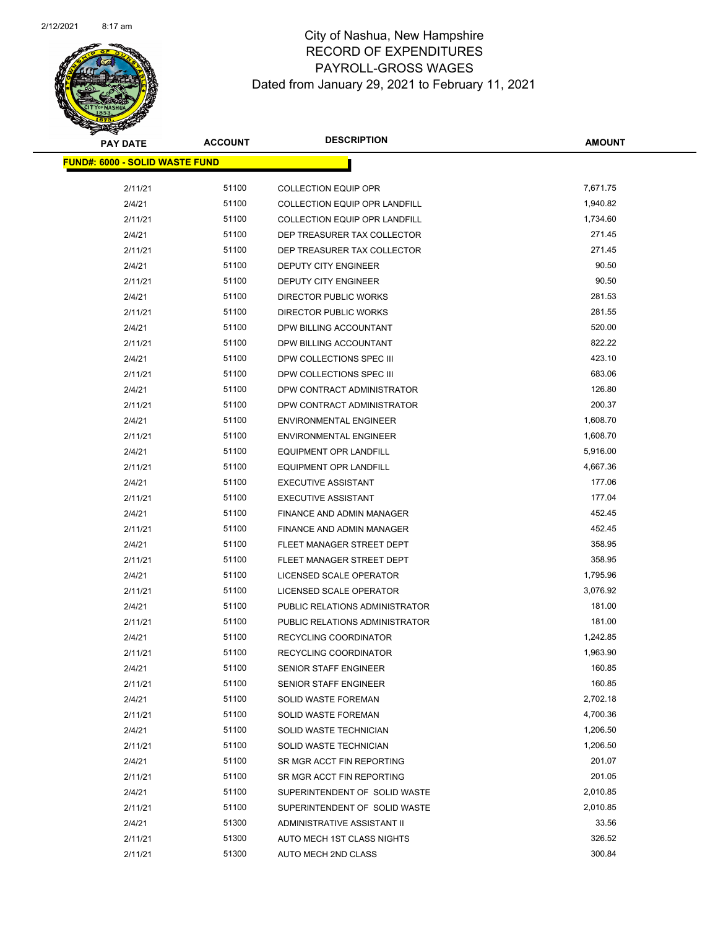

| <b>PAY DATE</b>                       | <b>ACCOUNT</b> | <b>DESCRIPTION</b>                   | <b>AMOUNT</b> |
|---------------------------------------|----------------|--------------------------------------|---------------|
| <b>FUND#: 6000 - SOLID WASTE FUND</b> |                |                                      |               |
|                                       |                |                                      |               |
| 2/11/21                               | 51100          | <b>COLLECTION EQUIP OPR</b>          | 7,671.75      |
| 2/4/21                                | 51100          | <b>COLLECTION EQUIP OPR LANDFILL</b> | 1,940.82      |
| 2/11/21                               | 51100          | <b>COLLECTION EQUIP OPR LANDFILL</b> | 1,734.60      |
| 2/4/21                                | 51100          | DEP TREASURER TAX COLLECTOR          | 271.45        |
| 2/11/21                               | 51100          | DEP TREASURER TAX COLLECTOR          | 271.45        |
| 2/4/21                                | 51100          | <b>DEPUTY CITY ENGINEER</b>          | 90.50         |
| 2/11/21                               | 51100          | <b>DEPUTY CITY ENGINEER</b>          | 90.50         |
| 2/4/21                                | 51100          | <b>DIRECTOR PUBLIC WORKS</b>         | 281.53        |
| 2/11/21                               | 51100          | DIRECTOR PUBLIC WORKS                | 281.55        |
| 2/4/21                                | 51100          | DPW BILLING ACCOUNTANT               | 520.00        |
| 2/11/21                               | 51100          | DPW BILLING ACCOUNTANT               | 822.22        |
| 2/4/21                                | 51100          | DPW COLLECTIONS SPEC III             | 423.10        |
| 2/11/21                               | 51100          | DPW COLLECTIONS SPEC III             | 683.06        |
| 2/4/21                                | 51100          | DPW CONTRACT ADMINISTRATOR           | 126.80        |
| 2/11/21                               | 51100          | DPW CONTRACT ADMINISTRATOR           | 200.37        |
| 2/4/21                                | 51100          | <b>ENVIRONMENTAL ENGINEER</b>        | 1,608.70      |
| 2/11/21                               | 51100          | <b>ENVIRONMENTAL ENGINEER</b>        | 1,608.70      |
| 2/4/21                                | 51100          | <b>EQUIPMENT OPR LANDFILL</b>        | 5,916.00      |
| 2/11/21                               | 51100          | <b>EQUIPMENT OPR LANDFILL</b>        | 4,667.36      |
| 2/4/21                                | 51100          | <b>EXECUTIVE ASSISTANT</b>           | 177.06        |
| 2/11/21                               | 51100          | <b>EXECUTIVE ASSISTANT</b>           | 177.04        |
| 2/4/21                                | 51100          | FINANCE AND ADMIN MANAGER            | 452.45        |
| 2/11/21                               | 51100          | FINANCE AND ADMIN MANAGER            | 452.45        |
| 2/4/21                                | 51100          | FLEET MANAGER STREET DEPT            | 358.95        |
| 2/11/21                               | 51100          | FLEET MANAGER STREET DEPT            | 358.95        |
| 2/4/21                                | 51100          | LICENSED SCALE OPERATOR              | 1,795.96      |
| 2/11/21                               | 51100          | LICENSED SCALE OPERATOR              | 3,076.92      |
| 2/4/21                                | 51100          | PUBLIC RELATIONS ADMINISTRATOR       | 181.00        |
| 2/11/21                               | 51100          | PUBLIC RELATIONS ADMINISTRATOR       | 181.00        |
| 2/4/21                                | 51100          | RECYCLING COORDINATOR                | 1,242.85      |
| 2/11/21                               | 51100          | <b>RECYCLING COORDINATOR</b>         | 1,963.90      |
| 2/4/21                                | 51100          | SENIOR STAFF ENGINEER                | 160.85        |
| 2/11/21                               | 51100          | <b>SENIOR STAFF ENGINEER</b>         | 160.85        |
| 2/4/21                                | 51100          | <b>SOLID WASTE FOREMAN</b>           | 2,702.18      |
| 2/11/21                               | 51100          | SOLID WASTE FOREMAN                  | 4,700.36      |
| 2/4/21                                | 51100          | SOLID WASTE TECHNICIAN               | 1,206.50      |
| 2/11/21                               | 51100          | SOLID WASTE TECHNICIAN               | 1,206.50      |
| 2/4/21                                | 51100          | SR MGR ACCT FIN REPORTING            | 201.07        |
| 2/11/21                               | 51100          | SR MGR ACCT FIN REPORTING            | 201.05        |
| 2/4/21                                | 51100          | SUPERINTENDENT OF SOLID WASTE        | 2,010.85      |
| 2/11/21                               | 51100          | SUPERINTENDENT OF SOLID WASTE        | 2,010.85      |
| 2/4/21                                | 51300          | ADMINISTRATIVE ASSISTANT II          | 33.56         |
| 2/11/21                               | 51300          | AUTO MECH 1ST CLASS NIGHTS           | 326.52        |
| 2/11/21                               | 51300          | AUTO MECH 2ND CLASS                  | 300.84        |
|                                       |                |                                      |               |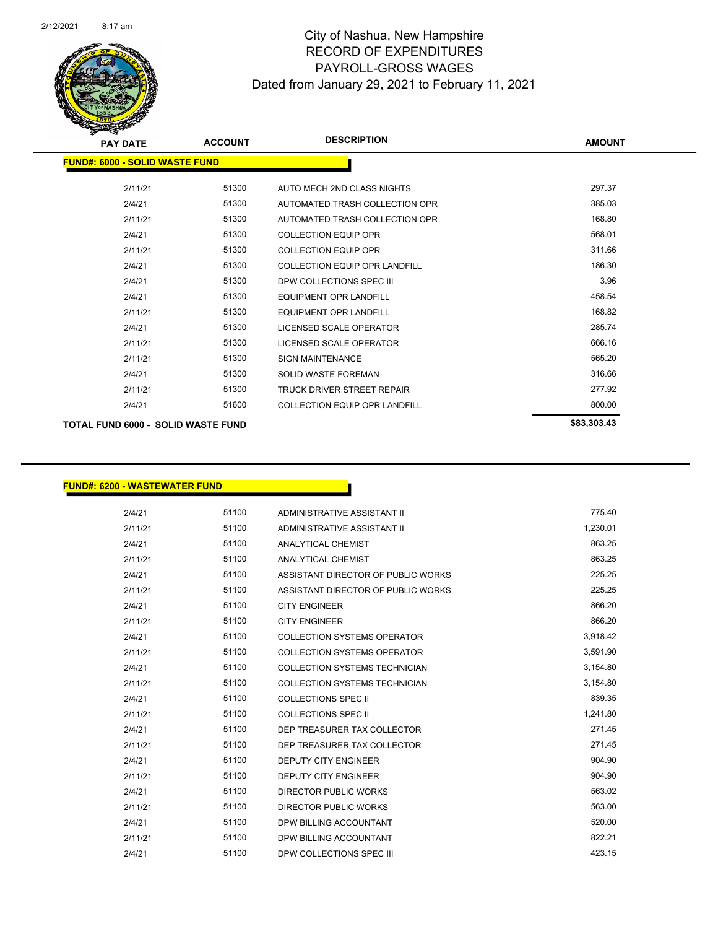

| <b>PAY DATE</b>                           | <b>ACCOUNT</b> | <b>DESCRIPTION</b>                   | <b>AMOUNT</b> |
|-------------------------------------------|----------------|--------------------------------------|---------------|
| <b>FUND#: 6000 - SOLID WASTE FUND</b>     |                |                                      |               |
| 2/11/21                                   | 51300          | AUTO MECH 2ND CLASS NIGHTS           | 297.37        |
| 2/4/21                                    | 51300          | AUTOMATED TRASH COLLECTION OPR       | 385.03        |
| 2/11/21                                   | 51300          | AUTOMATED TRASH COLLECTION OPR       | 168.80        |
| 2/4/21                                    | 51300          | <b>COLLECTION EQUIP OPR</b>          | 568.01        |
| 2/11/21                                   | 51300          | <b>COLLECTION EQUIP OPR</b>          | 311.66        |
| 2/4/21                                    | 51300          | <b>COLLECTION EQUIP OPR LANDFILL</b> | 186.30        |
| 2/4/21                                    | 51300          | DPW COLLECTIONS SPEC III             | 3.96          |
| 2/4/21                                    | 51300          | <b>EQUIPMENT OPR LANDFILL</b>        | 458.54        |
| 2/11/21                                   | 51300          | <b>EQUIPMENT OPR LANDFILL</b>        | 168.82        |
| 2/4/21                                    | 51300          | LICENSED SCALE OPERATOR              | 285.74        |
| 2/11/21                                   | 51300          | <b>LICENSED SCALE OPERATOR</b>       | 666.16        |
| 2/11/21                                   | 51300          | <b>SIGN MAINTENANCE</b>              | 565.20        |
| 2/4/21                                    | 51300          | <b>SOLID WASTE FOREMAN</b>           | 316.66        |
| 2/11/21                                   | 51300          | <b>TRUCK DRIVER STREET REPAIR</b>    | 277.92        |
| 2/4/21                                    | 51600          | <b>COLLECTION EQUIP OPR LANDFILL</b> | 800.00        |
| <b>TOTAL FUND 6000 - SOLID WASTE FUND</b> |                |                                      | \$83,303.43   |

### **FUND#: 6200 - WASTEWATER FUND**

2/4/21 51100 ADMINISTRATIVE ASSISTANT II 775.40 2/11/21 51100 ADMINISTRATIVE ASSISTANT II 1,230.01 2/4/21 51100 ANALYTICAL CHEMIST 863.25 2/11/21 51100 ANALYTICAL CHEMIST 863.25 2/4/21 51100 ASSISTANT DIRECTOR OF PUBLIC WORKS 225.25 2/11/21 51100 ASSISTANT DIRECTOR OF PUBLIC WORKS 225.25 2/4/21 51100 CITY ENGINEER 866.20 2/11/21 51100 CITY ENGINEER 866.20 2/4/21 51100 COLLECTION SYSTEMS OPERATOR 3,918.42 2/11/21 51100 COLLECTION SYSTEMS OPERATOR 3,591.90 2/4/21 51100 COLLECTION SYSTEMS TECHNICIAN 3,154.80 2/11/21 51100 COLLECTION SYSTEMS TECHNICIAN 3,154.80 2/4/21 51100 COLLECTIONS SPEC II 839.35 2/11/21 51100 COLLECTIONS SPEC II 1,241.80 2/4/21 51100 DEP TREASURER TAX COLLECTOR 271.45 2/11/21 51100 DEP TREASURER TAX COLLECTOR 271.45 2/4/21 51100 DEPUTY CITY ENGINEER 904.90 2/11/21 51100 DEPUTY CITY ENGINEER 904.90 2/4/21 51100 DIRECTOR PUBLIC WORKS 563.02 2/11/21 51100 DIRECTOR PUBLIC WORKS 563.00 2/4/21 51100 DPW BILLING ACCOUNTANT 520.00 2/11/21 51100 DPW BILLING ACCOUNTANT 822.21 2/4/21 51100 DPW COLLECTIONS SPEC III 423.15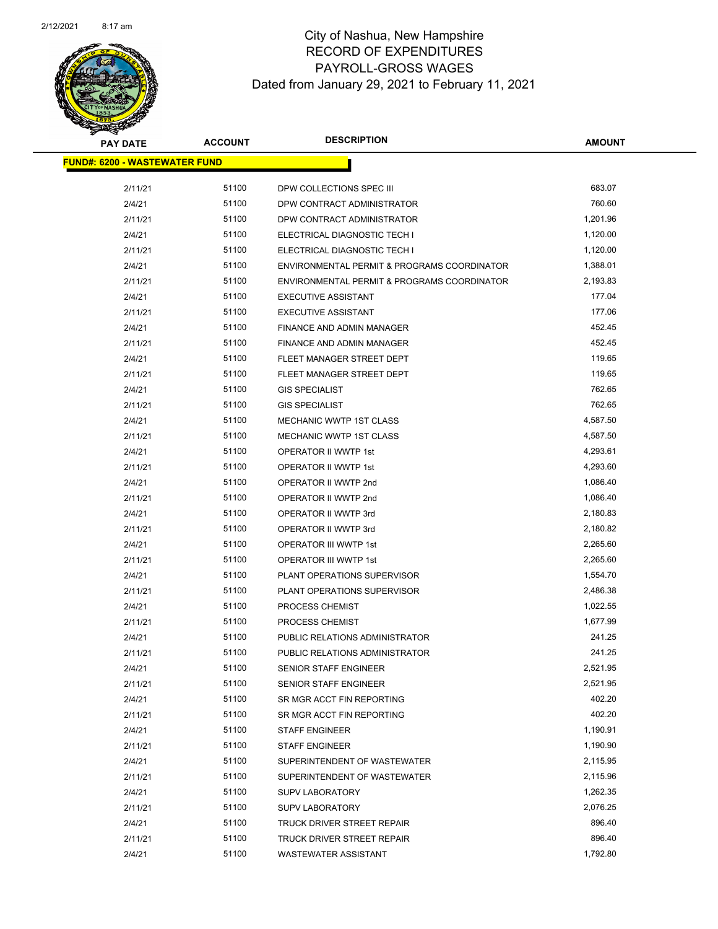

| <b>PAY DATE</b>                       | <b>ACCOUNT</b> | <b>DESCRIPTION</b>                          | <b>AMOUNT</b> |  |
|---------------------------------------|----------------|---------------------------------------------|---------------|--|
| <u> FUND#: 6200 - WASTEWATER FUND</u> |                |                                             |               |  |
| 2/11/21                               | 51100          | DPW COLLECTIONS SPEC III                    | 683.07        |  |
| 2/4/21                                | 51100          | DPW CONTRACT ADMINISTRATOR                  | 760.60        |  |
| 2/11/21                               | 51100          | DPW CONTRACT ADMINISTRATOR                  | 1,201.96      |  |
| 2/4/21                                | 51100          | ELECTRICAL DIAGNOSTIC TECH I                | 1,120.00      |  |
| 2/11/21                               | 51100          | ELECTRICAL DIAGNOSTIC TECH I                | 1,120.00      |  |
| 2/4/21                                | 51100          | ENVIRONMENTAL PERMIT & PROGRAMS COORDINATOR | 1,388.01      |  |
| 2/11/21                               | 51100          | ENVIRONMENTAL PERMIT & PROGRAMS COORDINATOR | 2,193.83      |  |
| 2/4/21                                | 51100          | <b>EXECUTIVE ASSISTANT</b>                  | 177.04        |  |
| 2/11/21                               | 51100          | <b>EXECUTIVE ASSISTANT</b>                  | 177.06        |  |
| 2/4/21                                | 51100          | FINANCE AND ADMIN MANAGER                   | 452.45        |  |
| 2/11/21                               | 51100          | FINANCE AND ADMIN MANAGER                   | 452.45        |  |
| 2/4/21                                | 51100          | FLEET MANAGER STREET DEPT                   | 119.65        |  |
| 2/11/21                               | 51100          | FLEET MANAGER STREET DEPT                   | 119.65        |  |
| 2/4/21                                | 51100          | <b>GIS SPECIALIST</b>                       | 762.65        |  |
| 2/11/21                               | 51100          | <b>GIS SPECIALIST</b>                       | 762.65        |  |
| 2/4/21                                | 51100          | MECHANIC WWTP 1ST CLASS                     | 4,587.50      |  |
| 2/11/21                               | 51100          | <b>MECHANIC WWTP 1ST CLASS</b>              | 4,587.50      |  |
| 2/4/21                                | 51100          | OPERATOR II WWTP 1st                        | 4,293.61      |  |
| 2/11/21                               | 51100          | OPERATOR II WWTP 1st                        | 4,293.60      |  |
| 2/4/21                                | 51100          | OPERATOR II WWTP 2nd                        | 1,086.40      |  |
| 2/11/21                               | 51100          | OPERATOR II WWTP 2nd                        | 1,086.40      |  |
| 2/4/21                                | 51100          | OPERATOR II WWTP 3rd                        | 2,180.83      |  |
| 2/11/21                               | 51100          | OPERATOR II WWTP 3rd                        | 2,180.82      |  |
| 2/4/21                                | 51100          | OPERATOR III WWTP 1st                       | 2,265.60      |  |
| 2/11/21                               | 51100          | OPERATOR III WWTP 1st                       | 2,265.60      |  |
| 2/4/21                                | 51100          | PLANT OPERATIONS SUPERVISOR                 | 1,554.70      |  |
| 2/11/21                               | 51100          | PLANT OPERATIONS SUPERVISOR                 | 2,486.38      |  |
| 2/4/21                                | 51100          | PROCESS CHEMIST                             | 1,022.55      |  |
| 2/11/21                               | 51100          | PROCESS CHEMIST                             | 1,677.99      |  |
| 2/4/21                                | 51100          | PUBLIC RELATIONS ADMINISTRATOR              | 241.25        |  |
| 2/11/21                               | 51100          | PUBLIC RELATIONS ADMINISTRATOR              | 241.25        |  |
| 2/4/21                                | 51100          | SENIOR STAFF ENGINEER                       | 2,521.95      |  |
| 2/11/21                               | 51100          | SENIOR STAFF ENGINEER                       | 2,521.95      |  |
| 2/4/21                                | 51100          | SR MGR ACCT FIN REPORTING                   | 402.20        |  |
| 2/11/21                               | 51100          | SR MGR ACCT FIN REPORTING                   | 402.20        |  |
| 2/4/21                                | 51100          | <b>STAFF ENGINEER</b>                       | 1,190.91      |  |
| 2/11/21                               | 51100          | <b>STAFF ENGINEER</b>                       | 1,190.90      |  |
| 2/4/21                                | 51100          | SUPERINTENDENT OF WASTEWATER                | 2,115.95      |  |
| 2/11/21                               | 51100          | SUPERINTENDENT OF WASTEWATER                | 2,115.96      |  |
| 2/4/21                                | 51100          | <b>SUPV LABORATORY</b>                      | 1,262.35      |  |
| 2/11/21                               | 51100          | <b>SUPV LABORATORY</b>                      | 2,076.25      |  |
| 2/4/21                                | 51100          | TRUCK DRIVER STREET REPAIR                  | 896.40        |  |
| 2/11/21                               | 51100          | TRUCK DRIVER STREET REPAIR                  | 896.40        |  |
| 2/4/21                                | 51100          | WASTEWATER ASSISTANT                        | 1,792.80      |  |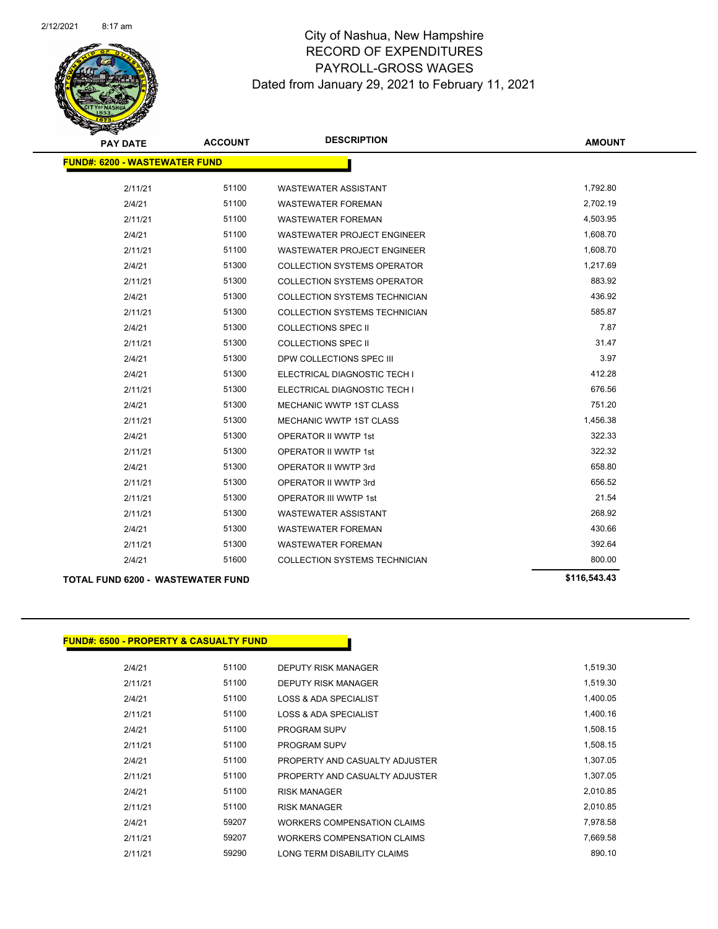

| <b>PAY DATE</b>                      | <b>ACCOUNT</b> | <b>DESCRIPTION</b>                   | <b>AMOUNT</b> |
|--------------------------------------|----------------|--------------------------------------|---------------|
| <b>FUND#: 6200 - WASTEWATER FUND</b> |                |                                      |               |
| 2/11/21                              | 51100          | <b>WASTEWATER ASSISTANT</b>          | 1,792.80      |
| 2/4/21                               | 51100          | <b>WASTEWATER FOREMAN</b>            | 2,702.19      |
| 2/11/21                              | 51100          | <b>WASTEWATER FOREMAN</b>            | 4,503.95      |
| 2/4/21                               | 51100          | <b>WASTEWATER PROJECT ENGINEER</b>   | 1,608.70      |
| 2/11/21                              | 51100          | <b>WASTEWATER PROJECT ENGINEER</b>   | 1,608.70      |
| 2/4/21                               | 51300          | <b>COLLECTION SYSTEMS OPERATOR</b>   | 1,217.69      |
| 2/11/21                              | 51300          | <b>COLLECTION SYSTEMS OPERATOR</b>   | 883.92        |
| 2/4/21                               | 51300          | <b>COLLECTION SYSTEMS TECHNICIAN</b> | 436.92        |
| 2/11/21                              | 51300          | <b>COLLECTION SYSTEMS TECHNICIAN</b> | 585.87        |
| 2/4/21                               | 51300          | COLLECTIONS SPEC II                  | 7.87          |
| 2/11/21                              | 51300          | <b>COLLECTIONS SPEC II</b>           | 31.47         |
| 2/4/21                               | 51300          | DPW COLLECTIONS SPEC III             | 3.97          |
| 2/4/21                               | 51300          | ELECTRICAL DIAGNOSTIC TECH I         | 412.28        |
| 2/11/21                              | 51300          | ELECTRICAL DIAGNOSTIC TECH I         | 676.56        |
| 2/4/21                               | 51300          | MECHANIC WWTP 1ST CLASS              | 751.20        |
| 2/11/21                              | 51300          | <b>MECHANIC WWTP 1ST CLASS</b>       | 1,456.38      |
| 2/4/21                               | 51300          | <b>OPERATOR II WWTP 1st</b>          | 322.33        |
| 2/11/21                              | 51300          | <b>OPERATOR II WWTP 1st</b>          | 322.32        |
| 2/4/21                               | 51300          | OPERATOR II WWTP 3rd                 | 658.80        |
| 2/11/21                              | 51300          | OPERATOR II WWTP 3rd                 | 656.52        |
| 2/11/21                              | 51300          | <b>OPERATOR III WWTP 1st</b>         | 21.54         |
| 2/11/21                              | 51300          | <b>WASTEWATER ASSISTANT</b>          | 268.92        |
| 2/4/21                               | 51300          | <b>WASTEWATER FOREMAN</b>            | 430.66        |
| 2/11/21                              | 51300          | <b>WASTEWATER FOREMAN</b>            | 392.64        |
| 2/4/21                               | 51600          | <b>COLLECTION SYSTEMS TECHNICIAN</b> | 800.00        |
|                                      |                |                                      |               |

## **TOTAL FUND 6200 - WASTEWATER FUND \$116,543.43**

## **FUND#: 6500 - PROPERTY & CASUALTY FUND**

| 2/4/21  | 51100 | <b>DEPUTY RISK MANAGER</b>     | 1,519.30 |
|---------|-------|--------------------------------|----------|
| 2/11/21 | 51100 | DEPUTY RISK MANAGER            | 1,519.30 |
| 2/4/21  | 51100 | LOSS & ADA SPECIALIST          | 1,400.05 |
| 2/11/21 | 51100 | LOSS & ADA SPECIALIST          | 1.400.16 |
| 2/4/21  | 51100 | <b>PROGRAM SUPV</b>            | 1,508.15 |
| 2/11/21 | 51100 | <b>PROGRAM SUPV</b>            | 1.508.15 |
| 2/4/21  | 51100 | PROPERTY AND CASUALTY ADJUSTER | 1.307.05 |
| 2/11/21 | 51100 | PROPERTY AND CASUALTY ADJUSTER | 1,307.05 |
| 2/4/21  | 51100 | <b>RISK MANAGER</b>            | 2,010.85 |
| 2/11/21 | 51100 | <b>RISK MANAGER</b>            | 2.010.85 |
| 2/4/21  | 59207 | WORKERS COMPENSATION CLAIMS    | 7,978.58 |
| 2/11/21 | 59207 | WORKERS COMPENSATION CLAIMS    | 7,669.58 |
| 2/11/21 | 59290 | LONG TERM DISABILITY CLAIMS    | 890.10   |